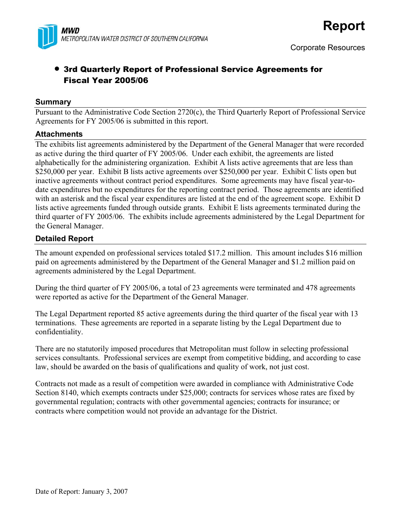

## • 3rd Quarterly Report of Professional Service Agreements for Fiscal Year 2005/06

#### **Summary**

Pursuant to the Administrative Code Section 2720(c), the Third Quarterly Report of Professional Service Agreements for FY 2005/06 is submitted in this report.

#### **Attachments**

The exhibits list agreements administered by the Department of the General Manager that were recorded as active during the third quarter of FY 2005/06. Under each exhibit, the agreements are listed alphabetically for the administering organization. Exhibit A lists active agreements that are less than \$250,000 per year. Exhibit B lists active agreements over \$250,000 per year. Exhibit C lists open but inactive agreements without contract period expenditures. Some agreements may have fiscal year-todate expenditures but no expenditures for the reporting contract period. Those agreements are identified with an asterisk and the fiscal year expenditures are listed at the end of the agreement scope. Exhibit D lists active agreements funded through outside grants. Exhibit E lists agreements terminated during the third quarter of FY 2005/06. The exhibits include agreements administered by the Legal Department for the General Manager.

#### **Detailed Report**

The amount expended on professional services totaled \$17.2 million. This amount includes \$16 million paid on agreements administered by the Department of the General Manager and \$1.2 million paid on agreements administered by the Legal Department.

During the third quarter of FY 2005/06, a total of 23 agreements were terminated and 478 agreements were reported as active for the Department of the General Manager.

The Legal Department reported 85 active agreements during the third quarter of the fiscal year with 13 terminations. These agreements are reported in a separate listing by the Legal Department due to confidentiality.

There are no statutorily imposed procedures that Metropolitan must follow in selecting professional services consultants. Professional services are exempt from competitive bidding, and according to case law, should be awarded on the basis of qualifications and quality of work, not just cost.

Contracts not made as a result of competition were awarded in compliance with Administrative Code Section 8140, which exempts contracts under \$25,000; contracts for services whose rates are fixed by governmental regulation; contracts with other governmental agencies; contracts for insurance; or contracts where competition would not provide an advantage for the District.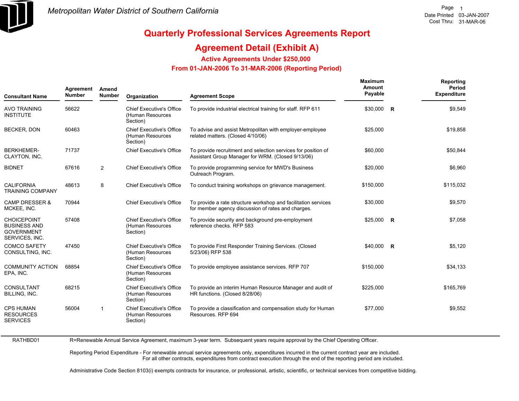

### **Agreement Detail (Exhibit A)**

**Active Agreements Under \$250,000** 

#### **From 01-JAN-2006 To 31-MAR-2006 (Reporting Period)**

| <b>Consultant Name</b>                                                           | Agreement<br><b>Number</b> | Amend<br>Number         | Organization                                                    | <b>Agreement Scope</b>                                                                                               | Maximum<br>Amount<br>Payable | Reporting<br>Period<br><b>Expenditure</b> |
|----------------------------------------------------------------------------------|----------------------------|-------------------------|-----------------------------------------------------------------|----------------------------------------------------------------------------------------------------------------------|------------------------------|-------------------------------------------|
| <b>AVO TRAINING</b><br><b>INSTITUTE</b>                                          | 56622                      |                         | <b>Chief Executive's Office</b><br>(Human Resources<br>Section) | To provide industrial electrical training for staff. RFP 611                                                         | \$30,000 R                   | \$9,549                                   |
| <b>BECKER, DON</b>                                                               | 60463                      |                         | <b>Chief Executive's Office</b><br>(Human Resources<br>Section) | To advise and assist Metropolitan with employer-employee<br>related matters. (Closed 4/10/06)                        | \$25,000                     | \$19,858                                  |
| <b>BERKHEMER-</b><br>CLAYTON, INC.                                               | 71737                      |                         | <b>Chief Executive's Office</b>                                 | To provide recruitment and selection services for position of<br>Assistant Group Manager for WRM. (Closed 9/13/06)   | \$60,000                     | \$50,844                                  |
| <b>BIDNET</b>                                                                    | 67616                      | 2                       | <b>Chief Executive's Office</b>                                 | To provide programming service for MWD's Business<br>Outreach Program.                                               | \$20,000                     | \$6,960                                   |
| <b>CALIFORNIA</b><br><b>TRAINING COMPANY</b>                                     | 48613                      | 8                       | <b>Chief Executive's Office</b>                                 | To conduct training workshops on grievance management.                                                               | \$150,000                    | \$115,032                                 |
| <b>CAMP DRESSER &amp;</b><br>MCKEE, INC.                                         | 70944                      |                         | <b>Chief Executive's Office</b>                                 | To provide a rate structure workshop and facilitation services<br>for member agency discussion of rates and charges. | \$30,000                     | \$9,570                                   |
| <b>CHOICEPOINT</b><br><b>BUSINESS AND</b><br><b>GOVERNMENT</b><br>SERVICES, INC. | 57408                      |                         | <b>Chief Executive's Office</b><br>(Human Resources<br>Section) | To provide security and background pre-employment<br>reference checks. RFP 583                                       | $$25,000$ R                  | \$7,058                                   |
| <b>COMCO SAFETY</b><br>CONSULTING, INC.                                          | 47450                      |                         | <b>Chief Executive's Office</b><br>(Human Resources<br>Section) | To provide First Responder Training Services. (Closed<br>5/23/06) RFP 538                                            | \$40,000 R                   | \$5,120                                   |
| <b>COMMUNITY ACTION</b><br>EPA, INC.                                             | 68854                      |                         | <b>Chief Executive's Office</b><br>(Human Resources<br>Section) | To provide employee assistance services. RFP 707                                                                     | \$150,000                    | \$34,133                                  |
| <b>CONSULTANT</b><br>BILLING, INC.                                               | 68215                      |                         | <b>Chief Executive's Office</b><br>(Human Resources<br>Section) | To provide an interim Human Resource Manager and audit of<br>HR functions. (Closed 8/28/06)                          | \$225,000                    | \$165,769                                 |
| <b>CPS HUMAN</b><br><b>RESOURCES</b><br><b>SERVICES</b>                          | 56004                      | $\overline{\mathbf{1}}$ | <b>Chief Executive's Office</b><br>(Human Resources<br>Section) | To provide a classification and compensation study for Human<br>Resources, RFP 694                                   | \$77,000                     | \$9,552                                   |

RATHBD01 R=Renewable Annual Service Agreement, maximum 3-year term. Subsequent years require approval by the Chief Operating Officer.

> Reporting Period Expenditure - For renewable annual service agreements only, expenditures incurred in the current contract year are included. For all other contracts, expenditures from contract execution through the end of the reporting period are included.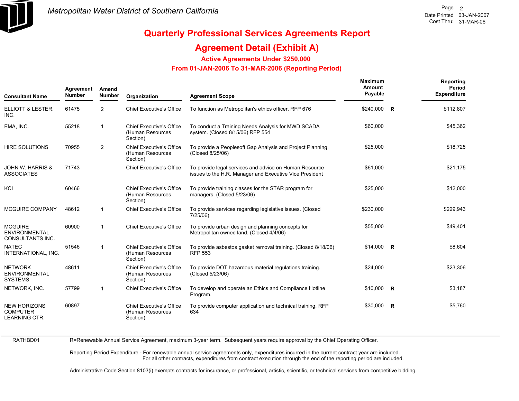

## **Quarterly Professional Services Agreements Report**

### **Agreement Detail (Exhibit A)**

**Active Agreements Under \$250,000** 

 **From 01-JAN-2006 To 31-MAR-2006 (Reporting Period)** 

| <b>Consultant Name</b>                                         | Agreement<br><b>Number</b> | Amend<br><b>Number</b> | Organization                                                    | <b>Agreement Scope</b>                                                                                            | Maximum<br>Amount<br>Payable | Reporting<br>Period<br><b>Expenditure</b> |
|----------------------------------------------------------------|----------------------------|------------------------|-----------------------------------------------------------------|-------------------------------------------------------------------------------------------------------------------|------------------------------|-------------------------------------------|
| ELLIOTT & LESTER,<br>INC.                                      | 61475                      | 2                      | <b>Chief Executive's Office</b>                                 | To function as Metropolitan's ethics officer. RFP 676                                                             | \$240,000 R                  | \$112,807                                 |
| EMA, INC.                                                      | 55218                      | -1                     | <b>Chief Executive's Office</b><br>(Human Resources<br>Section) | To conduct a Training Needs Analysis for MWD SCADA<br>system. (Closed 8/15/06) RFP 554                            | \$60,000                     | \$45,362                                  |
| <b>HIRE SOLUTIONS</b>                                          | 70955                      | 2                      | <b>Chief Executive's Office</b><br>(Human Resources<br>Section) | To provide a Peoplesoft Gap Analysis and Project Planning.<br>(Closed 8/25/06)                                    | \$25,000                     | \$18,725                                  |
| <b>JOHN W. HARRIS &amp;</b><br><b>ASSOCIATES</b>               | 71743                      |                        | <b>Chief Executive's Office</b>                                 | To provide legal services and advice on Human Resource<br>issues to the H.R. Manager and Executive Vice President | \$61,000                     | \$21,175                                  |
| KCI                                                            | 60466                      |                        | <b>Chief Executive's Office</b><br>(Human Resources<br>Section) | To provide training classes for the STAR program for<br>managers. (Closed 5/23/06)                                | \$25,000                     | \$12,000                                  |
| <b>MCGUIRE COMPANY</b>                                         | 48612                      | -1                     | <b>Chief Executive's Office</b>                                 | To provide services regarding legislative issues. (Closed<br>7/25/06)                                             | \$230,000                    | \$229,943                                 |
| <b>MCGUIRE</b><br><b>ENVIRONMENTAL</b><br>CONSULTANTS INC.     | 60900                      | $\mathbf{1}$           | <b>Chief Executive's Office</b>                                 | To provide urban design and planning concepts for<br>Metropolitan owned land. (Closed 4/4/06)                     | \$55,000                     | \$49,401                                  |
| <b>NATEC</b><br>INTERNATIONAL, INC.                            | 51546                      | $\overline{1}$         | <b>Chief Executive's Office</b><br>(Human Resources<br>Section) | To provide asbestos gasket removal training. (Closed 8/18/06)<br><b>RFP 553</b>                                   | $$14,000$ R                  | \$8,604                                   |
| <b>NETWORK</b><br><b>ENVIRONMENTAL</b><br><b>SYSTEMS</b>       | 48611                      |                        | <b>Chief Executive's Office</b><br>(Human Resources<br>Section) | To provide DOT hazardous material regulations training.<br>(Closed 5/23/06)                                       | \$24,000                     | \$23,306                                  |
| NETWORK, INC.                                                  | 57799                      | -1                     | <b>Chief Executive's Office</b>                                 | To develop and operate an Ethics and Compliance Hotline<br>Program.                                               | $$10,000$ R                  | \$3,187                                   |
| <b>NEW HORIZONS</b><br><b>COMPUTER</b><br><b>LEARNING CTR.</b> | 60897                      |                        | <b>Chief Executive's Office</b><br>(Human Resources<br>Section) | To provide computer application and technical training. RFP<br>634                                                | $$30,000$ R                  | \$5,760                                   |

R=Renewable Annual Service Agreement, maximum 3-year term. Subsequent years require approval by the Chief Operating Officer.

Reporting Period Expenditure - For renewable annual service agreements only, expenditures incurred in the current contract year are included. For all other contracts, expenditures from contract execution through the end of the reporting period are included.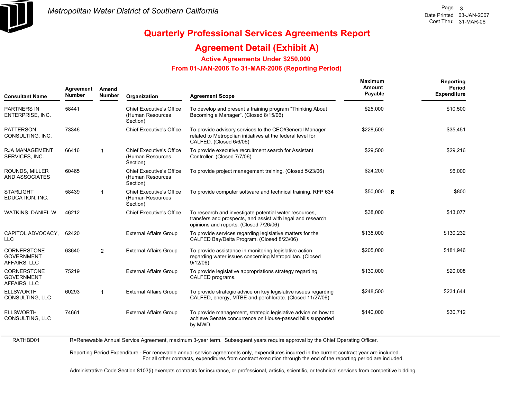

### **Agreement Detail (Exhibit A)**

**Active Agreements Under \$250,000** 

 **From 01-JAN-2006 To 31-MAR-2006 (Reporting Period)** 

| <b>Consultant Name</b>                                  | Agreement<br><b>Number</b> | Amend<br><b>Number</b> | Organization                                                    | <b>Agreement Scope</b>                                                                                                                                          | Maximum<br>Amount<br>Payable | Reporting<br>Period<br><b>Expenditure</b> |
|---------------------------------------------------------|----------------------------|------------------------|-----------------------------------------------------------------|-----------------------------------------------------------------------------------------------------------------------------------------------------------------|------------------------------|-------------------------------------------|
| <b>PARTNERS IN</b><br>ENTERPRISE, INC.                  | 58441                      |                        | Chief Executive's Office<br>(Human Resources<br>Section)        | To develop and present a training program "Thinking About"<br>Becoming a Manager". (Closed 8/15/06)                                                             | \$25,000                     | \$10,500                                  |
| <b>PATTERSON</b><br>CONSULTING, INC.                    | 73346                      |                        | <b>Chief Executive's Office</b>                                 | To provide advisory services to the CEO/General Manager<br>related to Metropolian initiatives at the federal level for<br>CALFED. (Closed 6/6/06)               | \$228,500                    | \$35,451                                  |
| <b>RJA MANAGEMENT</b><br>SERVICES, INC.                 | 66416                      | $\overline{1}$         | <b>Chief Executive's Office</b><br>(Human Resources<br>Section) | To provide executive recruitment search for Assistant<br>Controller. (Closed 7/7/06)                                                                            | \$29,500                     | \$29,216                                  |
| ROUNDS, MILLER<br><b>AND ASSOCIATES</b>                 | 60465                      |                        | Chief Executive's Office<br>(Human Resources<br>Section)        | To provide project management training. (Closed 5/23/06)                                                                                                        | \$24,200                     | \$6.000                                   |
| <b>STARLIGHT</b><br>EDUCATION, INC.                     | 58439                      | $\mathbf{1}$           | <b>Chief Executive's Office</b><br>(Human Resources<br>Section) | To provide computer software and technical training. RFP 634                                                                                                    | $$50,000$ R                  | \$800                                     |
| WATKINS, DANIEL W.                                      | 46212                      |                        | <b>Chief Executive's Office</b>                                 | To research and investigate potential water resources,<br>transfers and prospects, and assist with legal and research<br>opinions and reports. (Closed 7/26/06) | \$38,000                     | \$13,077                                  |
| CAPITOL ADVOCACY.<br><b>LLC</b>                         | 62420                      |                        | <b>External Affairs Group</b>                                   | To provide services regarding legislative matters for the<br>CALFED Bay/Delta Program. (Closed 8/23/06)                                                         | \$135.000                    | \$130,232                                 |
| <b>CORNERSTONE</b><br><b>GOVERNMENT</b><br>AFFAIRS, LLC | 63640                      | $\overline{2}$         | <b>External Affairs Group</b>                                   | To provide assistance in monitoring legislative action<br>regarding water issues concerning Metropolitan. (Closed<br>9/12/06                                    | \$205,000                    | \$181,946                                 |
| CORNERSTONE<br><b>GOVERNMENT</b><br>AFFAIRS, LLC        | 75219                      |                        | <b>External Affairs Group</b>                                   | To provide legislative appropriations strategy regarding<br>CALFED programs.                                                                                    | \$130,000                    | \$20,008                                  |
| <b>ELLSWORTH</b><br>CONSULTING, LLC                     | 60293                      | $\mathbf{1}$           | <b>External Affairs Group</b>                                   | To provide strategic advice on key legislative issues regarding<br>CALFED, energy, MTBE and perchlorate. (Closed 11/27/06)                                      | \$248,500                    | \$234,644                                 |
| <b>ELLSWORTH</b><br>CONSULTING, LLC                     | 74661                      |                        | <b>External Affairs Group</b>                                   | To provide management, strategic legislative advice on how to<br>achieve Senate concurrence on House-passed bills supported<br>by MWD.                          | \$140,000                    | \$30,712                                  |
| RATHBD01                                                |                            |                        |                                                                 | R=Renewable Annual Service Agreement, maximum 3-year term. Subsequent vears require approval by the Chief Operating Officer,                                    |                              |                                           |

R=Renewable Annual Service Agreement, maximum 3-year term. Subsequent years require approval by the Chief Operating Officer.

Reporting Period Expenditure - For renewable annual service agreements only, expenditures incurred in the current contract year are included. For all other contracts, expenditures from contract execution through the end of the reporting period are included.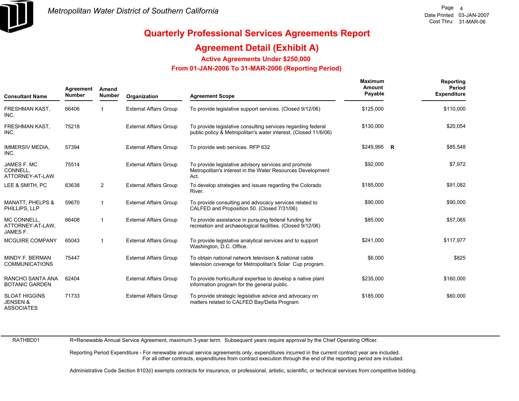

### **Agreement Detail (Exhibit A)**

**Active Agreements Under \$250,000** 

 **From 01-JAN-2006 To 31-MAR-2006 (Reporting Period)** 

| <b>Consultant Name</b>                                           | Agreement<br><b>Number</b> | Amend<br>Number | Organization                  | <b>Agreement Scope</b>                                                                                                          | Maximum<br>Amount<br>Payable | Reporting<br>Period<br><b>Expenditure</b> |
|------------------------------------------------------------------|----------------------------|-----------------|-------------------------------|---------------------------------------------------------------------------------------------------------------------------------|------------------------------|-------------------------------------------|
| FRESHMAN KAST,<br>INC.                                           | 66406                      | 1               | <b>External Affairs Group</b> | To provide legislative support services. (Closed 9/12/06)                                                                       | \$125,000                    | \$110,000                                 |
| FRESHMAN KAST,<br>INC.                                           | 75218                      |                 | <b>External Affairs Group</b> | To provide legislative consulting services regarding federal<br>public policy & Metropolitan's water interest. (Closed 11/6/06) | \$130,000                    | \$20,054                                  |
| <b>IMMERSIV MEDIA,</b><br>INC.                                   | 57394                      |                 | <b>External Affairs Group</b> | To provide web services. RFP 632                                                                                                | $$249,995$ R                 | \$85,548                                  |
| JAMES F. MC<br>CONNELL,<br>ATTORNEY-AT-LAW                       | 75514                      |                 | <b>External Affairs Group</b> | To provide legislative advisory services and promote<br>Metropolitan's interest in the Water Resources Development<br>Act.      | \$92,000                     | \$7,972                                   |
| LEE & SMITH, PC                                                  | 63638                      | 2               | <b>External Affairs Group</b> | To develop strategies and issues regarding the Colorado<br>River.                                                               | \$185,000                    | \$91,082                                  |
| <b>MANATT, PHELPS &amp;</b><br>PHILLIPS, LLP                     | 59670                      | $\mathbf{1}$    | <b>External Affairs Group</b> | To provide consulting and advocacy services related to<br>CALFED and Proposition 50. (Closed 7/31/06)                           | \$90,000                     | \$90,000                                  |
| MC CONNELL.<br>ATTORNEY-AT-LAW,<br>JAMES F.                      | 66408                      | $\mathbf{1}$    | <b>External Affairs Group</b> | To provide assistance in pursuing federal funding for<br>recreation and archaeological facilities. (Closed 9/12/06)             | \$85,000                     | \$57,065                                  |
| <b>MCGUIRE COMPANY</b>                                           | 65043                      | 1               | <b>External Affairs Group</b> | To provide legislative analytical services and to support<br>Washington, D.C. Office.                                           | \$241,000                    | \$117,977                                 |
| MINDY F. BERMAN<br><b>COMMUNICATIONS</b>                         | 75447                      |                 | <b>External Affairs Group</b> | To obtain national network television & national cable<br>television coverage for Metropolitan's Solar Cup program.             | \$6,000                      | \$825                                     |
| RANCHO SANTA ANA<br><b>BOTANIC GARDEN</b>                        | 62404                      |                 | <b>External Affairs Group</b> | To provide horticultural expertise to develop a native plant<br>information program for the general public.                     | \$235,000                    | \$160,000                                 |
| <b>SLOAT HIGGINS</b><br><b>JENSEN &amp;</b><br><b>ASSOCIATES</b> | 71733                      |                 | <b>External Affairs Group</b> | To provide strategic legislative advice and advocacy on<br>matters related to CALFED Bay/Delta Program.                         | \$185,000                    | \$60,000                                  |

RATHBD01

R=Renewable Annual Service Agreement, maximum 3-year term. Subsequent years require approval by the Chief Operating Officer.

Reporting Period Expenditure - For renewable annual service agreements only, expenditures incurred in the current contract year are included. For all other contracts, expenditures from contract execution through the end of the reporting period are included.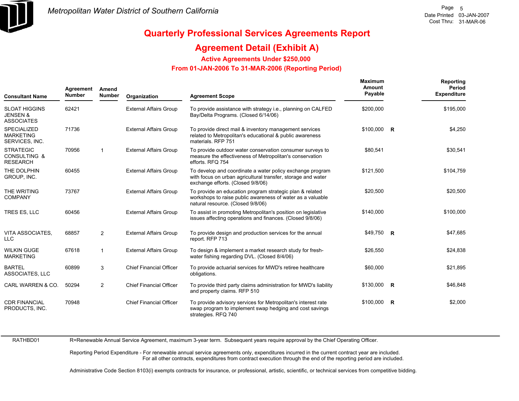

### **Agreement Detail (Exhibit A)**

**Active Agreements Under \$250,000** 

 **From 01-JAN-2006 To 31-MAR-2006 (Reporting Period)** 

| <b>Consultant Name</b>                                           | Agreement<br><b>Number</b> | Amend<br><b>Number</b>  | Organization                   | <b>Agreement Scope</b>                                                                                                                                         | Maximum<br>Amount<br>Payable |             | Reporting<br><b>Period</b><br><b>Expenditure</b> |
|------------------------------------------------------------------|----------------------------|-------------------------|--------------------------------|----------------------------------------------------------------------------------------------------------------------------------------------------------------|------------------------------|-------------|--------------------------------------------------|
| <b>SLOAT HIGGINS</b><br><b>JENSEN &amp;</b><br><b>ASSOCIATES</b> | 62421                      |                         | <b>External Affairs Group</b>  | To provide assistance with strategy <i>i.e.</i> , planning on CALFED<br>Bay/Delta Programs. (Closed 6/14/06)                                                   | \$200,000                    |             | \$195,000                                        |
| <b>SPECIALIZED</b><br><b>MARKETING</b><br>SERVICES, INC.         | 71736                      |                         | <b>External Affairs Group</b>  | To provide direct mail & inventory management services<br>related to Metropolitan's educational & public awareness<br>materials, RFP 751                       | $$100,000$ R                 |             | \$4,250                                          |
| <b>STRATEGIC</b><br><b>CONSULTING &amp;</b><br><b>RESEARCH</b>   | 70956                      | $\overline{\mathbf{1}}$ | <b>External Affairs Group</b>  | To provide outdoor water conservation consumer surveys to<br>measure the effectiveness of Metropolitan's conservation<br>efforts. RFQ 754                      | \$80,541                     |             | \$30,541                                         |
| THE DOLPHIN<br>GROUP, INC.                                       | 60455                      |                         | <b>External Affairs Group</b>  | To develop and coordinate a water policy exchange program<br>with focus on urban agricultural transfer, storage and water<br>exchange efforts. (Closed 9/8/06) | \$121,500                    |             | \$104,759                                        |
| THE WRITING<br><b>COMPANY</b>                                    | 73767                      |                         | <b>External Affairs Group</b>  | To provide an education program strategic plan & related<br>workshops to raise public awareness of water as a valuable<br>natural resource. (Closed 9/8/06)    | \$20,500                     |             | \$20,500                                         |
| TRES ES. LLC                                                     | 60456                      |                         | <b>External Affairs Group</b>  | To assist in promoting Metropolitan's position on legislative<br>issues affecting operations and finances. (Closed 9/8/06)                                     | \$140.000                    |             | \$100,000                                        |
| VITA ASSOCIATES.<br><b>LLC</b>                                   | 68857                      | $\overline{2}$          | <b>External Affairs Group</b>  | To provide design and production services for the annual<br>report. RFP 713                                                                                    | \$49,750 R                   |             | \$47,685                                         |
| <b>WILKIN GUGE</b><br><b>MARKETING</b>                           | 67618                      | $\overline{1}$          | <b>External Affairs Group</b>  | To design & implement a market research study for fresh-<br>water fishing regarding DVL. (Closed 8/4/06)                                                       | \$26,550                     |             | \$24,838                                         |
| <b>BARTEL</b><br>ASSOCIATES, LLC                                 | 60899                      | 3                       | <b>Chief Financial Officer</b> | To provide actuarial services for MWD's retiree healthcare<br>obligations.                                                                                     | \$60,000                     |             | \$21,895                                         |
| CARL WARREN & CO.                                                | 50294                      | $\overline{2}$          | <b>Chief Financial Officer</b> | To provide third party claims administration for MWD's liability<br>and property claims. RFP 510                                                               | $$130,000$ R                 |             | \$46,848                                         |
| <b>CDR FINANCIAL</b><br>PRODUCTS, INC.                           | 70948                      |                         | <b>Chief Financial Officer</b> | To provide advisory services for Metropolitan's interest rate<br>swap program to implement swap hedging and cost savings<br>strategies. RFQ 740                | \$100,000                    | $\mathbf R$ | \$2,000                                          |

RATHBD01

R=Renewable Annual Service Agreement, maximum 3-year term. Subsequent years require approval by the Chief Operating Officer.

Reporting Period Expenditure - For renewable annual service agreements only, expenditures incurred in the current contract year are included. For all other contracts, expenditures from contract execution through the end of the reporting period are included.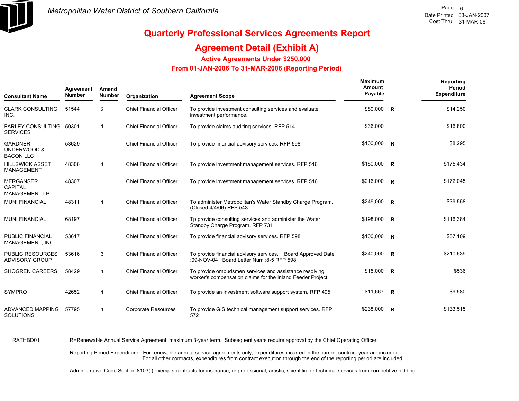

### **Agreement Detail (Exhibit A)**

**Active Agreements Under \$250,000** 

 **From 01-JAN-2006 To 31-MAR-2006 (Reporting Period)** 

| <b>Consultant Name</b>                                     | Agreement<br><b>Number</b> | Amend<br><b>Number</b> | Organization                   | <b>Agreement Scope</b>                                                                                                | <b>Maximum</b><br>Amount<br>Payable |                         | Reporting<br>Period<br><b>Expenditure</b> |
|------------------------------------------------------------|----------------------------|------------------------|--------------------------------|-----------------------------------------------------------------------------------------------------------------------|-------------------------------------|-------------------------|-------------------------------------------|
| <b>CLARK CONSULTING.</b><br>INC.                           | 51544                      | 2                      | <b>Chief Financial Officer</b> | To provide investment consulting services and evaluate<br>investment performance.                                     | \$80,000                            | $\overline{\mathbf{R}}$ | \$14,250                                  |
| <b>FARLEY CONSULTING</b><br><b>SERVICES</b>                | 50301                      | $\mathbf{1}$           | <b>Chief Financial Officer</b> | To provide claims auditing services. RFP 514                                                                          | \$36,000                            |                         | \$16,800                                  |
| GARDNER,<br>UNDERWOOD &<br><b>BACON LLC</b>                | 53629                      |                        | <b>Chief Financial Officer</b> | To provide financial advisory services. RFP 598                                                                       | $$100,000$ R                        |                         | \$8,295                                   |
| <b>HILLSWICK ASSET</b><br><b>MANAGEMENT</b>                | 48306                      | $\mathbf{1}$           | <b>Chief Financial Officer</b> | To provide investment management services. RFP 516                                                                    | \$180,000 R                         |                         | \$175,434                                 |
| <b>MERGANSER</b><br><b>CAPITAL</b><br><b>MANAGEMENT LP</b> | 48307                      |                        | <b>Chief Financial Officer</b> | To provide investment management services. RFP 516                                                                    | $$216,000$ R                        |                         | \$172,045                                 |
| <b>MUNI FINANCIAL</b>                                      | 48311                      | $\mathbf{1}$           | <b>Chief Financial Officer</b> | To administer Metropolitan's Water Standby Charge Program.<br>(Closed 4/4/06) RFP 543                                 | \$249,000 R                         |                         | \$39,558                                  |
| <b>MUNI FINANCIAL</b>                                      | 68197                      |                        | <b>Chief Financial Officer</b> | Tp provide consulting services and administer the Water<br>Standby Charge Program. RFP 731                            | \$198,000 R                         |                         | \$116,384                                 |
| PUBLIC FINANCIAL<br>MANAGEMENT, INC.                       | 53617                      |                        | <b>Chief Financial Officer</b> | To provide financial advisory services. RFP 598                                                                       | \$100,000 R                         |                         | \$57,109                                  |
| <b>PUBLIC RESOURCES</b><br><b>ADVISORY GROUP</b>           | 53616                      | 3                      | <b>Chief Financial Officer</b> | To provide financial advisory services. Board Approved Date<br>:09-NOV-04 Board Letter Num :8-5 RFP 598               | \$240,000 R                         |                         | \$210,639                                 |
| <b>SHOGREN CAREERS</b>                                     | 58429                      | 1                      | <b>Chief Financial Officer</b> | To provide ombudsmen services and assistance resolving<br>worker's compensation claims for the Inland Feeder Project. | $$15,000$ R                         |                         | \$536                                     |
| <b>SYMPRO</b>                                              | 42652                      | 1                      | <b>Chief Financial Officer</b> | To provide an investment software support system. RFP 495                                                             | \$11,667                            | $\overline{R}$          | \$9,580                                   |
| <b>ADVANCED MAPPING</b><br><b>SOLUTIONS</b>                | 57795                      | 1                      | <b>Corporate Resources</b>     | To provide GIS technical management support services. RFP<br>572                                                      | \$238,000 R                         |                         | \$133,515                                 |

RATHBD01

R=Renewable Annual Service Agreement, maximum 3-year term. Subsequent years require approval by the Chief Operating Officer.

Reporting Period Expenditure - For renewable annual service agreements only, expenditures incurred in the current contract year are included. For all other contracts, expenditures from contract execution through the end of the reporting period are included.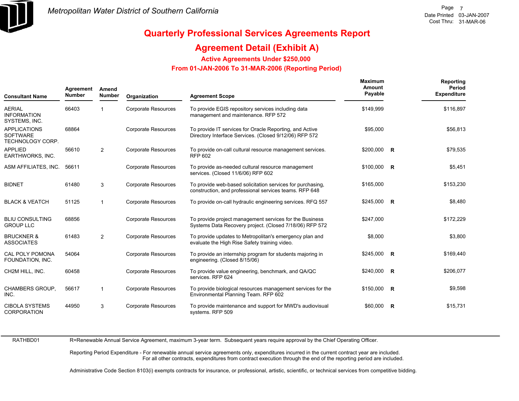

### **Agreement Detail (Exhibit A)**

**Active Agreements Under \$250,000** 

 **From 01-JAN-2006 To 31-MAR-2006 (Reporting Period)** 

| <b>Consultant Name</b>                                     | Agreement<br><b>Number</b> | Amend<br>Number | Organization               | <b>Agreement Scope</b>                                                                                               | Maximum<br>Amount<br>Payable | Reporting<br>Period<br><b>Expenditure</b> |
|------------------------------------------------------------|----------------------------|-----------------|----------------------------|----------------------------------------------------------------------------------------------------------------------|------------------------------|-------------------------------------------|
| <b>AERIAL</b><br><b>INFORMATION</b><br>SYSTEMS, INC.       | 66403                      |                 | <b>Corporate Resources</b> | To provide EGIS repository services including data<br>management and maintenance. RFP 572                            | \$149,999                    | \$116,897                                 |
| <b>APPLICATIONS</b><br><b>SOFTWARE</b><br>TECHNOLOGY CORP. | 68864                      |                 | <b>Corporate Resources</b> | To provide IT services for Oracle Reporting, and Active<br>Directory Interface Services. (Closed 9/12/06) RFP 572    | \$95,000                     | \$56,813                                  |
| <b>APPLIED</b><br>EARTHWORKS, INC.                         | 56610                      | $\overline{2}$  | <b>Corporate Resources</b> | To provide on-call cultural resource management services.<br><b>RFP 602</b>                                          | $$200,000$ R                 | \$79,535                                  |
| ASM AFFILIATES, INC.                                       | 56611                      |                 | <b>Corporate Resources</b> | To provide as-needed cultural resource management<br>services. (Closed 11/6/06) RFP 602                              | $$100,000$ R                 | \$5,451                                   |
| <b>BIDNET</b>                                              | 61480                      | 3               | <b>Corporate Resources</b> | To provide web-based solicitation services for purchasing,<br>construction, and professional services teams. RFP 648 | \$165,000                    | \$153,230                                 |
| <b>BLACK &amp; VEATCH</b>                                  | 51125                      | $\mathbf{1}$    | <b>Corporate Resources</b> | To provide on-call hydraulic engineering services. RFQ 557                                                           | $$245,000$ R                 | \$8,480                                   |
| <b>BLIU CONSULTING</b><br><b>GROUP LLC</b>                 | 68856                      |                 | <b>Corporate Resources</b> | To provide project management services for the Business<br>Systems Data Recovery project. (Closed 7/18/06) RFP 572   | \$247,000                    | \$172,229                                 |
| <b>BRUCKNER &amp;</b><br><b>ASSOCIATES</b>                 | 61483                      | $\overline{2}$  | <b>Corporate Resources</b> | To provide updates to Metropolitan's emergency plan and<br>evaluate the High Rise Safety training video.             | \$8,000                      | \$3,800                                   |
| <b>CAL POLY POMONA</b><br>FOUNDATION, INC.                 | 54064                      |                 | <b>Corporate Resources</b> | To provide an internship program for students majoring in<br>engineering. (Closed 8/15/06)                           | $$245,000$ R                 | \$169,440                                 |
| CH2M HILL, INC.                                            | 60458                      |                 | <b>Corporate Resources</b> | To provide value engineering, benchmark, and QA/QC<br>services. RFP 624                                              | \$240,000 R                  | \$206,077                                 |
| <b>CHAMBERS GROUP,</b><br>INC.                             | 56617                      | $\mathbf{1}$    | <b>Corporate Resources</b> | To provide biological resources management services for the<br>Environmental Planning Team. RFP 602                  | $$150,000$ R                 | \$9,598                                   |
| <b>CIBOLA SYSTEMS</b><br><b>CORPORATION</b>                | 44950                      | 3               | <b>Corporate Resources</b> | To provide maintenance and support for MWD's audiovisual<br>systems. RFP 509                                         | $$60,000$ R                  | \$15,731                                  |

RATHBD01

R=Renewable Annual Service Agreement, maximum 3-year term. Subsequent years require approval by the Chief Operating Officer.

Reporting Period Expenditure - For renewable annual service agreements only, expenditures incurred in the current contract year are included. For all other contracts, expenditures from contract execution through the end of the reporting period are included.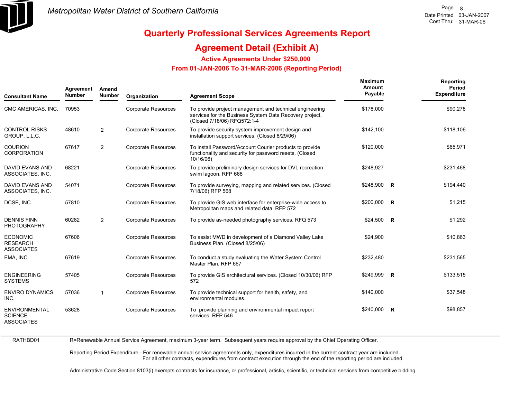

## **Quarterly Professional Services Agreements Report**

### **Agreement Detail (Exhibit A)**

**Active Agreements Under \$250,000** 

 **From 01-JAN-2006 To 31-MAR-2006 (Reporting Period)** 

| <b>Consultant Name</b>                                      | Agreement<br><b>Number</b> | Amend<br><b>Number</b> | Organization               | <b>Agreement Scope</b>                                                                                                                            | Maximum<br>Amount<br>Payable | <b>Reporting</b><br>Period<br><b>Expenditure</b> |
|-------------------------------------------------------------|----------------------------|------------------------|----------------------------|---------------------------------------------------------------------------------------------------------------------------------------------------|------------------------------|--------------------------------------------------|
| CMC AMERICAS, INC.                                          | 70953                      |                        | Corporate Resources        | To provide project management and technical engineering<br>services for the Business System Data Recovery project.<br>(Closed 7/18/06) RFQ572:1-4 | \$178,000                    | \$90,278                                         |
| <b>CONTROL RISKS</b><br>GROUP, L.L.C.                       | 48610                      | $\overline{2}$         | <b>Corporate Resources</b> | To provide security system improvement design and<br>installation support services. (Closed 8/29/06)                                              | \$142,100                    | \$118,106                                        |
| <b>COURION</b><br><b>CORPORATION</b>                        | 67617                      | $\overline{2}$         | Corporate Resources        | To install Password/Account Courier products to provide<br>functionality and security for password resets. (Closed<br>10/16/06)                   | \$120,000                    | \$65,971                                         |
| <b>DAVID EVANS AND</b><br>ASSOCIATES, INC.                  | 68221                      |                        | Corporate Resources        | To provide preliminary design services for DVL recreation<br>swim lagoon. RFP 668                                                                 | \$248,927                    | \$231,468                                        |
| <b>DAVID EVANS AND</b><br>ASSOCIATES, INC.                  | 54071                      |                        | <b>Corporate Resources</b> | To provide surveying, mapping and related services. (Closed<br>7/18/06) RFP 568                                                                   | $$248,900$ R                 | \$194,440                                        |
| DCSE, INC.                                                  | 57810                      |                        | Corporate Resources        | To provide GIS web interface for enterprise-wide access to<br>Metropolitan maps and related data. RFP 572                                         | \$200,000 R                  | \$1,215                                          |
| <b>DENNIS FINN</b><br><b>PHOTOGRAPHY</b>                    | 60282                      | $\overline{2}$         | Corporate Resources        | To provide as-needed photography services. RFQ 573                                                                                                | $$24,500$ R                  | \$1,292                                          |
| <b>ECONOMIC</b><br><b>RESEARCH</b><br><b>ASSOCIATES</b>     | 67606                      |                        | Corporate Resources        | To assist MWD in development of a Diamond Valley Lake<br>Business Plan. (Closed 8/25/06)                                                          | \$24,900                     | \$10,863                                         |
| EMA, INC.                                                   | 67619                      |                        | <b>Corporate Resources</b> | To conduct a study evaluating the Water System Control<br>Master Plan, RFP 667                                                                    | \$232,480                    | \$231,565                                        |
| <b>ENGINEERING</b><br><b>SYSTEMS</b>                        | 57405                      |                        | <b>Corporate Resources</b> | To provide GIS architectural services. (Closed 10/30/06) RFP<br>572                                                                               | \$249,999 R                  | \$133,515                                        |
| <b>ENVIRO DYNAMICS,</b><br>INC.                             | 57036                      | $\mathbf{1}$           | Corporate Resources        | To provide technical support for health, safety, and<br>environmental modules.                                                                    | \$140,000                    | \$37,548                                         |
| <b>ENVIRONMENTAL</b><br><b>SCIENCE</b><br><b>ASSOCIATES</b> | 53628                      |                        | <b>Corporate Resources</b> | To provide planning and environmental impact report<br>services. RFP 546                                                                          | $$240,000$ R                 | \$98,857                                         |

R=Renewable Annual Service Agreement, maximum 3-year term. Subsequent years require approval by the Chief Operating Officer.

Reporting Period Expenditure - For renewable annual service agreements only, expenditures incurred in the current contract year are included. For all other contracts, expenditures from contract execution through the end of the reporting period are included.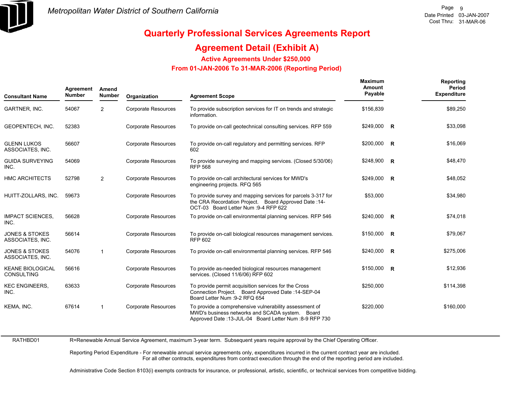

### **Agreement Detail (Exhibit A)**

**Active Agreements Under \$250,000** 

 **From 01-JAN-2006 To 31-MAR-2006 (Reporting Period)** 

| <b>Consultant Name</b>                        | Agreement<br><b>Number</b> | Amend<br><b>Number</b> | Organization               | <b>Agreement Scope</b>                                                                                                                                                 | <b>Maximum</b><br>Amount<br>Payable | Reporting<br>Period<br><b>Expenditure</b> |
|-----------------------------------------------|----------------------------|------------------------|----------------------------|------------------------------------------------------------------------------------------------------------------------------------------------------------------------|-------------------------------------|-------------------------------------------|
| GARTNER, INC.                                 | 54067                      | 2                      | <b>Corporate Resources</b> | To provide subscription services for IT on trends and strategic<br>information.                                                                                        | \$156,839                           | \$89,250                                  |
| GEOPENTECH, INC.                              | 52383                      |                        | <b>Corporate Resources</b> | To provide on-call geotechnical consulting services. RFP 559                                                                                                           | \$249,000 R                         | \$33,098                                  |
| <b>GLENN LUKOS</b><br>ASSOCIATES, INC.        | 56607                      |                        | <b>Corporate Resources</b> | To provide on-call regulatory and permitting services. RFP<br>602                                                                                                      | $$200,000$ R                        | \$16,069                                  |
| <b>GUIDA SURVEYING</b><br>INC.                | 54069                      |                        | <b>Corporate Resources</b> | To provide surveying and mapping services. (Closed 5/30/06)<br><b>RFP 568</b>                                                                                          | $$248,900$ R                        | \$48,470                                  |
| <b>HMC ARCHITECTS</b>                         | 52798                      | $\overline{2}$         | <b>Corporate Resources</b> | To provide on-call architectural services for MWD's<br>engineering projects. RFQ 565                                                                                   | \$249,000 R                         | \$48,052                                  |
| HUITT-ZOLLARS, INC.                           | 59673                      |                        | <b>Corporate Resources</b> | To provide survey and mapping services for parcels 3-317 for<br>the CRA Recordation Project. Board Approved Date: 14-<br>OCT-03 Board Letter Num : 9-4 RFP 622         | \$53,000                            | \$34,980                                  |
| <b>IMPACT SCIENCES,</b><br>INC.               | 56628                      |                        | <b>Corporate Resources</b> | To provide on-call environmental planning services. RFP 546                                                                                                            | \$240,000 R                         | \$74,018                                  |
| <b>JONES &amp; STOKES</b><br>ASSOCIATES, INC. | 56614                      |                        | <b>Corporate Resources</b> | To provide on-call biological resources management services.<br><b>RFP 602</b>                                                                                         | \$150,000 R                         | \$79,067                                  |
| <b>JONES &amp; STOKES</b><br>ASSOCIATES, INC. | 54076                      | $\overline{1}$         | <b>Corporate Resources</b> | To provide on-call environmental planning services. RFP 546                                                                                                            | $$240,000$ R                        | \$275,006                                 |
| <b>KEANE BIOLOGICAL</b><br><b>CONSULTING</b>  | 56616                      |                        | <b>Corporate Resources</b> | To provide as-needed biological resources management<br>services. (Closed 11/6/06) RFP 602                                                                             | $$150,000$ R                        | \$12,936                                  |
| <b>KEC ENGINEERS,</b><br>INC.                 | 63633                      |                        | <b>Corporate Resources</b> | To provide permit acquisition services for the Cross<br>Connection Project. Board Approved Date: 14-SEP-04<br>Board Letter Num : 9-2 RFQ 654                           | \$250,000                           | \$114,398                                 |
| KEMA, INC.                                    | 67614                      | $\mathbf{1}$           | <b>Corporate Resources</b> | To provide a comprehensive vulnerability assessment of<br>MWD's business networks and SCADA system.<br>Board<br>Approved Date: 13-JUL-04 Board Letter Num: 8-9 RFP 730 | \$220,000                           | \$160,000                                 |

RATHBD01 R=Renewable Annual Service Agreement, maximum 3-year term. Subsequent years require approval by the Chief Operating Officer.

> Reporting Period Expenditure - For renewable annual service agreements only, expenditures incurred in the current contract year are included. For all other contracts, expenditures from contract execution through the end of the reporting period are included.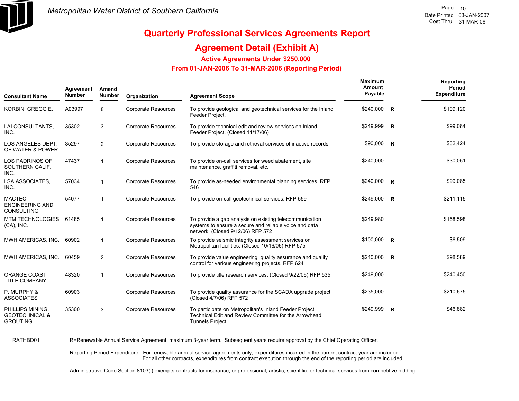

## **Quarterly Professional Services Agreements Report**

### **Agreement Detail (Exhibit A)**

**Active Agreements Under \$250,000** 

 **From 01-JAN-2006 To 31-MAR-2006 (Reporting Period)** 

| <b>Consultant Name</b>                                           | Agreement<br><b>Number</b> | Amend<br>Number | Organization               | <b>Agreement Scope</b>                                                                                                                                 | <b>Maximum</b><br>Amount<br>Payable | Reporting<br>Period<br><b>Expenditure</b> |
|------------------------------------------------------------------|----------------------------|-----------------|----------------------------|--------------------------------------------------------------------------------------------------------------------------------------------------------|-------------------------------------|-------------------------------------------|
| KORBIN, GREGG E.                                                 | A03997                     | 8               | <b>Corporate Resources</b> | To provide geological and geotechnical services for the Inland<br>Feeder Project.                                                                      | \$240,000 R                         | \$109,120                                 |
| LAI CONSULTANTS,<br>INC.                                         | 35302                      | 3               | <b>Corporate Resources</b> | To provide technical edit and review services on Inland<br>Feeder Project. (Closed 11/17/06)                                                           | \$249,999 R                         | \$99,084                                  |
| LOS ANGELES DEPT.<br>OF WATER & POWER                            | 35297                      | 2               | Corporate Resources        | To provide storage and retrieval services of inactive records.                                                                                         | $$90,000$ R                         | \$32,424                                  |
| <b>LOS PADRINOS OF</b><br>SOUTHERN CALIF.<br>INC.                | 47437                      | $\mathbf{1}$    | <b>Corporate Resources</b> | To provide on-call services for weed abatement, site<br>maintenance, graffiti removal, etc.                                                            | \$240,000                           | \$30,051                                  |
| <b>LSA ASSOCIATES.</b><br>INC.                                   | 57034                      | $\mathbf{1}$    | <b>Corporate Resources</b> | To provide as-needed environmental planning services. RFP<br>546                                                                                       | \$240,000 R                         | \$99,085                                  |
| <b>MACTEC</b><br><b>ENGINEERING AND</b><br><b>CONSULTING</b>     | 54077                      | $\mathbf{1}$    | <b>Corporate Resources</b> | To provide on-call geotechnical services. RFP 559                                                                                                      | \$249,000 R                         | \$211,115                                 |
| <b>MTM TECHNOLOGIES</b><br>$(CA)$ , INC.                         | 61485                      | $\mathbf{1}$    | <b>Corporate Resources</b> | To provide a gap analysis on existing telecommunication<br>systems to ensure a secure and reliable voice and data<br>network. (Closed 9/12/06) RFP 572 | \$249,980                           | \$158,598                                 |
| MWH AMERICAS, INC.                                               | 60902                      | $\mathbf{1}$    | <b>Corporate Resources</b> | To provide seismic integrity assessment services on<br>Metropolitan facilities. (Closed 10/16/06) RFP 575                                              | \$100,000 R                         | \$6,509                                   |
| MWH AMERICAS, INC.                                               | 60459                      | 2               | <b>Corporate Resources</b> | To provide value engineering, quality assurance and quality<br>control for various engineering projects. RFP 624                                       | \$240,000 R                         | \$98,589                                  |
| ORANGE COAST<br><b>TITLE COMPANY</b>                             | 48320                      | $\mathbf{1}$    | <b>Corporate Resources</b> | To provide title research services. (Closed 9/22/06) RFP 535                                                                                           | \$249,000                           | \$240,450                                 |
| P. MURPHY &<br><b>ASSOCIATES</b>                                 | 60903                      |                 | <b>Corporate Resources</b> | To provide quality assurance for the SCADA upgrade project.<br>(Closed 4/7/06) RFP 572                                                                 | \$235,000                           | \$210,675                                 |
| PHILLIPS MINING,<br><b>GEOTECHNICAL &amp;</b><br><b>GROUTING</b> | 35300                      | 3               | <b>Corporate Resources</b> | To participate on Metropolitan's Inland Feeder Project<br>Technical Edit and Review Committee for the Arrowhead<br>Tunnels Project.                    | \$249,999 R                         | \$46,882                                  |

R=Renewable Annual Service Agreement, maximum 3-year term. Subsequent years require approval by the Chief Operating Officer.

Reporting Period Expenditure - For renewable annual service agreements only, expenditures incurred in the current contract year are included. For all other contracts, expenditures from contract execution through the end of the reporting period are included.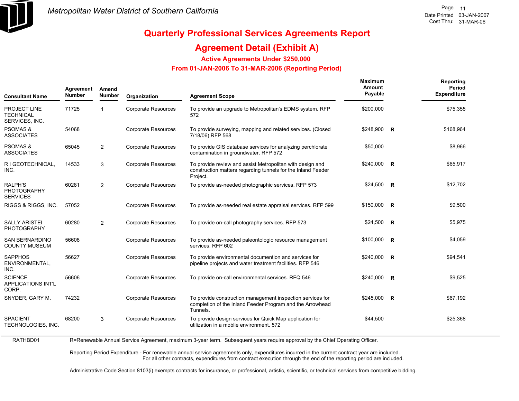

## **Quarterly Professional Services Agreements Report**

### **Agreement Detail (Exhibit A)**

**Active Agreements Under \$250,000** 

 **From 01-JAN-2006 To 31-MAR-2006 (Reporting Period)** 

| <b>Consultant Name</b>                             | Agreement<br><b>Number</b> | Amend<br><b>Number</b> | Organization               | <b>Agreement Scope</b>                                                                                                                | Maximum<br>Amount<br>Payable |              | Reporting<br>Period<br><b>Expenditure</b> |
|----------------------------------------------------|----------------------------|------------------------|----------------------------|---------------------------------------------------------------------------------------------------------------------------------------|------------------------------|--------------|-------------------------------------------|
| PROJECT LINE<br><b>TECHNICAL</b><br>SERVICES, INC. | 71725                      | 1                      | <b>Corporate Resources</b> | To provide an upgrade to Metropolitan's EDMS system. RFP<br>572                                                                       | \$200,000                    |              | \$75,355                                  |
| <b>PSOMAS &amp;</b><br><b>ASSOCIATES</b>           | 54068                      |                        | <b>Corporate Resources</b> | To provide surveying, mapping and related services. (Closed<br>7/18/06) RFP 568                                                       | $$248,900$ R                 |              | \$168,964                                 |
| <b>PSOMAS &amp;</b><br>ASSOCIATES                  | 65045                      | $\overline{2}$         | <b>Corporate Resources</b> | To provide GIS database services for analyzing perchlorate<br>contamination in groundwater. RFP 572                                   | \$50,000                     |              | \$8,966                                   |
| R I GEOTECHNICAL,<br>INC.                          | 14533                      | 3                      | <b>Corporate Resources</b> | To provide review and assist Metropolitan with design and<br>construction matters regarding tunnels for the Inland Feeder<br>Project. | $$240,000$ R                 |              | \$65,917                                  |
| RALPH'S<br>PHOTOGRAPHY<br><b>SERVICES</b>          | 60281                      | $\overline{2}$         | <b>Corporate Resources</b> | To provide as-needed photographic services. RFP 573                                                                                   | $$24,500$ R                  |              | \$12,702                                  |
| RIGGS & RIGGS, INC.                                | 57052                      |                        | <b>Corporate Resources</b> | To provide as-needed real estate appraisal services. RFP 599                                                                          | $$150,000$ R                 |              | \$9,500                                   |
| SALLY ARISTEI<br>PHOTOGRAPHY                       | 60280                      | $\overline{2}$         | <b>Corporate Resources</b> | To provide on-call photography services. RFP 573                                                                                      | $$24,500$ R                  |              | \$5,975                                   |
| <b>SAN BERNARDINO</b><br><b>COUNTY MUSEUM</b>      | 56608                      |                        | <b>Corporate Resources</b> | To provide as-needed paleontologic resource management<br>services. RFP 602                                                           | \$100,000                    | $\mathsf{R}$ | \$4,059                                   |
| <b>SAPPHOS</b><br>ENVIRONMENTAL,<br>INC.           | 56627                      |                        | <b>Corporate Resources</b> | To provide environmental documention and services for<br>pipeline projects and water treatment facilities. RFP 546                    | \$240,000 R                  |              | \$94,541                                  |
| <b>SCIENCE</b><br>APPLICATIONS INT'L<br>CORP.      | 56606                      |                        | <b>Corporate Resources</b> | To provide on-call environmental services. RFQ 546                                                                                    | \$240,000 R                  |              | \$9,525                                   |
| SNYDER, GARY M.                                    | 74232                      |                        | <b>Corporate Resources</b> | To provide construction management inspection services for<br>completion of the Inland Feeder Program and the Arrowhead<br>Tunnels.   | $$245,000$ R                 |              | \$67,192                                  |
| <b>SPACIENT</b><br>TECHNOLOGIES, INC.              | 68200                      | 3                      | <b>Corporate Resources</b> | To provide design services for Quick Map application for<br>utilization in a moblie environment. 572                                  | \$44,500                     |              | \$25,368                                  |
|                                                    |                            |                        |                            |                                                                                                                                       |                              |              |                                           |

R=Renewable Annual Service Agreement, maximum 3-year term. Subsequent years require approval by the Chief Operating Officer.

Reporting Period Expenditure - For renewable annual service agreements only, expenditures incurred in the current contract year are included. For all other contracts, expenditures from contract execution through the end of the reporting period are included.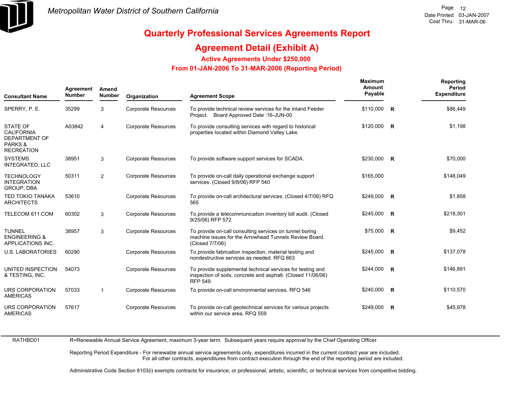

### **Agreement Detail (Exhibit A)**

**Active Agreements Under \$250,000** 

 **From 01-JAN-2006 To 31-MAR-2006 (Reporting Period)** 

| <b>Consultant Name</b>                                                                      | Agreement<br><b>Number</b> | Amend<br><b>Number</b> | Organization               | <b>Agreement Scope</b>                                                                                                                       | Maximum<br>Amount<br>Payable | Reporting<br>Period<br><b>Expenditure</b> |
|---------------------------------------------------------------------------------------------|----------------------------|------------------------|----------------------------|----------------------------------------------------------------------------------------------------------------------------------------------|------------------------------|-------------------------------------------|
| SPERRY, P. E.                                                                               | 35299                      | 3                      | <b>Corporate Resources</b> | To provide technical review services for the Inland Feeder<br>Project. Board Approved Date: 16-JUN-00                                        | \$110,000 R                  | \$86,449                                  |
| <b>STATE OF</b><br><b>CALIFORNIA</b><br><b>DEPARTMENT OF</b><br>PARKS&<br><b>RECREATION</b> | A03842                     | $\overline{4}$         | <b>Corporate Resources</b> | To provide consulting services with regard to historical<br>properties located within Diamond Valley Lake.                                   | \$120,000 R                  | \$1,198                                   |
| <b>SYSTEMS</b><br><b>INTEGRATED, LLC</b>                                                    | 38951                      | 3                      | <b>Corporate Resources</b> | To provide software support services for SCADA.                                                                                              | \$230,000 R                  | \$70,000                                  |
| <b>TECHNOLOGY</b><br><b>INTEGRATION</b><br>GROUP, DBA                                       | 50311                      | 2                      | <b>Corporate Resources</b> | To provide on-call daily operational exchange support<br>services. (Closed 9/8/06) RFP 540                                                   | \$165.000                    | \$148.049                                 |
| <b>TED TOKIO TANAKA</b><br><b>ARCHITECTS</b>                                                | 53610                      |                        | <b>Corporate Resources</b> | To provide on-call architectural services. (Closed 4/7/06) RFQ<br>565                                                                        | $$249,000$ R                 | \$1,858                                   |
| TELECOM 611.COM                                                                             | 60302                      | 3                      | <b>Corporate Resources</b> | To provide a telecommunication inventory bill audit. (Closed<br>9/25/06) RFP 572                                                             | $$245,000$ R                 | \$218,301                                 |
| <b>TUNNEL</b><br><b>ENGINEERING &amp;</b><br><b>APPLICATIONS INC.</b>                       | 38957                      | 3                      | <b>Corporate Resources</b> | To provide on-call consulting services on tunnel boring<br>machine issues for the Arrowhead Tunnels Review Board.<br>(Closed 7/7/06)         | \$75,000 R                   | \$9,452                                   |
| <b>U.S. LABORATORIES</b>                                                                    | 60290                      |                        | <b>Corporate Resources</b> | To provide fabrication inspection, material testing and<br>nondestructive services as needed. RFQ 663                                        | \$245,000 R                  | \$137,078                                 |
| UNITED INSPECTION<br>& TESTING, INC.                                                        | 54073                      |                        | <b>Corporate Resources</b> | To provide supplemental technical services for testing and<br>inspection of soils, concrete and asphalt. (Closed 11/06/06)<br><b>RFP 549</b> | \$244,000 R                  | \$146,891                                 |
| URS CORPORATION<br><b>AMERICAS</b>                                                          | 57033                      | $\mathbf{1}$           | <b>Corporate Resources</b> | To provide on-call environmental services. RFQ 546                                                                                           | $$240,000$ R                 | \$110,570                                 |
| <b>URS CORPORATION</b><br><b>AMERICAS</b>                                                   | 57617                      |                        | <b>Corporate Resources</b> | To provide on-call geotechnical services for various projects<br>within our service area. RFQ 559                                            | \$249,000 R                  | \$45,978                                  |

RATHBD01

R=Renewable Annual Service Agreement, maximum 3-year term. Subsequent years require approval by the Chief Operating Officer.

Reporting Period Expenditure - For renewable annual service agreements only, expenditures incurred in the current contract year are included. For all other contracts, expenditures from contract execution through the end of the reporting period are included.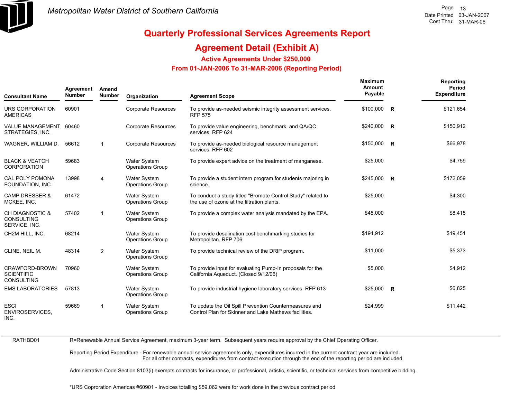

### **Agreement Detail (Exhibit A)**

**Active Agreements Under \$250,000** 

 **From 01-JAN-2006 To 31-MAR-2006 (Reporting Period)** 

| <b>Consultant Name</b>                                   | Agreement<br><b>Number</b> | Amend<br><b>Number</b>  | Organization                                   | <b>Agreement Scope</b>                                                                                          | <b>Maximum</b><br>Amount<br>Payable | Reporting<br>Period<br><b>Expenditure</b> |
|----------------------------------------------------------|----------------------------|-------------------------|------------------------------------------------|-----------------------------------------------------------------------------------------------------------------|-------------------------------------|-------------------------------------------|
| URS CORPORATION<br><b>AMERICAS</b>                       | 60901                      |                         | <b>Corporate Resources</b>                     | To provide as-needed seismic integrity assessment services.<br><b>RFP 575</b>                                   | \$100,000 R                         | \$121,654                                 |
| <b>VALUE MANAGEMENT</b><br>STRATEGIES, INC.              | 60460                      |                         | <b>Corporate Resources</b>                     | To provide value engineering, benchmark, and QA/QC<br>services. RFP 624                                         | \$240,000 R                         | \$150,912                                 |
| WAGNER, WILLIAM D.                                       | 56612                      | $\mathbf 1$             | <b>Corporate Resources</b>                     | To provide as-needed biological resource management<br>services. RFP 602                                        | $$150,000$ R                        | \$66,978                                  |
| <b>BLACK &amp; VEATCH</b><br><b>CORPORATION</b>          | 59683                      |                         | <b>Water System</b><br><b>Operations Group</b> | To provide expert advice on the treatment of manganese.                                                         | \$25,000                            | \$4,759                                   |
| <b>CAL POLY POMONA</b><br>FOUNDATION, INC.               | 13998                      | $\overline{4}$          | <b>Water System</b><br>Operations Group        | To provide a student intern program for students majoring in<br>science.                                        | \$245,000 R                         | \$172,059                                 |
| <b>CAMP DRESSER &amp;</b><br>MCKEE, INC.                 | 61472                      |                         | <b>Water System</b><br><b>Operations Group</b> | To conduct a study titled "Bromate Control Study" related to<br>the use of ozone at the filtration plants.      | \$25,000                            | \$4,300                                   |
| CH DIAGNOSTIC &<br><b>CONSULTING</b><br>SERVICE, INC.    | 57402                      | $\overline{\mathbf{1}}$ | <b>Water System</b><br><b>Operations Group</b> | To provide a complex water analysis mandated by the EPA.                                                        | \$45,000                            | \$8,415                                   |
| CH2M HILL, INC.                                          | 68214                      |                         | <b>Water System</b><br><b>Operations Group</b> | To provide desalination cost benchmarking studies for<br>Metropolitan. RFP 706                                  | \$194,912                           | \$19,451                                  |
| CLINE, NEIL M.                                           | 48314                      | 2                       | <b>Water System</b><br><b>Operations Group</b> | To provide technical review of the DRIP program.                                                                | \$11,000                            | \$5,373                                   |
| CRAWFORD-BROWN<br><b>SCIENTIFIC</b><br><b>CONSULTING</b> | 70960                      |                         | <b>Water System</b><br><b>Operations Group</b> | To provide input for evaluating Pump-In proposals for the<br>California Aqueduct. (Closed 9/12/06)              | \$5,000                             | \$4,912                                   |
| <b>EMS LABORATORIES</b>                                  | 57813                      |                         | Water System<br>Operations Group               | To provide industrial hygiene laboratory services. RFP 613                                                      | $$25,000$ R                         | \$6,825                                   |
| <b>ESCI</b><br>ENVIROSERVICES,<br>INC.                   | 59669                      | $\overline{1}$          | <b>Water System</b><br><b>Operations Group</b> | To update the Oil Spill Prevention Countermeasures and<br>Control Plan for Skinner and Lake Mathews facilities. | \$24,999                            | \$11,442                                  |

RATHBD01

R=Renewable Annual Service Agreement, maximum 3-year term. Subsequent years require approval by the Chief Operating Officer.

Reporting Period Expenditure - For renewable annual service agreements only, expenditures incurred in the current contract year are included. For all other contracts, expenditures from contract execution through the end of the reporting period are included.

Administrative Code Section 8103(i) exempts contracts for insurance, or professional, artistic, scientific, or technical services from competitive bidding.

\*URS Coproration Americas #60901 - Invoices totalling \$59,062 were for work done in the previous contract period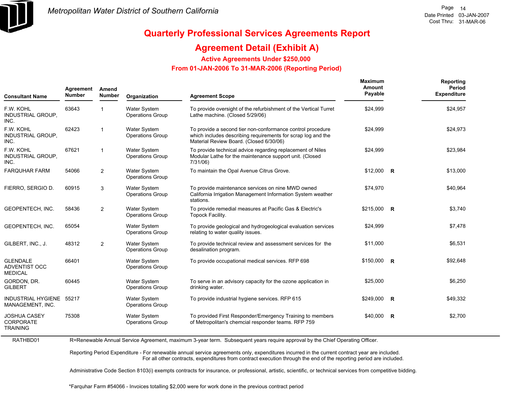

### **Agreement Detail (Exhibit A)**

**Active Agreements Under \$250,000** 

 **From 01-JAN-2006 To 31-MAR-2006 (Reporting Period)** 

| <b>Consultant Name</b>                                     | Agreement<br><b>Number</b> | Amend<br><b>Number</b> | Organization                                   | <b>Agreement Scope</b>                                                                                                                                                | Maximum<br>Amount<br>Payable | Reporting<br>Period<br><b>Expenditure</b> |
|------------------------------------------------------------|----------------------------|------------------------|------------------------------------------------|-----------------------------------------------------------------------------------------------------------------------------------------------------------------------|------------------------------|-------------------------------------------|
| F.W. KOHL<br>INDUSTRIAL GROUP,<br>INC.                     | 63643                      | 1                      | <b>Water System</b><br><b>Operations Group</b> | To provide oversight of the refurbishment of the Vertical Turret<br>Lathe machine. (Closed 5/29/06)                                                                   | \$24,999                     | \$24,957                                  |
| F.W. KOHL<br>INDUSTRIAL GROUP,<br>INC.                     | 62423                      | $\mathbf 1$            | <b>Water System</b><br><b>Operations Group</b> | To provide a second tier non-conformance control procedure<br>which includes describing requirements for scrap log and the<br>Material Review Board. (Closed 6/30/06) | \$24,999                     | \$24,973                                  |
| F.W. KOHL<br>INDUSTRIAL GROUP,<br>INC.                     | 67621                      | $\mathbf{1}$           | Water System<br><b>Operations Group</b>        | To provide technical advice regarding replacement of Niles<br>Modular Lathe for the maintenance support unit. (Closed<br>7/31/06)                                     | \$24,999                     | \$23,984                                  |
| <b>FARQUHAR FARM</b>                                       | 54066                      | $\overline{2}$         | <b>Water System</b><br><b>Operations Group</b> | To maintain the Opal Avenue Citrus Grove.                                                                                                                             | $$12,000$ R                  | \$13,000                                  |
| FIERRO, SERGIO D.                                          | 60915                      | 3                      | <b>Water System</b><br><b>Operations Group</b> | To provide maintenance services on nine MWD owned<br>California Irrigation Management Information System weather<br>stations.                                         | \$74,970                     | \$40,964                                  |
| GEOPENTECH, INC.                                           | 58436                      | $\overline{2}$         | Water System<br><b>Operations Group</b>        | To provide remedial measures at Pacific Gas & Electric's<br>Topock Facility.                                                                                          | \$215,000 R                  | \$3,740                                   |
| GEOPENTECH, INC.                                           | 65054                      |                        | Water System<br><b>Operations Group</b>        | To provide geological and hydrogeological evaluation services<br>relating to water quality issues.                                                                    | \$24,999                     | \$7,478                                   |
| GILBERT, INC., J.                                          | 48312                      | 2                      | Water System<br><b>Operations Group</b>        | To provide technical review and assessment services for the<br>desalination program.                                                                                  | \$11,000                     | \$6,531                                   |
| <b>GLENDALE</b><br><b>ADVENTIST OCC</b><br><b>MEDICAL</b>  | 66401                      |                        | Water System<br><b>Operations Group</b>        | To provide occupational medical services. RFP 698                                                                                                                     | $$150,000$ R                 | \$92,648                                  |
| GORDON, DR.<br><b>GILBERT</b>                              | 60445                      |                        | <b>Water System</b><br><b>Operations Group</b> | To serve in an advisory capacity for the ozone application in<br>drinking water.                                                                                      | \$25,000                     | \$6,250                                   |
| INDUSTRIAL HYGIENE 55217<br>MANAGEMENT, INC.               |                            |                        | <b>Water System</b><br><b>Operations Group</b> | To provide industrial hygiene services. RFP 615                                                                                                                       | $$249,000$ R                 | \$49,332                                  |
| <b>JOSHUA CASEY</b><br><b>CORPORATE</b><br><b>TRAINING</b> | 75308                      |                        | <b>Water System</b><br><b>Operations Group</b> | To provided First Responder/Emergency Training to members<br>of Metropolitan's chemcial responder teams. RFP 759                                                      | $$40,000$ R                  | \$2,700                                   |

RATHBD01R=Renewable Annual Service Agreement, maximum 3-year term. Subsequent years require approval by the Chief Operating Officer.

> Reporting Period Expenditure - For renewable annual service agreements only, expenditures incurred in the current contract year are included. For all other contracts, expenditures from contract execution through the end of the reporting period are included.

Administrative Code Section 8103(i) exempts contracts for insurance, or professional, artistic, scientific, or technical services from competitive bidding.

\*Farquhar Farm #54066 - Invoices totalling \$2,000 were for work done in the previous contract period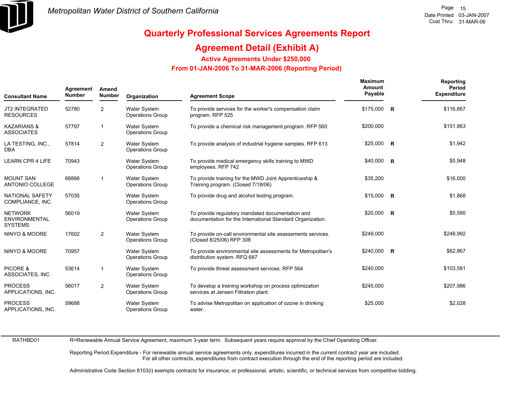

### **Agreement Detail (Exhibit A)**

**Active Agreements Under \$250,000** 

 **From 01-JAN-2006 To 31-MAR-2006 (Reporting Period)** 

| <b>Consultant Name</b>                                   | Agreement<br><b>Number</b> | Amend<br><b>Number</b><br>Organization<br><b>Agreement Scope</b> |                                                |                                                                                                                | Maximum<br>Amount<br>Payable | Reporting<br>Period<br><b>Expenditure</b> |
|----------------------------------------------------------|----------------------------|------------------------------------------------------------------|------------------------------------------------|----------------------------------------------------------------------------------------------------------------|------------------------------|-------------------------------------------|
| <b>JT2 INTEGRATED</b><br><b>RESOURCES</b>                | 52780                      | 2                                                                | <b>Water System</b><br><b>Operations Group</b> | To provide services for the worker's compensation claim<br>program. RFP 525                                    | \$175,000 R                  | \$116,667                                 |
| <b>KAZARIANS &amp;</b><br><b>ASSOCIATES</b>              | 57797                      | $\overline{1}$                                                   | <b>Water System</b><br><b>Operations Group</b> | To provide a chemical risk management program. RFP 560                                                         | \$200,000                    | \$151,863                                 |
| LA TESTING, INC.,<br>DBA                                 | 57814                      | 2                                                                | <b>Water System</b><br><b>Operations Group</b> | To provide analysis of industrial hygiene samples. RFP 613                                                     | \$25,000 R                   | \$1,942                                   |
| <b>LEARN CPR 4 LIFE</b>                                  | 70943                      |                                                                  | <b>Water System</b><br><b>Operations Group</b> | To provide medical emergency skills training to MWD<br>employees. RFP 742                                      | \$40,000 R                   | \$5,948                                   |
| <b>MOUNT SAN</b><br>ANTONIO COLLEGE                      | 68866                      | -1                                                               | <b>Water System</b><br><b>Operations Group</b> | To provide training for the MWD Joint Apprenticeship &<br>Training program. (Closed 7/18/06)                   | \$35,200                     | \$16,000                                  |
| <b>NATIONAL SAFETY</b><br>COMPLIANCE, INC.               | 57035                      |                                                                  | <b>Water System</b><br><b>Operations Group</b> | To provide drug and alcohol testing program.                                                                   | $$15,000$ R                  | \$1,868                                   |
| <b>NETWORK</b><br><b>ENVIRONMENTAL</b><br><b>SYSTEMS</b> | 56019                      |                                                                  | <b>Water System</b><br><b>Operations Group</b> | To provide regulatory mandated documentation and<br>documentation for the International Standard Organization. | \$20,000 R                   | \$5,590                                   |
| NINYO & MOORE                                            | 17602                      | 2                                                                | <b>Water System</b><br><b>Operations Group</b> | To provide on-call environmental site assessments services.<br>(Closed 8/25/06) RFP 308                        | \$249,000                    | \$248,992                                 |
| <b>NINYO &amp; MOORE</b>                                 | 70957                      |                                                                  | <b>Water System</b><br><b>Operations Group</b> | To provide environmental site assessments for Metropolitan's<br>distribution system. RFQ 687                   | \$240,000 R                  | \$62,867                                  |
| PICORE &<br>ASSOCIATES, INC.                             | 53614                      | -1                                                               | <b>Water System</b><br><b>Operations Group</b> | To provide threat assessment services. RFP 564                                                                 | \$240,000                    | \$103,581                                 |
| <b>PROCESS</b><br>APPLICATIONS, INC.                     | 56017                      | $\overline{2}$                                                   | Water System<br><b>Operations Group</b>        | To develop a training workshop on process optimization<br>services at Jensen Filtration plant.                 | \$245,000                    | \$207,986                                 |
| <b>PROCESS</b><br>APPLICATIONS, INC.                     | 59688                      |                                                                  | <b>Water System</b><br><b>Operations Group</b> | To advise Metropolitan on application of ozone in drinking<br>water.                                           | \$25,000                     | \$2,028                                   |

RATHBD01

R=Renewable Annual Service Agreement, maximum 3-year term. Subsequent years require approval by the Chief Operating Officer.

Reporting Period Expenditure - For renewable annual service agreements only, expenditures incurred in the current contract year are included. For all other contracts, expenditures from contract execution through the end of the reporting period are included.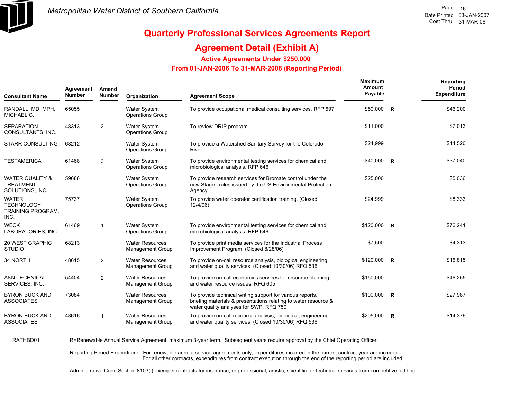

## **Quarterly Professional Services Agreements Report**

### **Agreement Detail (Exhibit A)**

**Active Agreements Under \$250,000** 

 **From 01-JAN-2006 To 31-MAR-2006 (Reporting Period)** 

| <b>Consultant Name</b>                                  | Agreement<br><b>Number</b> | Amend<br><b>Number</b> | Organization                                      | <b>Agreement Scope</b>                                                                                                                                                  | <b>Maximum</b><br>Amount<br>Payable |                | Reporting<br>Period<br><b>Expenditure</b> |
|---------------------------------------------------------|----------------------------|------------------------|---------------------------------------------------|-------------------------------------------------------------------------------------------------------------------------------------------------------------------------|-------------------------------------|----------------|-------------------------------------------|
| RANDALL, MD, MPH,<br>MICHAEL C.                         | 65055                      |                        | <b>Water System</b><br><b>Operations Group</b>    | To provide occupational medical consulting services. RFP 697                                                                                                            | \$50,000 R                          |                | \$46,200                                  |
| SEPARATION<br>CONSULTANTS, INC.                         | 48313                      | 2                      | <b>Water System</b><br><b>Operations Group</b>    | To review DRIP program.                                                                                                                                                 | \$11,000                            |                | \$7,013                                   |
| STARR CONSULTING                                        | 68212                      |                        | <b>Water System</b><br><b>Operations Group</b>    | To provide a Watershed Sanitary Survey for the Colorado<br>River.                                                                                                       | \$24,999                            |                | \$14,520                                  |
| TESTAMERICA                                             | 61468                      | 3                      | <b>Water System</b><br><b>Operations Group</b>    | To provide environmental testing services for chemical and<br>microbiological analysis. RFP 646                                                                         | $$40,000$ R                         |                | \$37,040                                  |
| WATER QUALITY &<br><b>TREATMENT</b><br>SOLUTIONS, INC.  | 59686                      |                        | <b>Water System</b><br><b>Operations Group</b>    | To provide research services for Bromate control under the<br>new Stage I rules issued by the US Environmental Protection<br>Agency.                                    | \$25,000                            |                | \$5,036                                   |
| WATER<br><b>TECHNOLOGY</b><br>TRAINING PROGRAM,<br>INC. | 75737                      |                        | <b>Water System</b><br>Operations Group           | To provide water operator certification training. (Closed<br>12/4/06)                                                                                                   | \$24,999                            |                | \$8,333                                   |
| WECK<br>LABORATORIES, INC.                              | 61469                      | $\mathbf{1}$           | <b>Water System</b><br><b>Operations Group</b>    | To provide environmental testing services for chemical and<br>microbiological analysis. RFP 646                                                                         | $$120,000$ R                        |                | \$76,241                                  |
| 20 WEST GRAPHIC<br>Studio                               | 68213                      |                        | <b>Water Resources</b><br><b>Management Group</b> | To provide print media services for the Industrial Process<br>Improvement Program. (Closed 8/28/06)                                                                     | \$7,500                             |                | \$4,313                                   |
| 34 NORTH                                                | 48615                      | $\overline{2}$         | <b>Water Resources</b><br><b>Management Group</b> | To provide on-call resource analysis, biological engineering,<br>and water quality services. (Closed 10/30/06) RFQ 536                                                  | $$120,000$ R                        |                | \$16,815                                  |
| <b>A&amp;N TECHNICAL</b><br>SERVICES, INC.              | 54404                      | $\overline{2}$         | <b>Water Resources</b><br><b>Management Group</b> | To provide on-call economics services for resource planning<br>and water resource issues. RFQ 605                                                                       | \$150,000                           |                | \$46,255                                  |
| <b>BYRON BUCK AND</b><br>ASSOCIATES                     | 73084                      |                        | <b>Water Resources</b><br>Management Group        | To provide technical writing support for various reports,<br>briefing materials & presentations relating to water resource &<br>water quality analyses for SWP. RFQ 750 | \$100,000                           | $\overline{R}$ | \$27,987                                  |
| <b>BYRON BUCK AND</b><br><b>ASSOCIATES</b>              | 48616                      | $\mathbf{1}$           | <b>Water Resources</b><br><b>Management Group</b> | To provide on-call resource analysis, biological, engineering<br>and water quality services. (Closed 10/30/06) RFQ 536                                                  | \$205,000                           | $\overline{R}$ | \$14,376                                  |
|                                                         |                            |                        |                                                   |                                                                                                                                                                         |                                     |                |                                           |

R=Renewable Annual Service Agreement, maximum 3-year term. Subsequent years require approval by the Chief Operating Officer.

Reporting Period Expenditure - For renewable annual service agreements only, expenditures incurred in the current contract year are included. For all other contracts, expenditures from contract execution through the end of the reporting period are included.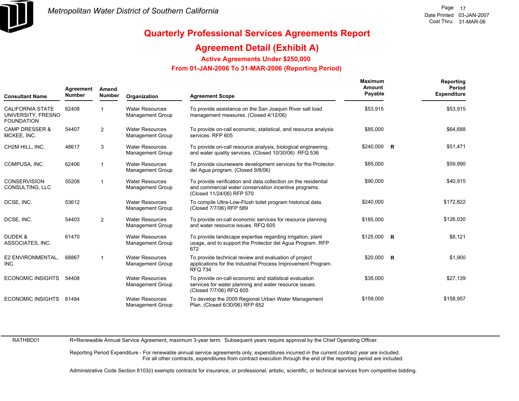

### **Agreement Detail (Exhibit A)**

**Active Agreements Under \$250,000** 

#### **From 01-JAN-2006 To 31-MAR-2006 (Reporting Period)**

| <b>Consultant Name</b>                                             | Agreement<br>Amend<br><b>Number</b><br>Number |                | Organization<br><b>Agreement Scope</b>            |                                                                                                                                                      | Maximum<br>Amount<br>Payable | Reporting<br>Period<br><b>Expenditure</b> |
|--------------------------------------------------------------------|-----------------------------------------------|----------------|---------------------------------------------------|------------------------------------------------------------------------------------------------------------------------------------------------------|------------------------------|-------------------------------------------|
| <b>CALIFORNIA STATE</b><br>UNIVERSITY, FRESNO<br><b>FOUNDATION</b> | 62408                                         |                | <b>Water Resources</b><br>Management Group        | To provide assistance on the San Joaquin River salt load<br>management measures. (Closed 4/12/06)                                                    | \$53,915                     | \$53,915                                  |
| <b>CAMP DRESSER &amp;</b><br>MCKEE, INC.                           | 54407                                         | $\overline{2}$ | <b>Water Resources</b><br><b>Management Group</b> | To provide on-call economic, statistical, and resource analysis<br>services. RFP 605                                                                 | \$85,000                     | \$64,688                                  |
| CH2M HILL, INC.                                                    | 48617                                         | 3              | <b>Water Resources</b><br><b>Management Group</b> | To provide on-call resource analysis, biological engineering,<br>and water quality services. (Closed 10/30/06) RFQ 536                               | $$240,000$ R                 | \$51,471                                  |
| COMPUSA, INC.                                                      | 62406                                         |                | <b>Water Resources</b><br>Management Group        | To provide courseware development services for the Protector<br>del Aqua program. (Closed 9/8/06)                                                    | \$85,000                     | \$59,990                                  |
| <b>CONSERVISION</b><br>CONSULTING, LLC                             | 55208                                         | 1              | <b>Water Resources</b><br><b>Management Group</b> | To provide verification and data collection on the residential<br>and commercial water conservation incentive programs.<br>(Closed 11/24/06) RFP 570 | \$90,000                     | \$40,915                                  |
| DCSE, INC.                                                         | 53612                                         |                | <b>Water Resources</b><br><b>Management Group</b> | To compile Ultra-Low-Flush toilet program historical data.<br>(Closed 7/7/06) RFP 589                                                                | \$240,000                    | \$172,822                                 |
| DCSE. INC.                                                         | 54403                                         | $\overline{2}$ | <b>Water Resources</b><br>Management Group        | To provide on-call economic services for resource planning<br>and water resource issues. RFQ 605                                                     | \$185,000                    | \$126,030                                 |
| DUDEK &<br>ASSOCIATES, INC.                                        | 61470                                         |                | <b>Water Resources</b><br><b>Management Group</b> | To provide landscape expertise regarding irrigation, plant<br>usage, and to support the Protector del Agua Program. RFP<br>672                       | $$125,000$ R                 | \$8,121                                   |
| E2 ENVIRONMENTAL.<br>INC.                                          | 68867                                         | 1              | <b>Water Resources</b><br><b>Management Group</b> | To provide technical review and evaluation of project<br>applications for the Industrial Process Improvement Program.<br><b>RFQ 734</b>              | $$20,000$ R                  | \$1,900                                   |
| <b>ECONOMIC INSIGHTS</b>                                           | 54408                                         |                | <b>Water Resources</b><br><b>Management Group</b> | To provide on-call economic and statistical evaluation<br>services for water planning and water resource issues.<br>(Closed 7/7/06) RFQ 605          | \$35,000                     | \$27,139                                  |
| <b>ECONOMIC INSIGHTS</b>                                           | 61484                                         |                | <b>Water Resources</b><br><b>Management Group</b> | To develop the 2005 Regional Urban Water Management<br>Plan. (Closed 6/30/06) RFP 652                                                                | \$159,000                    | \$158,957                                 |

RATHBD01

R=Renewable Annual Service Agreement, maximum 3-year term. Subsequent years require approval by the Chief Operating Officer.

Reporting Period Expenditure - For renewable annual service agreements only, expenditures incurred in the current contract year are included. For all other contracts, expenditures from contract execution through the end of the reporting period are included.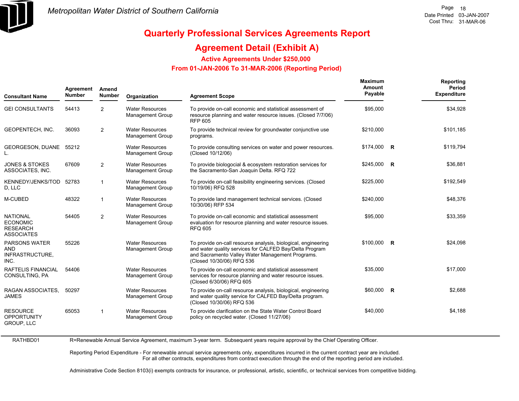

### **Agreement Detail (Exhibit A)**

**Active Agreements Under \$250,000** 

 **From 01-JAN-2006 To 31-MAR-2006 (Reporting Period)** 

| <b>Consultant Name</b>                                                     | Agreement<br>Amend<br><b>Number</b><br><b>Number</b> |                | Organization                                      | <b>Agreement Scope</b>                                                                                                                                                                                    | <b>Maximum</b><br>Amount<br>Payable | Reporting<br>Period<br><b>Expenditure</b> |
|----------------------------------------------------------------------------|------------------------------------------------------|----------------|---------------------------------------------------|-----------------------------------------------------------------------------------------------------------------------------------------------------------------------------------------------------------|-------------------------------------|-------------------------------------------|
| <b>GEI CONSULTANTS</b>                                                     | 54413                                                | 2              | <b>Water Resources</b><br><b>Management Group</b> | To provide on-call economic and statistical assessment of<br>resource planning and water resource issues. (Closed 7/7/06)<br><b>RFP 605</b>                                                               | \$95,000                            | \$34,928                                  |
| <b>GEOPENTECH. INC.</b>                                                    | 36093                                                | $\overline{2}$ | <b>Water Resources</b><br><b>Management Group</b> | To provide technical review for groundwater conjunctive use<br>programs.                                                                                                                                  | \$210,000                           | \$101,185                                 |
| GEORGESON, DUANE 55212                                                     |                                                      |                | <b>Water Resources</b><br><b>Management Group</b> | To provide consulting services on water and power resources.<br>(Closed 10/12/06)                                                                                                                         | $$174,000$ R                        | \$119,794                                 |
| <b>JONES &amp; STOKES</b><br>ASSOCIATES, INC.                              | 67609                                                | 2              | <b>Water Resources</b><br><b>Management Group</b> | To provide biologocial & ecosystem restoration services for<br>the Sacramento-San Joaquin Delta. RFQ 722                                                                                                  | $$245,000$ R                        | \$36,881                                  |
| KENNEDY/JENKS/TOD<br>D, LLC                                                | 52783                                                | $\mathbf{1}$   | <b>Water Resources</b><br><b>Management Group</b> | To provide on-call feasibility engineering services. (Closed<br>10/19/06) RFQ 528                                                                                                                         | \$225,000                           | \$192,549                                 |
| M-CUBED                                                                    | 48322                                                | $\mathbf{1}$   | <b>Water Resources</b><br><b>Management Group</b> | To provide land management technical services. (Closed<br>10/30/06) RFP 534                                                                                                                               | \$240,000                           | \$48,376                                  |
| <b>NATIONAL</b><br><b>ECONOMIC</b><br><b>RESEARCH</b><br><b>ASSOCIATES</b> | 54405                                                | 2              | <b>Water Resources</b><br><b>Management Group</b> | To provide on-call economic and statistical assessment<br>evaluation for resource planning and water resource issues.<br><b>RFQ 605</b>                                                                   | \$95,000                            | \$33,359                                  |
| <b>PARSONS WATER</b><br><b>AND</b><br>INFRASTRUCTURE,<br>INC.              | 55226                                                |                | <b>Water Resources</b><br><b>Management Group</b> | To provide on-call resource analysis, biological, engineering<br>and water quality services for CALFED Bay/Delta Program<br>and Sacramento Valley Water Management Programs.<br>(Closed 10/30/06) RFQ 536 | $$100,000$ R                        | \$24,098                                  |
| RAFTELIS FINANCIAL<br>CONSULTING, PA                                       | 54406                                                |                | <b>Water Resources</b><br><b>Management Group</b> | To provide on-call economic and statistical assessment<br>services for resource planning and water resource issues.<br>(Closed 6/30/06) RFQ 605                                                           | \$35,000                            | \$17,000                                  |
| RAGAN ASSOCIATES,<br><b>JAMES</b>                                          | 50297                                                |                | <b>Water Resources</b><br><b>Management Group</b> | To provide on-call resource analysis, biological, engineering<br>and water quality service for CALFED Bay/Delta program.<br>(Closed 10/30/06) RFQ 536                                                     | $$60,000$ R                         | \$2,688                                   |
| <b>RESOURCE</b><br><b>OPPORTUNITY</b><br><b>GROUP, LLC</b>                 | 65053                                                | $\mathbf{1}$   | <b>Water Resources</b><br><b>Management Group</b> | To provide clarification on the State Water Control Board<br>policy on recycled water. (Closed 11/27/06)                                                                                                  | \$40,000                            | \$4,188                                   |

RATHBD01 R=Renewable Annual Service Agreement, maximum 3-year term. Subsequent years require approval by the Chief Operating Officer.

> Reporting Period Expenditure - For renewable annual service agreements only, expenditures incurred in the current contract year are included. For all other contracts, expenditures from contract execution through the end of the reporting period are included.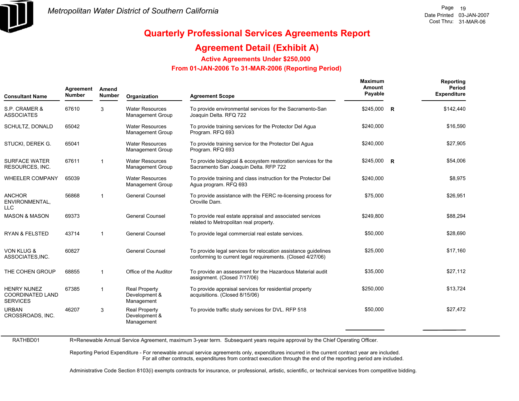

### **Agreement Detail (Exhibit A)**

**Active Agreements Under \$250,000** 

 **From 01-JAN-2006 To 31-MAR-2006 (Reporting Period)** 

| <b>Consultant Name</b>                                           | Agreement<br><b>Number</b> | Amend<br><b>Number</b> | Organization                                        | <b>Agreement Scope</b>                                                                                                       | <b>Maximum</b><br>Amount<br>Payable | Reporting<br>Period<br><b>Expenditure</b> |
|------------------------------------------------------------------|----------------------------|------------------------|-----------------------------------------------------|------------------------------------------------------------------------------------------------------------------------------|-------------------------------------|-------------------------------------------|
| S.P. CRAMER &<br><b>ASSOCIATES</b>                               | 67610                      | 3                      | <b>Water Resources</b><br><b>Management Group</b>   | To provide environmental services for the Sacramento-San<br>Joaquin Delta. RFQ 722                                           | \$245,000 R                         | \$142,440                                 |
| SCHULTZ, DONALD                                                  | 65042                      |                        | <b>Water Resources</b><br><b>Management Group</b>   | To provide training services for the Protector Del Agua<br>Program. RFQ 693                                                  | \$240,000                           | \$16,590                                  |
| STUCKI, DEREK G.                                                 | 65041                      |                        | <b>Water Resources</b><br><b>Management Group</b>   | To provide training service for the Protector Del Agua<br>Program. RFQ 693                                                   | \$240,000                           | \$27,905                                  |
| <b>SURFACE WATER</b><br>RESOURCES, INC.                          | 67611                      | $\mathbf{1}$           | <b>Water Resources</b><br><b>Management Group</b>   | To provide biological & ecosystem restoration services for the<br>Sacramento San Joaquin Delta. RFP 722                      | $$245,000$ R                        | \$54,006                                  |
| <b>WHEELER COMPANY</b>                                           | 65039                      |                        | <b>Water Resources</b><br><b>Management Group</b>   | To provide training and class instruction for the Protector Del<br>Agua program. RFQ 693                                     | \$240,000                           | \$8,975                                   |
| <b>ANCHOR</b><br>ENVIRONMENTAL,<br><b>LLC</b>                    | 56868                      | $\mathbf{1}$           | <b>General Counsel</b>                              | To provide assistance with the FERC re-licensing process for<br>Oroville Dam.                                                | \$75,000                            | \$26,951                                  |
| <b>MASON &amp; MASON</b>                                         | 69373                      |                        | <b>General Counsel</b>                              | To provide real estate appraisal and associated services<br>related to Metropolitan real property.                           | \$249.800                           | \$88,294                                  |
| <b>RYAN &amp; FELSTED</b>                                        | 43714                      | $\mathbf{1}$           | <b>General Counsel</b>                              | To provide legal commercial real estate services.                                                                            | \$50,000                            | \$28,690                                  |
| <b>VON KLUG &amp;</b><br>ASSOCIATES, INC.                        | 60827                      |                        | <b>General Counsel</b>                              | To provide legal services for relocation assistance quidelines<br>conforming to current legal requirements. (Closed 4/27/06) | \$25,000                            | \$17,160                                  |
| THE COHEN GROUP                                                  | 68855                      | $\mathbf{1}$           | Office of the Auditor                               | To provide an assessment for the Hazardous Material audit<br>assignment. (Closed 7/17/06)                                    | \$35,000                            | \$27,112                                  |
| <b>HENRY NUNEZ</b><br><b>COORDINATED LAND</b><br><b>SERVICES</b> | 67385                      | $\mathbf{1}$           | <b>Real Property</b><br>Development &<br>Management | To provide appraisal services for residential property<br>acquisitions. (Closed 8/15/06)                                     | \$250,000                           | \$13,724                                  |
| <b>URBAN</b><br>CROSSROADS, INC.                                 | 46207                      | 3                      | <b>Real Property</b><br>Development &<br>Management | To provide traffic study services for DVL. RFP 518                                                                           | \$50,000                            | \$27,472                                  |

RATHBD01

R=Renewable Annual Service Agreement, maximum 3-year term. Subsequent years require approval by the Chief Operating Officer.

Reporting Period Expenditure - For renewable annual service agreements only, expenditures incurred in the current contract year are included. For all other contracts, expenditures from contract execution through the end of the reporting period are included.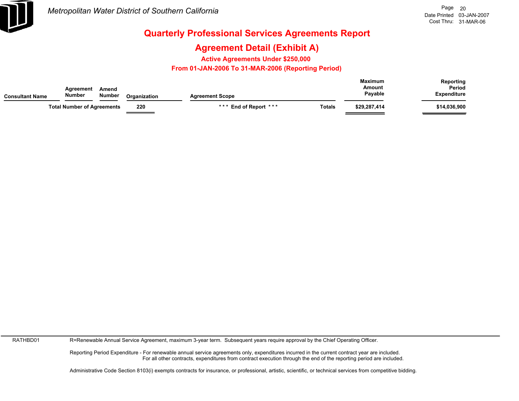

### **Agreement Detail (Exhibit A)**

**Active Agreements Under \$250,000** 

 **From 01-JAN-2006 To 31-MAR-2006 (Reporting Period)** 

| Consultant Name | Agreement<br><b>Number</b>        | Amend<br>Number | Organization | <b>Agreement Scope</b> | <b>Maximum</b><br>Amount |              | Reporting<br>Period<br><b>Expenditure</b> |
|-----------------|-----------------------------------|-----------------|--------------|------------------------|--------------------------|--------------|-------------------------------------------|
|                 | <b>Total Number of Agreements</b> |                 | 220          | *** End of Report ***  | <b>Totals</b>            | \$29,287,414 | \$14,036,900                              |

RATHBD01

R=Renewable Annual Service Agreement, maximum 3-year term. Subsequent years require approval by the Chief Operating Officer.

Reporting Period Expenditure - For renewable annual service agreements only, expenditures incurred in the current contract year are included. For all other contracts, expenditures from contract execution through the end of the reporting period are included.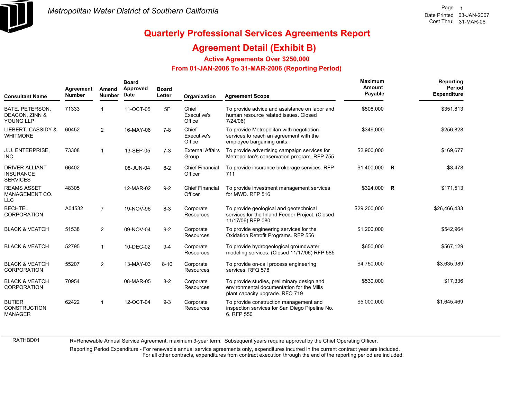

#### **Agreement Detail (Exhibit B)**

**Active Agreements Over \$250,000**

#### **From 01-JAN-2006 To 31-MAR-2006 (Reporting Period)**

| <b>Consultant Name</b>                                       | Agreement<br><b>Number</b> | Amend<br><b>Number</b> | <b>Board</b><br>Approved<br>Date | <b>Board</b><br>Letter | Organization                      | <b>Agreement Scope</b>                                                                                                     | Maximum<br>Amount<br>Payable | Reporting<br>Period<br><b>Expenditure</b> |
|--------------------------------------------------------------|----------------------------|------------------------|----------------------------------|------------------------|-----------------------------------|----------------------------------------------------------------------------------------------------------------------------|------------------------------|-------------------------------------------|
| BATE, PETERSON,<br>DEACON, ZINN &<br>YOUNG LLP               | 71333                      |                        | 11-OCT-05                        | 5F                     | Chief<br>Executive's<br>Office    | To provide advice and assistance on labor and<br>human resource related issues. Closed<br>7/24/06                          | \$508,000                    | \$351,813                                 |
| LIEBERT, CASSIDY &<br><b>WHITMORE</b>                        | 60452                      | $\overline{2}$         | 16-MAY-06                        | $7 - 8$                | Chief<br>Executive's<br>Office    | To provide Metropolitan with negotiation<br>services to reach an agreement with the<br>employee bargaining units.          | \$349,000                    | \$256,828                                 |
| J.U. ENTERPRISE,<br>INC.                                     | 73308                      | $\mathbf{1}$           | 13-SEP-05                        | $7-3$                  | <b>External Affairs</b><br>Group  | To provide advertising campaign services for<br>Metropolitan's conservation program. RFP 755                               | \$2,900,000                  | \$169,677                                 |
| <b>DRIVER ALLIANT</b><br><b>INSURANCE</b><br><b>SERVICES</b> | 66402                      |                        | 08-JUN-04                        | $8 - 2$                | <b>Chief Financial</b><br>Officer | To provide insurance brokerage services. RFP<br>711                                                                        | \$1,400,000 R                | \$3,478                                   |
| <b>REAMS ASSET</b><br>MANAGEMENT CO.<br><b>LLC</b>           | 48305                      |                        | 12-MAR-02                        | $9 - 2$                | <b>Chief Financial</b><br>Officer | To provide investment management services<br>for MWD, RFP 516                                                              | \$324,000 R                  | \$171,513                                 |
| <b>BECHTEL</b><br><b>CORPORATION</b>                         | A04532                     | $\overline{7}$         | 19-NOV-96                        | $8 - 3$                | Corporate<br><b>Resources</b>     | To provide geological and geotechnical<br>services for the Inland Feeder Project. (Closed<br>11/17/06) RFP 080             | \$29,200,000                 | \$26,466,433                              |
| <b>BLACK &amp; VEATCH</b>                                    | 51538                      | $\overline{2}$         | 09-NOV-04                        | $9 - 2$                | Corporate<br><b>Resources</b>     | To provide engineering services for the<br>Oxidation Retrofit Programs. RFP 556                                            | \$1.200.000                  | \$542,964                                 |
| <b>BLACK &amp; VEATCH</b>                                    | 52795                      | $\mathbf{1}$           | 10-DEC-02                        | $9 - 4$                | Corporate<br>Resources            | To provide hydrogeological groundwater<br>modeling services. (Closed 11/17/06) RFP 585                                     | \$650,000                    | \$567,129                                 |
| <b>BLACK &amp; VEATCH</b><br><b>CORPORATION</b>              | 55207                      | $\overline{2}$         | 13-MAY-03                        | $8 - 10$               | Corporate<br>Resources            | To provide on-call process engineering<br>services, RFQ 578                                                                | \$4,750,000                  | \$3,635,989                               |
| <b>BLACK &amp; VEATCH</b><br><b>CORPORATION</b>              | 70954                      |                        | 08-MAR-05                        | $8 - 2$                | Corporate<br>Resources            | To provide studies, preliminary design and<br>environmental documentation for the Mills<br>plant capacity upgrade. RFQ 719 | \$530,000                    | \$17,336                                  |
| <b>BUTIER</b><br><b>CONSTRUCTION</b><br><b>MANAGER</b>       | 62422                      | -1                     | 12-OCT-04                        | $9 - 3$                | Corporate<br>Resources            | To provide construction management and<br>inspection services for San Diego Pipeline No.<br>6. RFP 550                     | \$5,000,000                  | \$1,645,469                               |

RATHBD01

R=Renewable Annual Service Agreement, maximum 3-year term. Subsequent years require approval by the Chief Operating Officer.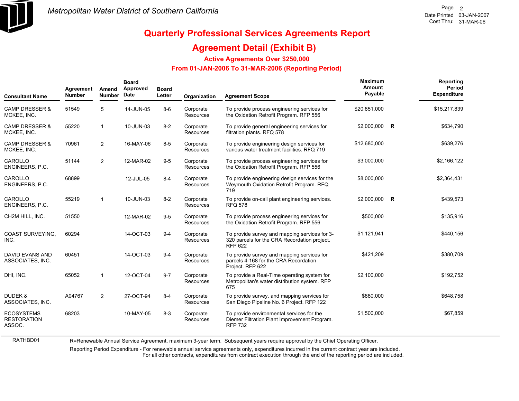

## **Quarterly Professional Services Agreements Report**

#### **Agreement Detail (Exhibit B)**

**Active Agreements Over \$250,000**

#### **From 01-JAN-2006 To 31-MAR-2006 (Reporting Period)**

| <b>Consultant Name</b>                            | Agreement<br><b>Number</b> | Amend<br><b>Number</b> | <b>Board</b><br>Approved<br><b>Date</b> | <b>Board</b><br>Letter | Organization                  | <b>Agreement Scope</b>                                                                                          | Maximum<br>Amount<br>Payable | Reporting<br>Period<br><b>Expenditure</b> |
|---------------------------------------------------|----------------------------|------------------------|-----------------------------------------|------------------------|-------------------------------|-----------------------------------------------------------------------------------------------------------------|------------------------------|-------------------------------------------|
| <b>CAMP DRESSER &amp;</b><br>MCKEE, INC.          | 51549                      | 5                      | 14-JUN-05                               | $8-6$                  | Corporate<br>Resources        | To provide process engineering services for<br>the Oxidation Retrofit Program. RFP 556                          | \$20,851,000                 | \$15,217,839                              |
| <b>CAMP DRESSER &amp;</b><br>MCKEE, INC.          | 55220                      | $\mathbf 1$            | 10-JUN-03                               | $8 - 2$                | Corporate<br>Resources        | To provide general engineering services for<br>filtration plants. RFQ 578                                       | \$2,000,000 R                | \$634,790                                 |
| <b>CAMP DRESSER &amp;</b><br>MCKEE, INC.          | 70961                      | $\overline{2}$         | 16-MAY-06                               | $8-5$                  | Corporate<br>Resources        | To provide engineering design services for<br>various water treatment facilities. RFQ 719                       | \$12,680,000                 | \$639,276                                 |
| CAROLLO<br>ENGINEERS, P.C.                        | 51144                      | $\overline{2}$         | 12-MAR-02                               | $9 - 5$                | Corporate<br>Resources        | To provide process engineering services for<br>the Oxidation Retrofit Program. RFP 556                          | \$3,000,000                  | \$2,166,122                               |
| CAROLLO<br>ENGINEERS, P.C.                        | 68899                      |                        | 12-JUL-05                               | $8 - 4$                | Corporate<br>Resources        | To provide engineering design services for the<br>Weymouth Oxidation Retrofit Program. RFQ<br>719               | \$8,000,000                  | \$2,364,431                               |
| CAROLLO<br>ENGINEERS, P.C.                        | 55219                      | $\mathbf 1$            | 10-JUN-03                               | $8 - 2$                | Corporate<br>Resources        | To provide on-call plant engineering services.<br><b>RFQ 578</b>                                                | \$2,000,000 R                | \$439,573                                 |
| CH2M HILL, INC.                                   | 51550                      |                        | 12-MAR-02                               | $9-5$                  | Corporate<br>Resources        | To provide process engineering services for<br>the Oxidation Retrofit Program. RFP 556                          | \$500,000                    | \$135,916                                 |
| <b>COAST SURVEYING.</b><br>INC.                   | 60294                      |                        | 14-OCT-03                               | $9 - 4$                | Corporate<br><b>Resources</b> | To provide survey and mapping services for 3-<br>320 parcels for the CRA Recordation project.<br><b>RFP 622</b> | \$1,121,941                  | \$440,156                                 |
| <b>DAVID EVANS AND</b><br>ASSOCIATES, INC.        | 60451                      |                        | 14-OCT-03                               | $9 - 4$                | Corporate<br>Resources        | To provide survey and mapping services for<br>parcels 4-168 for the CRA Recordation<br>Project. RFP 622         | \$421,209                    | \$380,709                                 |
| DHI, INC.                                         | 65052                      | $\mathbf{1}$           | 12-OCT-04                               | $9 - 7$                | Corporate<br>Resources        | To provide a Real-Time operating system for<br>Metropolitan's water distribution system. RFP<br>675             | \$2,100,000                  | \$192,752                                 |
| DUDEK &<br>ASSOCIATES, INC.                       | A04767                     | 2                      | 27-OCT-94                               | $8 - 4$                | Corporate<br>Resources        | To provide survey, and mapping services for<br>San Diego Pipeline No. 6 Project. RFP 122                        | \$880,000                    | \$648,758                                 |
| <b>ECOSYSTEMS</b><br><b>RESTORATION</b><br>ASSOC. | 68203                      |                        | 10-MAY-05                               | $8 - 3$                | Corporate<br><b>Resources</b> | To provide environmental services for the<br>Diemer Filtration Plant Improvement Program.<br><b>RFP 732</b>     | \$1,500,000                  | \$67,859                                  |

R=Renewable Annual Service Agreement, maximum 3-year term. Subsequent years require approval by the Chief Operating Officer.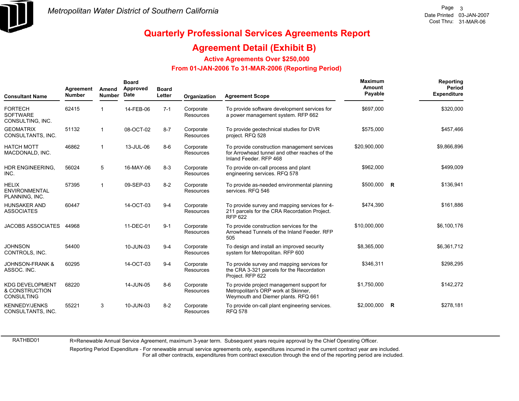

#### **Agreement Detail (Exhibit B)**

**Active Agreements Over \$250,000**

#### **From 01-JAN-2006 To 31-MAR-2006 (Reporting Period)**

| <b>Consultant Name</b>                                        | Agreement<br><b>Number</b> | Amend<br><b>Number</b> | <b>Board</b><br>Approved<br><b>Date</b> | <b>Board</b><br>Letter | Organization                  | <b>Agreement Scope</b>                                                                                                  | Maximum<br>Amount<br>Payable |          | <b>Reporting</b><br>Period<br><b>Expenditure</b> |
|---------------------------------------------------------------|----------------------------|------------------------|-----------------------------------------|------------------------|-------------------------------|-------------------------------------------------------------------------------------------------------------------------|------------------------------|----------|--------------------------------------------------|
| <b>FORTECH</b><br><b>SOFTWARE</b><br>CONSULTING, INC.         | 62415                      |                        | 14-FEB-06                               | $7 - 1$                | Corporate<br><b>Resources</b> | To provide software development services for<br>a power management system. RFP 662                                      | \$697,000                    |          | \$320,000                                        |
| <b>GEOMATRIX</b><br>CONSULTANTS, INC.                         | 51132                      | 1                      | 08-OCT-02                               | $8 - 7$                | Corporate<br><b>Resources</b> | To provide geotechnical studies for DVR<br>project. RFQ 528                                                             | \$575,000                    |          | \$457,466                                        |
| <b>HATCH MOTT</b><br>MACDONALD, INC.                          | 46862                      | 1                      | 13-JUL-06                               | $8-6$                  | Corporate<br><b>Resources</b> | To provide construction management services<br>for Arrowhead tunnel and other reaches of the<br>Inland Feeder, RFP 468  | \$20,900,000                 |          | \$9,866,896                                      |
| HDR ENGINEERING,<br>INC.                                      | 56024                      | 5                      | 16-MAY-06                               | $8 - 3$                | Corporate<br><b>Resources</b> | To provide on-call process and plant<br>engineering services. RFQ 578                                                   | \$962,000                    |          | \$499,009                                        |
| <b>HELIX</b><br><b>ENVIRONMENTAL</b><br>PLANNING, INC.        | 57395                      | 1                      | 09-SEP-03                               | $8 - 2$                | Corporate<br>Resources        | To provide as-needed environmental planning<br>services. RFQ 546                                                        | \$500,000                    | <b>R</b> | \$136,941                                        |
| <b>HUNSAKER AND</b><br><b>ASSOCIATES</b>                      | 60447                      |                        | 14-OCT-03                               | $9 - 4$                | Corporate<br><b>Resources</b> | To provide survey and mapping services for 4-<br>211 parcels for the CRA Recordation Project.<br><b>RFP 622</b>         | \$474,390                    |          | \$161,886                                        |
| <b>JACOBS ASSOCIATES</b>                                      | 44968                      |                        | 11-DEC-01                               | $9 - 1$                | Corporate<br><b>Resources</b> | To provide construction services for the<br>Arrowhead Tunnels of the Inland Feeder, RFP<br>505                          | \$10,000,000                 |          | \$6,100,176                                      |
| <b>JOHNSON</b><br>CONTROLS, INC.                              | 54400                      |                        | 10-JUN-03                               | $9 - 4$                | Corporate<br><b>Resources</b> | To design and install an improved security<br>system for Metropolitan. RFP 600                                          | \$8,365,000                  |          | \$6,361,712                                      |
| <b>JOHNSON-FRANK &amp;</b><br>ASSOC. INC.                     | 60295                      |                        | 14-OCT-03                               | $9 - 4$                | Corporate<br><b>Resources</b> | To provide survey and mapping services for<br>the CRA 3-321 parcels for the Recordation<br>Project. RFP 622             | \$346,311                    |          | \$298,295                                        |
| <b>KDG DEVELOPMENT</b><br>& CONSTRUCTION<br><b>CONSULTING</b> | 68220                      |                        | 14-JUN-05                               | $8 - 6$                | Corporate<br><b>Resources</b> | To provide project management support for<br>Metropolitan's ORP work at Skinner,<br>Weymouth and Diemer plants. RFQ 661 | \$1,750,000                  |          | \$142,272                                        |
| <b>KENNEDY/JENKS</b><br>CONSULTANTS, INC.                     | 55221                      | 3                      | 10-JUN-03                               | $8 - 2$                | Corporate<br><b>Resources</b> | To provide on-call plant engineering services.<br><b>RFQ 578</b>                                                        | \$2,000,000                  | R        | \$278,181                                        |

RATHBD01

R=Renewable Annual Service Agreement, maximum 3-year term. Subsequent years require approval by the Chief Operating Officer.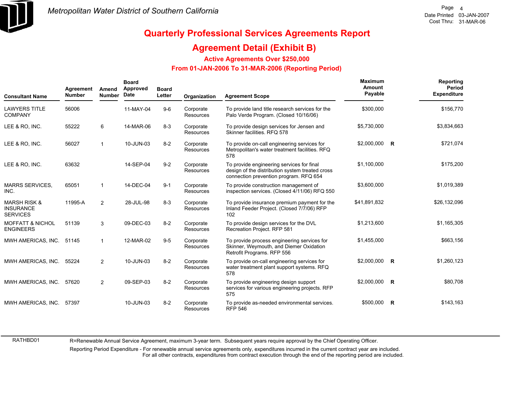

## **Quarterly Professional Services Agreements Report**

#### **Agreement Detail (Exhibit B)**

**Active Agreements Over \$250,000**

#### **From 01-JAN-2006 To 31-MAR-2006 (Reporting Period)**

| <b>Consultant Name</b>                                         | Agreement<br><b>Number</b> | Amend<br><b>Number</b> | <b>Board</b><br>Approved<br>Date | <b>Board</b><br>Letter | Organization           | <b>Agreement Scope</b>                                                                                                                 | Maximum<br>Amount<br>Payable |   | Reporting<br>Period<br><b>Expenditure</b> |
|----------------------------------------------------------------|----------------------------|------------------------|----------------------------------|------------------------|------------------------|----------------------------------------------------------------------------------------------------------------------------------------|------------------------------|---|-------------------------------------------|
| <b>LAWYERS TITLE</b><br><b>COMPANY</b>                         | 56006                      |                        | 11-MAY-04                        | $9-6$                  | Corporate<br>Resources | To provide land title research services for the<br>Palo Verde Program. (Closed 10/16/06)                                               | \$300,000                    |   | \$156,770                                 |
| LEE & RO, INC.                                                 | 55222                      | 6                      | 14-MAR-06                        | $8 - 3$                | Corporate<br>Resources | To provide design services for Jensen and<br>Skinner facilities, RFQ 578                                                               | \$5,730,000                  |   | \$3,834,663                               |
| LEE & RO, INC.                                                 | 56027                      | 1                      | 10-JUN-03                        | $8 - 2$                | Corporate<br>Resources | To provide on-call engineering services for<br>Metropolitan's water treatment facilities. RFQ<br>578                                   | \$2,000,000 R                |   | \$721,074                                 |
| LEE & RO, INC.                                                 | 63632                      |                        | 14-SEP-04                        | $9 - 2$                | Corporate<br>Resources | To provide engineering services for final<br>design of the distribution system treated cross<br>connection prevention program. RFQ 654 | \$1,100,000                  |   | \$175,200                                 |
| <b>MARRS SERVICES,</b><br>INC.                                 | 65051                      | $\mathbf 1$            | 14-DEC-04                        | $9 - 1$                | Corporate<br>Resources | To provide construction management of<br>inspection services. (Closed 4/11/06) RFQ 550                                                 | \$3,600,000                  |   | \$1,019,389                               |
| <b>MARSH RISK &amp;</b><br><b>INSURANCE</b><br><b>SERVICES</b> | 11995-A                    | $\overline{2}$         | 28-JUL-98                        | $8 - 3$                | Corporate<br>Resources | To provide insurance premium payment for the<br>Inland Feeder Project. (Closed 7/7/06) RFP<br>102                                      | \$41,891,832                 |   | \$26,132,096                              |
| <b>MOFFATT &amp; NICHOL</b><br><b>ENGINEERS</b>                | 51139                      | 3                      | 09-DEC-03                        | $8 - 2$                | Corporate<br>Resources | To provide design services for the DVL<br>Recreation Project. RFP 581                                                                  | \$1,213,600                  |   | \$1,165,305                               |
| MWH AMERICAS, INC.                                             | 51145                      | 1                      | 12-MAR-02                        | $9-5$                  | Corporate<br>Resources | To provide process engineering services for<br>Skinner, Weymouth, and Diemer Oxidation<br>Retrofit Programs. RFP 556                   | \$1,455,000                  |   | \$663,156                                 |
| MWH AMERICAS, INC.                                             | 55224                      | $\overline{2}$         | 10-JUN-03                        | $8 - 2$                | Corporate<br>Resources | To provide on-call engineering services for<br>water treatment plant support systems. RFQ<br>578                                       | \$2,000,000 R                |   | \$1,260,123                               |
| MWH AMERICAS, INC.                                             | 57620                      | $\overline{2}$         | 09-SEP-03                        | $8 - 2$                | Corporate<br>Resources | To provide engineering design support<br>services for various engineering projects. RFP<br>575                                         | \$2,000,000 R                |   | \$80,708                                  |
| MWH AMERICAS, INC.                                             | 57397                      |                        | 10-JUN-03                        | $8 - 2$                | Corporate<br>Resources | To provide as-needed environmental services.<br><b>RFP 546</b>                                                                         | \$500,000                    | R | \$143,163                                 |

R=Renewable Annual Service Agreement, maximum 3-year term. Subsequent years require approval by the Chief Operating Officer.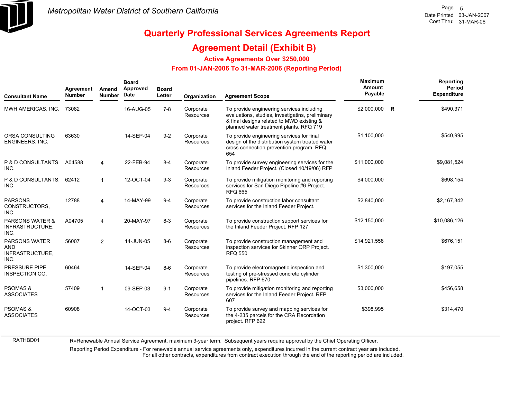

## **Quarterly Professional Services Agreements Report**

#### **Agreement Detail (Exhibit B)**

**Active Agreements Over \$250,000**

#### **From 01-JAN-2006 To 31-MAR-2006 (Reporting Period)**

| <b>Consultant Name</b>                                        | Agreement<br><b>Number</b> | Amend<br><b>Number</b> | <b>Board</b><br>Approved<br>Date | <b>Board</b><br>Letter | Organization                  | <b>Agreement Scope</b>                                                                                                                                                                | <b>Maximum</b><br>Amount<br>Payable |              | Reporting<br>Period<br><b>Expenditure</b> |
|---------------------------------------------------------------|----------------------------|------------------------|----------------------------------|------------------------|-------------------------------|---------------------------------------------------------------------------------------------------------------------------------------------------------------------------------------|-------------------------------------|--------------|-------------------------------------------|
| MWH AMERICAS, INC.                                            | 73082                      |                        | 16-AUG-05                        | $7 - 8$                | Corporate<br>Resources        | To provide engineering services including<br>evaluations, studies, investigatins, preliminary<br>& final designs related to MWD existing &<br>planned water treatment plants. RFQ 719 | \$2,000,000                         | $\mathsf{R}$ | \$490,371                                 |
| ORSA CONSULTING<br>ENGINEERS, INC.                            | 63630                      |                        | 14-SEP-04                        | $9 - 2$                | Corporate<br>Resources        | To provide engineering services for final<br>design of the distribution system treated water<br>cross connection prevention program. RFQ<br>654                                       | \$1,100,000                         |              | \$540,995                                 |
| P & D CONSULTANTS, A04588<br>INC.                             |                            | 4                      | 22-FEB-94                        | $8 - 4$                | Corporate<br>Resources        | To provide survey engineering services for the<br>Inland Feeder Project. (Closed 10/19/06) RFP                                                                                        | \$11,000,000                        |              | \$9,081,524                               |
| P & D CONSULTANTS,<br>INC.                                    | 62412                      |                        | 12-OCT-04                        | $9 - 3$                | Corporate<br>Resources        | To provide mitigation monitoring and reporting<br>services for San Diego Pipeline #6 Project.<br><b>RFQ 665</b>                                                                       | \$4,000,000                         |              | \$698,154                                 |
| <b>PARSONS</b><br>CONSTRUCTORS.<br>INC.                       | 12788                      | 4                      | 14-MAY-99                        | $9 - 4$                | Corporate<br>Resources        | To provide construction labor consultant<br>services for the Inland Feeder Project.                                                                                                   | \$2,840,000                         |              | \$2,167,342                               |
| <b>PARSONS WATER &amp;</b><br>INFRASTRUCTURE,<br>INC.         | A04705                     | 4                      | 20-MAY-97                        | $8 - 3$                | Corporate<br><b>Resources</b> | To provide construction support services for<br>the Inland Feeder Project. RFP 127                                                                                                    | \$12,150,000                        |              | \$10,086,126                              |
| <b>PARSONS WATER</b><br><b>AND</b><br>INFRASTRUCTURE,<br>INC. | 56007                      | $\overline{2}$         | 14-JUN-05                        | $8-6$                  | Corporate<br><b>Resources</b> | To provide construction management and<br>inspection services for Skinner ORP Project.<br><b>RFQ 550</b>                                                                              | \$14,921,558                        |              | \$676,151                                 |
| PRESSURE PIPE<br>INSPECTION CO.                               | 60464                      |                        | 14-SEP-04                        | $8-6$                  | Corporate<br><b>Resources</b> | To provide electromagnetic inspection and<br>testing of pre-stressed concrete cylinder<br>pipelines. RFP 670                                                                          | \$1,300,000                         |              | \$197,055                                 |
| <b>PSOMAS &amp;</b><br><b>ASSOCIATES</b>                      | 57409                      |                        | 09-SEP-03                        | $9 - 1$                | Corporate<br>Resources        | To provide mitigation monitoring and reporting<br>services for the Inland Feeder Project. RFP<br>607                                                                                  | \$3,000,000                         |              | \$456,658                                 |
| <b>PSOMAS &amp;</b><br><b>ASSOCIATES</b>                      | 60908                      |                        | 14-OCT-03                        | $9 - 4$                | Corporate<br>Resources        | To provide survey and mapping services for<br>the 4-235 parcels for the CRA Recordation<br>project. RFP 622                                                                           | \$398,995                           |              | \$314,470                                 |

R=Renewable Annual Service Agreement, maximum 3-year term. Subsequent years require approval by the Chief Operating Officer.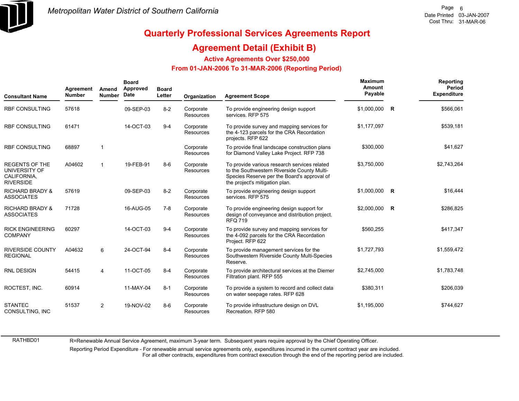

## **Quarterly Professional Services Agreements Report**

#### **Agreement Detail (Exhibit B)**

**Active Agreements Over \$250,000**

#### **From 01-JAN-2006 To 31-MAR-2006 (Reporting Period)**

| <b>Consultant Name</b>                                                    | Agreement<br><b>Number</b> | Amend<br><b>Number</b> | <b>Board</b><br>Approved<br>Date | <b>Board</b><br>Letter | Organization                  | <b>Agreement Scope</b>                                                                                                                                                       | Maximum<br>Amount<br>Payable | <b>Reporting</b><br>Period<br><b>Expenditure</b> |
|---------------------------------------------------------------------------|----------------------------|------------------------|----------------------------------|------------------------|-------------------------------|------------------------------------------------------------------------------------------------------------------------------------------------------------------------------|------------------------------|--------------------------------------------------|
| <b>RBF CONSULTING</b>                                                     | 57618                      |                        | 09-SEP-03                        | $8 - 2$                | Corporate<br><b>Resources</b> | To provide engineering design support<br>services. RFP 575                                                                                                                   | \$1,000,000 R                | \$566,061                                        |
| <b>RBF CONSULTING</b>                                                     | 61471                      |                        | 14-OCT-03                        | $9 - 4$                | Corporate<br>Resources        | To provide survey and mapping services for<br>the 4-123 parcels for the CRA Recordation<br>projects. RFP 622                                                                 | \$1,177,097                  | \$539,181                                        |
| <b>RBF CONSULTING</b>                                                     | 68897                      |                        |                                  |                        | Corporate<br><b>Resources</b> | To provide final landscape construction plans<br>for Diamond Valley Lake Project. RFP 738                                                                                    | \$300,000                    | \$41,627                                         |
| <b>REGENTS OF THE</b><br>UNIVERSITY OF<br>CALIFORNIA,<br><b>RIVERSIDE</b> | A04602                     |                        | 19-FEB-91                        | $8-6$                  | Corporate<br><b>Resources</b> | To provide various research services related<br>to the Southwestern Riverside County Multi-<br>Species Reserve per the Board's approval of<br>the project's mitigation plan. | \$3,750,000                  | \$2,743,264                                      |
| <b>RICHARD BRADY &amp;</b><br><b>ASSOCIATES</b>                           | 57619                      |                        | 09-SEP-03                        | $8 - 2$                | Corporate<br><b>Resources</b> | To provide engineering design support<br>services. RFP 575                                                                                                                   | \$1,000,000 R                | \$16,444                                         |
| <b>RICHARD BRADY &amp;</b><br><b>ASSOCIATES</b>                           | 71728                      |                        | 16-AUG-05                        | $7-8$                  | Corporate<br>Resources        | To provide engineering design support for<br>design of conveyance and distribution project.<br><b>RFQ 719</b>                                                                | \$2,000,000 R                | \$286,825                                        |
| <b>RICK ENGINEERING</b><br><b>COMPANY</b>                                 | 60297                      |                        | 14-OCT-03                        | $9 - 4$                | Corporate<br><b>Resources</b> | To provide survey and mapping services for<br>the 4-092 parcels for the CRA Recordation<br>Project. RFP 622                                                                  | \$560,255                    | \$417,347                                        |
| <b>RIVERSIDE COUNTY</b><br><b>REGIONAL</b>                                | A04632                     | 6                      | 24-OCT-94                        | $8 - 4$                | Corporate<br>Resources        | To provide management services for the<br>Southwestern Riverside County Multi-Species<br>Reserve.                                                                            | \$1,727,793                  | \$1,559,472                                      |
| <b>RNL DESIGN</b>                                                         | 54415                      | 4                      | 11-OCT-05                        | $8 - 4$                | Corporate<br>Resources        | To provide architectural services at the Diemer<br>Filtration plant. RFP 555                                                                                                 | \$2,745,000                  | \$1,783,748                                      |
| ROCTEST, INC.                                                             | 60914                      |                        | 11-MAY-04                        | $8 - 1$                | Corporate<br><b>Resources</b> | To provide a system to record and collect data<br>on water seepage rates. RFP 628                                                                                            | \$380,311                    | \$206,039                                        |
| <b>STANTEC</b><br>CONSULTING, INC                                         | 51537                      | $\overline{2}$         | 19-NOV-02                        | $8 - 6$                | Corporate<br>Resources        | To provide infrastructure design on DVL<br>Recreation, RFP 580                                                                                                               | \$1,195,000                  | \$744,627                                        |

R=Renewable Annual Service Agreement, maximum 3-year term. Subsequent years require approval by the Chief Operating Officer.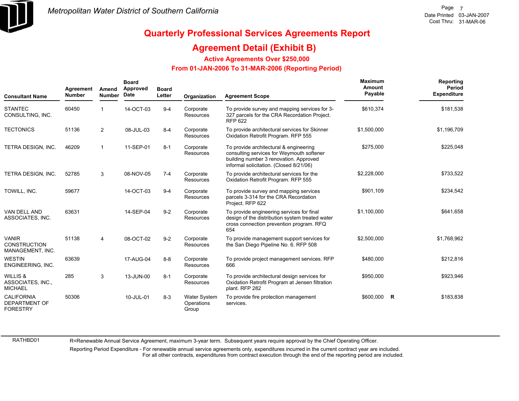

#### **Agreement Detail (Exhibit B)**

**Active Agreements Over \$250,000**

#### **From 01-JAN-2006 To 31-MAR-2006 (Reporting Period)**

| <b>Consultant Name</b>                                       | Agreement<br><b>Number</b> | Amend<br><b>Number</b> | <b>Board</b><br>Approved<br>Date | <b>Board</b><br>Letter | Organization                               | <b>Agreement Scope</b>                                                                                                                                                   | Maximum<br>Amount<br>Payable |   | Reporting<br>Period<br><b>Expenditure</b> |
|--------------------------------------------------------------|----------------------------|------------------------|----------------------------------|------------------------|--------------------------------------------|--------------------------------------------------------------------------------------------------------------------------------------------------------------------------|------------------------------|---|-------------------------------------------|
| <b>STANTEC</b><br>CONSULTING, INC.                           | 60450                      |                        | 14-OCT-03                        | $9 - 4$                | Corporate<br>Resources                     | To provide survey and mapping services for 3-<br>327 parcels for the CRA Recordation Project.<br><b>RFP 622</b>                                                          | \$610,374                    |   | \$181,538                                 |
| <b>TECTONICS</b>                                             | 51136                      | $\overline{2}$         | 08-JUL-03                        | $8 - 4$                | Corporate<br><b>Resources</b>              | To provide architectural services for Skinner<br>Oxidation Retrofit Program. RFP 555                                                                                     | \$1,500,000                  |   | \$1,196,709                               |
| TETRA DESIGN, INC.                                           | 46209                      | 1                      | 11-SEP-01                        | $8 - 1$                | Corporate<br><b>Resources</b>              | To provide architectural & engineering<br>consulting services for Weymouth softener<br>building number 3 renovation. Approved<br>informal solicitation. (Closed 8/21/06) | \$275,000                    |   | \$225,048                                 |
| TETRA DESIGN, INC.                                           | 52785                      | 3                      | 08-NOV-05                        | $7 - 4$                | Corporate<br><b>Resources</b>              | To provide architectural services for the<br>Oxidation Retrofit Program. RFP 555                                                                                         | \$2,228,000                  |   | \$733,522                                 |
| TOWILL, INC.                                                 | 59677                      |                        | 14-OCT-03                        | $9 - 4$                | Corporate<br><b>Resources</b>              | To provide survey and mapping services<br>parcels 3-314 for the CRA Recordation<br>Project. RFP 622                                                                      | \$901,109                    |   | \$234,542                                 |
| VAN DELL AND<br>ASSOCIATES, INC.                             | 63631                      |                        | 14-SEP-04                        | $9 - 2$                | Corporate<br><b>Resources</b>              | To provide engineering services for final<br>design of the distribution system treated water<br>cross connection prevention program. RFQ<br>654                          | \$1,100,000                  |   | \$641.658                                 |
| <b>VANIR</b><br><b>CONSTRUCTION</b><br>MANAGEMENT, INC.      | 51138                      | 4                      | 08-OCT-02                        | $9 - 2$                | Corporate<br><b>Resources</b>              | To provide management support services for<br>the San Diego Pipeline No. 6. RFP 508                                                                                      | \$2,500,000                  |   | \$1,768,962                               |
| <b>WESTIN</b><br>ENGINEERING, INC.                           | 63639                      |                        | 17-AUG-04                        | $8 - 8$                | Corporate<br>Resources                     | To provide project management services. RFP<br>666                                                                                                                       | \$480,000                    |   | \$212,816                                 |
| <b>WILLIS &amp;</b><br>ASSOCIATES, INC.,<br><b>MICHAEL</b>   | 285                        | 3                      | 13-JUN-00                        | $8 - 1$                | Corporate<br>Resources                     | To provide architectural design services for<br>Oxidation Retrofit Program at Jensen filtration<br>plant. RFP 282                                                        | \$950,000                    |   | \$923,946                                 |
| <b>CALIFORNIA</b><br><b>DEPARTMENT OF</b><br><b>FORESTRY</b> | 50306                      |                        | 10-JUL-01                        | $8 - 3$                | <b>Water System</b><br>Operations<br>Group | To provide fire protection management<br>services.                                                                                                                       | \$600,000                    | R | \$183,838                                 |

RATHBD01

R=Renewable Annual Service Agreement, maximum 3-year term. Subsequent years require approval by the Chief Operating Officer.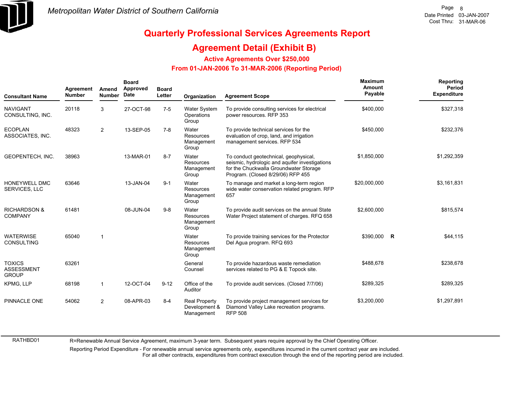

## **Quarterly Professional Services Agreements Report**

#### **Agreement Detail (Exhibit B)**

**Active Agreements Over \$250,000**

#### **From 01-JAN-2006 To 31-MAR-2006 (Reporting Period)**

| <b>Consultant Name</b>                             | Agreement<br><b>Number</b> | Amend<br><b>Number</b> | <b>Board</b><br>Approved<br><b>Date</b> | <b>Board</b><br>Letter | Organization                                        | <b>Agreement Scope</b>                                                                                                                                                 | Maximum<br>Amount<br>Payable |   | Reporting<br>Period<br><b>Expenditure</b> |
|----------------------------------------------------|----------------------------|------------------------|-----------------------------------------|------------------------|-----------------------------------------------------|------------------------------------------------------------------------------------------------------------------------------------------------------------------------|------------------------------|---|-------------------------------------------|
| <b>NAVIGANT</b><br>CONSULTING, INC.                | 20118                      | 3                      | 27-OCT-98                               | $7-5$                  | Water System<br>Operations<br>Group                 | To provide consulting services for electrical<br>power resources. RFP 353                                                                                              | \$400,000                    |   | \$327,318                                 |
| <b>ECOPLAN</b><br>ASSOCIATES, INC.                 | 48323                      | $\overline{2}$         | 13-SEP-05                               | $7 - 8$                | Water<br>Resources<br>Management<br>Group           | To provide technical services for the<br>evaluation of crop, land, and irrigation<br>management services. RFP 534                                                      | \$450,000                    |   | \$232,376                                 |
| GEOPENTECH, INC.                                   | 38963                      |                        | 13-MAR-01                               | $8 - 7$                | Water<br><b>Resources</b><br>Management<br>Group    | To conduct geotechnical, geophysical,<br>seismic, hydrologic and aquifer investigations<br>for the Chuckwalla Groundwater Storage<br>Program. (Closed 8/29/06) RFP 455 | \$1,850,000                  |   | \$1,292,359                               |
| HONEYWELL DMC<br><b>SERVICES, LLC</b>              | 63646                      |                        | 13-JAN-04                               | $9 - 1$                | Water<br>Resources<br>Management<br>Group           | To manage and market a long-term region<br>wide water conservation related program. RFP<br>657                                                                         | \$20,000,000                 |   | \$3,161,831                               |
| <b>RICHARDSON &amp;</b><br><b>COMPANY</b>          | 61481                      |                        | 08-JUN-04                               | $9 - 8$                | Water<br><b>Resources</b><br>Management<br>Group    | To provide audit services on the annual State<br>Water Project statement of charges. RFQ 658                                                                           | \$2,600,000                  |   | \$815,574                                 |
| <b>WATERWISE</b><br><b>CONSULTING</b>              | 65040                      | $\mathbf{1}$           |                                         |                        | Water<br>Resources<br>Management<br>Group           | To provide training services for the Protector<br>Del Aqua program. RFQ 693                                                                                            | \$390,000                    | R | \$44,115                                  |
| <b>TOXICS</b><br><b>ASSESSMENT</b><br><b>GROUP</b> | 63261                      |                        |                                         |                        | General<br>Counsel                                  | To provide hazardous waste remediation<br>services related to PG & E Topock site.                                                                                      | \$488,678                    |   | \$238,678                                 |
| <b>KPMG, LLP</b>                                   | 68198                      | 1                      | 12-OCT-04                               | $9 - 12$               | Office of the<br>Auditor                            | To provide audit services. (Closed 7/7/06)                                                                                                                             | \$289,325                    |   | \$289,325                                 |
| PINNACLE ONE                                       | 54062                      | $\overline{2}$         | 08-APR-03                               | $8 - 4$                | <b>Real Property</b><br>Development &<br>Management | To provide project management services for<br>Diamond Valley Lake recreation programs.<br><b>RFP 508</b>                                                               | \$3,200,000                  |   | \$1,297,891                               |

R=Renewable Annual Service Agreement, maximum 3-year term. Subsequent years require approval by the Chief Operating Officer.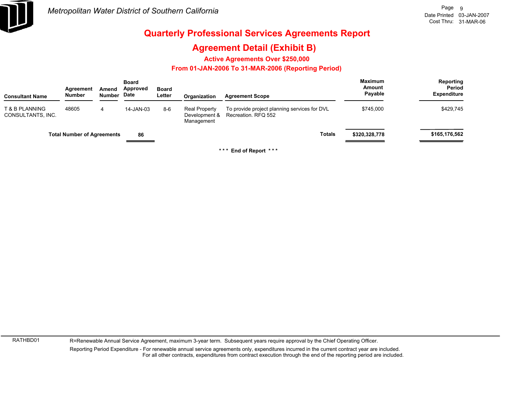

### **Agreement Detail (Exhibit B)**

**Active Agreements Over \$250,000**

#### **From 01-JAN-2006 To 31-MAR-2006 (Reporting Period)**

| <b>Consultant Name</b>              | Agreement<br><b>Number</b>        | Amend<br>Number | <b>Board</b><br>Approved<br>Date | <b>Board</b><br>Letter | Organization                                        | <b>Agreement Scope</b>                                              | <b>Maximum</b><br>Amount<br>Payable | Reporting<br>Period<br><b>Expenditure</b> |
|-------------------------------------|-----------------------------------|-----------------|----------------------------------|------------------------|-----------------------------------------------------|---------------------------------------------------------------------|-------------------------------------|-------------------------------------------|
| T & B PLANNING<br>CONSULTANTS, INC. | 48605                             | 4               | 14-JAN-03                        | $8-6$                  | <b>Real Property</b><br>Development &<br>Management | To provide project planning services for DVL<br>Recreation. RFQ 552 | \$745,000                           | \$429,745                                 |
|                                     | <b>Total Number of Agreements</b> |                 | 86                               |                        |                                                     | <b>Totals</b>                                                       | \$320,328,778                       | \$165,176,562                             |

**\* \* \* End of Report \* \* \***

RATHBD01

R=Renewable Annual Service Agreement, maximum 3-year term. Subsequent years require approval by the Chief Operating Officer.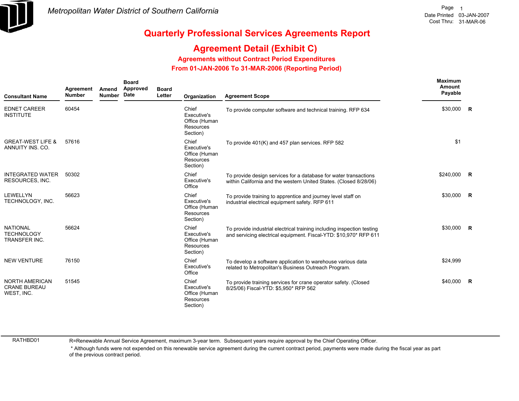

### **Agreement Detail (Exhibit C)**

**Agreements without Contract Period Expenditures**

 **From 01-JAN-2006 To 31-MAR-2006 (Reporting Period)** 

| <b>Consultant Name</b>                                | Agreement<br><b>Number</b> | Amend<br><b>Number</b> | <b>Board</b><br>Approved<br>Date | <b>Board</b><br>Letter | Organization                                                          | <b>Agreement Scope</b>                                                                                                                      | <b>Maximum</b><br>Amount<br>Payable |                |
|-------------------------------------------------------|----------------------------|------------------------|----------------------------------|------------------------|-----------------------------------------------------------------------|---------------------------------------------------------------------------------------------------------------------------------------------|-------------------------------------|----------------|
| <b>EDNET CAREER</b><br><b>INSTITUTE</b>               | 60454                      |                        |                                  |                        | Chief<br>Executive's<br>Office (Human<br><b>Resources</b><br>Section) | To provide computer software and technical training. RFP 634                                                                                | \$30,000                            | <b>R</b>       |
| <b>GREAT-WEST LIFE &amp;</b><br>ANNUITY INS. CO.      | 57616                      |                        |                                  |                        | Chief<br>Executive's<br>Office (Human<br><b>Resources</b><br>Section) | To provide 401(K) and 457 plan services. RFP 582                                                                                            | \$1                                 |                |
| <b>INTEGRATED WATER</b><br>RESOURCES, INC.            | 50302                      |                        |                                  |                        | Chief<br>Executive's<br>Office                                        | To provide design services for a database for water transactions<br>within California and the western United States. (Closed 8/28/06)       | \$240,000 R                         |                |
| <b>LEWELLYN</b><br>TECHNOLOGY, INC.                   | 56623                      |                        |                                  |                        | Chief<br>Executive's<br>Office (Human<br><b>Resources</b><br>Section) | To provide training to apprentice and journey level staff on<br>industrial electrical equipment safety. RFP 611                             | \$30,000                            | $\overline{R}$ |
| <b>NATIONAL</b><br><b>TECHNOLOGY</b><br>TRANSFER INC. | 56624                      |                        |                                  |                        | Chief<br>Executive's<br>Office (Human<br><b>Resources</b><br>Section) | To provide industrial electrical training including inspection testing<br>and servicing electrical equipment. Fiscal-YTD: \$10,970* RFP 611 | \$30,000                            | $\mathsf{R}$   |
| <b>NEW VENTURE</b>                                    | 76150                      |                        |                                  |                        | Chief<br>Executive's<br>Office                                        | To develop a software application to warehouse various data<br>related to Metropolitan's Business Outreach Program.                         | \$24,999                            |                |
| NORTH AMERICAN<br><b>CRANE BUREAU</b><br>WEST, INC.   | 51545                      |                        |                                  |                        | Chief<br>Executive's<br>Office (Human<br>Resources<br>Section)        | To provide training services for crane operator safety. (Closed<br>8/25/06) Fiscal-YTD: \$5,950* RFP 562                                    | \$40,000                            | <b>R</b>       |

RATHBD01

R=Renewable Annual Service Agreement, maximum 3-year term. Subsequent years require approval by the Chief Operating Officer.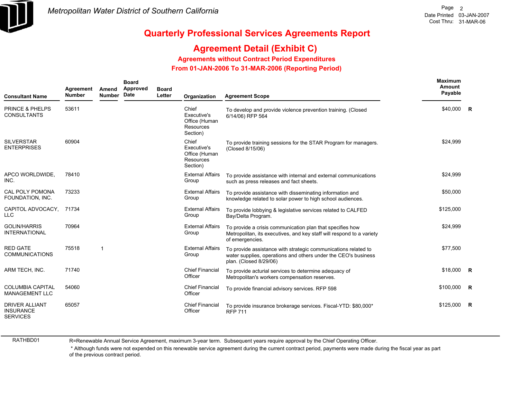

### **Agreement Detail (Exhibit C)**

**Agreements without Contract Period Expenditures**

 **From 01-JAN-2006 To 31-MAR-2006 (Reporting Period)** 

| <b>Consultant Name</b>                                       | Agreement<br><b>Number</b> | Amend<br><b>Number</b> | <b>Board</b><br>Approved<br>Date | <b>Board</b><br>Letter | Organization                                                          | <b>Agreement Scope</b>                                                                                                                                     | <b>Maximum</b><br>Amount<br>Payable |                |
|--------------------------------------------------------------|----------------------------|------------------------|----------------------------------|------------------------|-----------------------------------------------------------------------|------------------------------------------------------------------------------------------------------------------------------------------------------------|-------------------------------------|----------------|
| <b>PRINCE &amp; PHELPS</b><br><b>CONSULTANTS</b>             | 53611                      |                        |                                  |                        | Chief<br>Executive's<br>Office (Human<br><b>Resources</b><br>Section) | To develop and provide violence prevention training. (Closed<br>6/14/06) RFP 564                                                                           | \$40,000 R                          |                |
| <b>SILVERSTAR</b><br><b>ENTERPRISES</b>                      | 60904                      |                        |                                  |                        | Chief<br>Executive's<br>Office (Human<br><b>Resources</b><br>Section) | To provide training sessions for the STAR Program for managers.<br>(Closed 8/15/06)                                                                        | \$24,999                            |                |
| APCO WORLDWIDE,<br>INC.                                      | 78410                      |                        |                                  |                        | <b>External Affairs</b><br>Group                                      | To provide assistance with internal and external communications<br>such as press releases and fact sheets.                                                 | \$24,999                            |                |
| <b>CAL POLY POMONA</b><br>FOUNDATION, INC.                   | 73233                      |                        |                                  |                        | <b>External Affairs</b><br>Group                                      | To provide assistance with disseminating information and<br>knowledge related to solar power to high school audiences.                                     | \$50,000                            |                |
| CAPITOL ADVOCACY.<br><b>LLC</b>                              | 71734                      |                        |                                  |                        | <b>External Affairs</b><br>Group                                      | To provide lobbying & legislative services related to CALFED<br>Bay/Delta Program.                                                                         | \$125,000                           |                |
| <b>GOLIN/HARRIS</b><br><b>INTERNATIONAL</b>                  | 70964                      |                        |                                  |                        | <b>External Affairs</b><br>Group                                      | To provide a crisis communication plan that specifies how<br>Metropolitan, its executives, and key staff will respond to a variety<br>of emergencies.      | \$24,999                            |                |
| <b>RED GATE</b><br><b>COMMUNICATIONS</b>                     | 75518                      | 1                      |                                  |                        | <b>External Affairs</b><br>Group                                      | To provide assistance with strategic communications related to<br>water supplies, operations and others under the CEO's business<br>plan. (Closed 8/29/06) | \$77,500                            |                |
| ARM TECH, INC.                                               | 71740                      |                        |                                  |                        | <b>Chief Financial</b><br>Officer                                     | To provide acturial services to determine adequacy of<br>Metropolitan's workers compensation reserves.                                                     | \$18,000                            | $\overline{R}$ |
| <b>COLUMBIA CAPITAL</b><br><b>MANAGEMENT LLC</b>             | 54060                      |                        |                                  |                        | <b>Chief Financial</b><br>Officer                                     | To provide financial advisory services. RFP 598                                                                                                            | \$100,000                           | $\mathsf{R}$   |
| <b>DRIVER ALLIANT</b><br><b>INSURANCE</b><br><b>SERVICES</b> | 65057                      |                        |                                  |                        | <b>Chief Financial</b><br>Officer                                     | To provide insurance brokerage services. Fiscal-YTD: \$80,000*<br><b>RFP 711</b>                                                                           | \$125,000                           | $\mathsf{R}$   |

RATHBD01

R=Renewable Annual Service Agreement, maximum 3-year term. Subsequent years require approval by the Chief Operating Officer.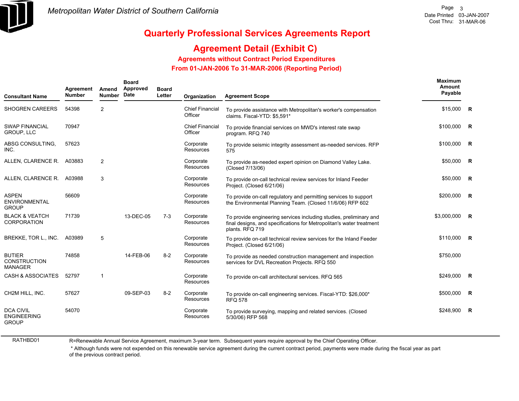

### **Agreement Detail (Exhibit C)**

**Agreements without Contract Period Expenditures**

 **From 01-JAN-2006 To 31-MAR-2006 (Reporting Period)** 

| <b>Consultant Name</b>                                 | Agreement<br><b>Number</b> | Amend<br><b>Number</b> | <b>Board</b><br>Approved<br>Date | <b>Board</b><br>Letter | Organization                      | <b>Agreement Scope</b>                                                                                                                                        | Maximum<br>Amount<br>Payable |                         |
|--------------------------------------------------------|----------------------------|------------------------|----------------------------------|------------------------|-----------------------------------|---------------------------------------------------------------------------------------------------------------------------------------------------------------|------------------------------|-------------------------|
| <b>SHOGREN CAREERS</b>                                 | 54398                      | 2                      |                                  |                        | <b>Chief Financial</b><br>Officer | To provide assistance with Metropolitan's worker's compensation<br>claims. Fiscal-YTD: \$5,591*                                                               | \$15,000                     | $\mathsf{R}$            |
| <b>SWAP FINANCIAL</b><br><b>GROUP, LLC</b>             | 70947                      |                        |                                  |                        | <b>Chief Financial</b><br>Officer | To provide financial services on MWD's interest rate swap<br>program. RFQ 740                                                                                 | \$100,000                    | R                       |
| ABSG CONSULTING.<br>INC.                               | 57623                      |                        |                                  |                        | Corporate<br>Resources            | To provide seismic integrity assessment as-needed services. RFP<br>575                                                                                        | \$100,000                    | $\overline{\mathbf{R}}$ |
| ALLEN, CLARENCE R.                                     | A03883                     | $\overline{2}$         |                                  |                        | Corporate<br>Resources            | To provide as-needed expert opinion on Diamond Valley Lake.<br>(Closed 7/13/06)                                                                               | \$50,000                     | R                       |
| ALLEN, CLARENCE R.                                     | A03988                     | 3                      |                                  |                        | Corporate<br>Resources            | To provide on-call technical review services for Inland Feeder<br>Project. (Closed 6/21/06)                                                                   | \$50,000                     | <b>R</b>                |
| <b>ASPEN</b><br><b>ENVIRONMENTAL</b><br><b>GROUP</b>   | 56609                      |                        |                                  |                        | Corporate<br>Resources            | To provide on-call requlatory and permitting services to support<br>the Environmental Planning Team. (Closed 11/6/06) RFP 602                                 | \$200,000                    | R                       |
| <b>BLACK &amp; VEATCH</b><br><b>CORPORATION</b>        | 71739                      |                        | 13-DEC-05                        | $7-3$                  | Corporate<br>Resources            | To provide engineering services including studies, preliminary and<br>final designs, and specifications for Metropolitan's water treatment<br>plants. RFQ 719 | \$3,000,000                  | R                       |
| BREKKE, TOR L., INC.                                   | A03989                     | 5                      |                                  |                        | Corporate<br>Resources            | To provide on-call technical review services for the Inland Feeder<br>Project. (Closed 6/21/06)                                                               | \$110,000 R                  |                         |
| <b>BUTIER</b><br><b>CONSTRUCTION</b><br><b>MANAGER</b> | 74858                      |                        | 14-FEB-06                        | $8 - 2$                | Corporate<br>Resources            | To provide as needed construction management and inspection<br>services for DVL Recreation Projects. RFQ 550                                                  | \$750,000                    |                         |
| <b>CASH &amp; ASSOCIATES</b>                           | 52797                      | $\mathbf 1$            |                                  |                        | Corporate<br>Resources            | To provide on-call architectural services. RFQ 565                                                                                                            | \$249,000                    | $\overline{R}$          |
| CH2M HILL, INC.                                        | 57627                      |                        | 09-SEP-03                        | $8 - 2$                | Corporate<br>Resources            | To provide on-call engineering services. Fiscal-YTD: \$26,000*<br><b>RFQ 578</b>                                                                              | \$500,000                    | R                       |
| <b>DCA CIVIL</b><br><b>ENGINEERING</b><br><b>GROUP</b> | 54070                      |                        |                                  |                        | Corporate<br>Resources            | To provide surveying, mapping and related services. (Closed<br>5/30/06) RFP 568                                                                               | \$248,900                    | $\overline{R}$          |

RATHBD01

R=Renewable Annual Service Agreement, maximum 3-year term. Subsequent years require approval by the Chief Operating Officer.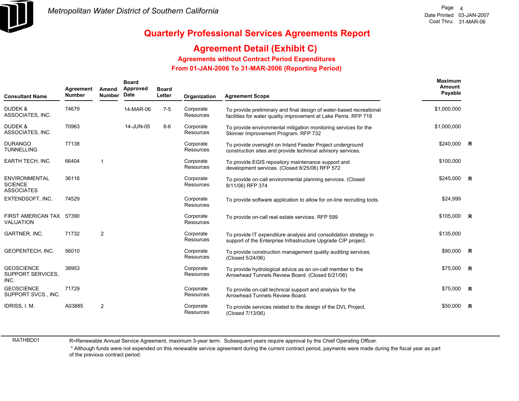

### **Agreement Detail (Exhibit C)**

#### **Agreements without Contract Period Expenditures**

 **From 01-JAN-2006 To 31-MAR-2006 (Reporting Period)** 

| <b>Consultant Name</b>                                | Agreement<br><b>Number</b> | Amend<br><b>Number</b> | <b>Board</b><br>Approved<br>Date | <b>Board</b><br>Letter | Organization           | <b>Agreement Scope</b>                                                                                                                  | Maximum<br>Amount<br>Payable |                         |
|-------------------------------------------------------|----------------------------|------------------------|----------------------------------|------------------------|------------------------|-----------------------------------------------------------------------------------------------------------------------------------------|------------------------------|-------------------------|
| DUDEK &<br>ASSOCIATES, INC.                           | 74679                      |                        | 14-MAR-06                        | $7 - 5$                | Corporate<br>Resources | To provide preliminary and final design of water-based recreational<br>facilities for water quality improvement at Lake Perris. RFP 718 | \$1,000,000                  |                         |
| <b>DUDEK &amp;</b><br>ASSOCIATES, INC.                | 70963                      |                        | 14-JUN-05                        | $8-6$                  | Corporate<br>Resources | To provide environmental mitigation monitoring services for the<br>Skinner Improvement Program. RFP 732                                 | \$1,000,000                  |                         |
| <b>DURANGO</b><br><b>TUNNELLING</b>                   | 77138                      |                        |                                  |                        | Corporate<br>Resources | To provide oversight on Inland Feeder Project underground<br>construction sites and provide technical advisory services.                | \$240,000                    | R                       |
| <b>EARTH TECH, INC.</b>                               | 66404                      |                        |                                  |                        | Corporate<br>Resources | To provide EGIS repository maintenance support and<br>development services. (Closed 8/25/06) RFP 572                                    | \$100,000                    |                         |
| ENVIRONMENTAL<br><b>SCIENCE</b><br><b>ASSOCIATES</b>  | 36116                      |                        |                                  |                        | Corporate<br>Resources | To provide on-call environmental planning services. (Closed<br>8/11/06) RFP 374                                                         | \$245,000 R                  |                         |
| EXTENDSOFT, INC.                                      | 74529                      |                        |                                  |                        | Corporate<br>Resources | To provide software application to allow for on-line recruiting tools.                                                                  | \$24,999                     |                         |
| FIRST AMERICAN TAX 57390<br><b>VALUATION</b>          |                            |                        |                                  |                        | Corporate<br>Resources | To provide on-call real estate services. RFP 599                                                                                        | $$105,000$ R                 |                         |
| GARTNER, INC.                                         | 71732                      | 2                      |                                  |                        | Corporate<br>Resources | To provide IT expenditure analysis and consolidation strategy in<br>support of the Enterprise Infrastructure Upgrade CIP project.       | \$135,000                    |                         |
| GEOPENTECH, INC.                                      | 56010                      |                        |                                  |                        | Corporate<br>Resources | To provide construction management quality auditing services.<br>(Closed 5/24/06)                                                       | \$90,000                     | R                       |
| <b>GEOSCIENCE</b><br><b>SUPPORT SERVICES.</b><br>INC. | 38953                      |                        |                                  |                        | Corporate<br>Resources | To provide hydrological advice as an on-call member to the<br>Arrowhead Tunnels Review Board. (Closed 6/21/06)                          | \$75,000                     | $\overline{R}$          |
| <b>GEOSCIENCE</b><br>SUPPORT SVCS., INC.              | 71729                      |                        |                                  |                        | Corporate<br>Resources | To provide on-call technical support and analysis for the<br>Arrowhead Tunnels Review Board.                                            | \$75,000                     | $\overline{\mathbf{R}}$ |
| IDRISS, I. M.                                         | A03885                     | $\overline{2}$         |                                  |                        | Corporate<br>Resources | To provide services related to the design of the DVL Project.<br>(Closed 7/13/06)                                                       | \$50,000                     | $\overline{R}$          |

RATHBD01

R=Renewable Annual Service Agreement, maximum 3-year term. Subsequent years require approval by the Chief Operating Officer.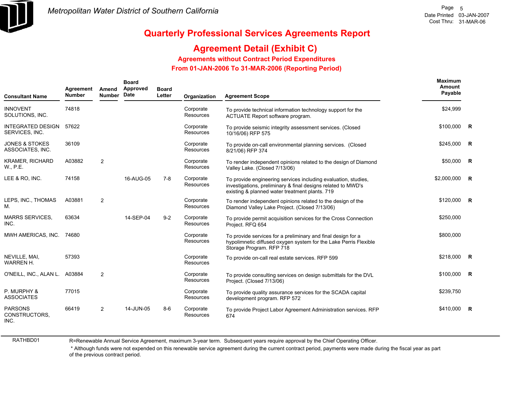

### **Agreement Detail (Exhibit C)**

**Agreements without Contract Period Expenditures**

 **From 01-JAN-2006 To 31-MAR-2006 (Reporting Period)** 

| <b>Consultant Name</b>                        | Agreement<br><b>Number</b> | Amend<br><b>Number</b> | <b>Board</b><br>Approved<br>Date | <b>Board</b><br>Letter | Organization                  | <b>Agreement Scope</b>                                                                                                                                                           | Maximum<br>Amount<br>Payable |  |
|-----------------------------------------------|----------------------------|------------------------|----------------------------------|------------------------|-------------------------------|----------------------------------------------------------------------------------------------------------------------------------------------------------------------------------|------------------------------|--|
| <b>INNOVENT</b><br>SOLUTIONS, INC.            | 74818                      |                        |                                  |                        | Corporate<br><b>Resources</b> | To provide technical information technology support for the<br>ACTUATE Report software program.                                                                                  | \$24,999                     |  |
| <b>INTEGRATED DESIGN</b><br>SERVICES, INC.    | 57622                      |                        |                                  |                        | Corporate<br><b>Resources</b> | To provide seismic integrity assessment services. (Closed<br>10/16/06) RFP 575                                                                                                   | $$100,000$ R                 |  |
| <b>JONES &amp; STOKES</b><br>ASSOCIATES, INC. | 36109                      |                        |                                  |                        | Corporate<br>Resources        | To provide on-call environmental planning services. (Closed<br>8/21/06) RFP 374                                                                                                  | $$245,000$ R                 |  |
| <b>KRAMER, RICHARD</b><br>W., P.E.            | A03882                     | $\overline{2}$         |                                  |                        | Corporate<br>Resources        | To render independent opinions related to the design of Diamond<br>Valley Lake. (Closed 7/13/06)                                                                                 | \$50,000 R                   |  |
| LEE & RO, INC.                                | 74158                      |                        | 16-AUG-05                        | $7 - 8$                | Corporate<br>Resources        | To provide engineering services including evaluation, studies,<br>investigations, preliminary & final designs related to MWD's<br>existing & planned water treatment plants. 719 | \$2,000,000 R                |  |
| LEPS, INC., THOMAS<br>М.                      | A03881                     | $\overline{2}$         |                                  |                        | Corporate<br><b>Resources</b> | To render independent opinions related to the design of the<br>Diamond Valley Lake Project. (Closed 7/13/06)                                                                     | $$120,000$ R                 |  |
| <b>MARRS SERVICES,</b><br>INC.                | 63634                      |                        | 14-SEP-04                        | $9 - 2$                | Corporate<br><b>Resources</b> | To provide permit acquisition services for the Cross Connection<br>Project. RFQ 654                                                                                              | \$250,000                    |  |
| MWH AMERICAS, INC. 74680                      |                            |                        |                                  |                        | Corporate<br><b>Resources</b> | To provide services for a preliminary and final design for a<br>hypolimnetic diffused oxygen system for the Lake Perris Flexible<br>Storage Program. RFP 718                     | \$800,000                    |  |
| NEVILLE, MAI,<br><b>WARREN H.</b>             | 57393                      |                        |                                  |                        | Corporate<br>Resources        | To provide on-call real estate services. RFP 599                                                                                                                                 | \$218,000 R                  |  |
| O'NEILL, INC., ALAN L. A03884                 |                            | $\overline{2}$         |                                  |                        | Corporate<br><b>Resources</b> | To provide consulting services on design submittals for the DVL<br>Project. (Closed 7/13/06)                                                                                     | \$100,000 R                  |  |
| P. MURPHY &<br><b>ASSOCIATES</b>              | 77015                      |                        |                                  |                        | Corporate<br><b>Resources</b> | To provide quality assurance services for the SCADA capital<br>development program. RFP 572                                                                                      | \$239,750                    |  |
| <b>PARSONS</b><br>CONSTRUCTORS,<br>INC.       | 66419                      | 2                      | 14-JUN-05                        | $8-6$                  | Corporate<br>Resources        | To provide Project Labor Agreement Administration services. RFP<br>674                                                                                                           | \$410,000 R                  |  |

RATHBD01

R=Renewable Annual Service Agreement, maximum 3-year term. Subsequent years require approval by the Chief Operating Officer.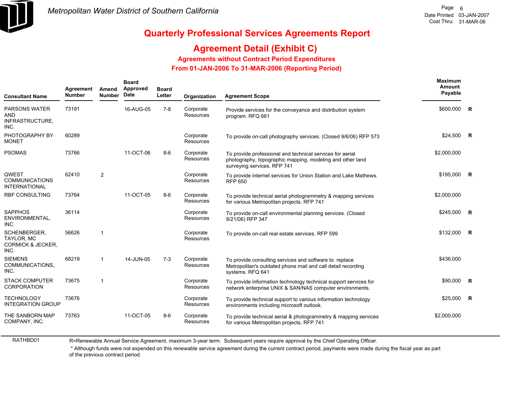

## **Quarterly Professional Services Agreements Report**

### **Agreement Detail (Exhibit C)**

#### **Agreements without Contract Period Expenditures**

 **From 01-JAN-2006 To 31-MAR-2006 (Reporting Period)** 

| <b>Consultant Name</b>                                             | Agreement<br><b>Number</b> | Amend<br><b>Number</b> | <b>Board</b><br>Approved<br>Date | <b>Board</b><br>Letter | Organization                  | <b>Agreement Scope</b>                                                                                                                                | Maximum<br>Amount<br>Payable |                         |
|--------------------------------------------------------------------|----------------------------|------------------------|----------------------------------|------------------------|-------------------------------|-------------------------------------------------------------------------------------------------------------------------------------------------------|------------------------------|-------------------------|
| <b>PARSONS WATER</b><br>AND<br>INFRASTRUCTURE,<br>INC.             | 73191                      |                        | 16-AUG-05                        | 7-8                    | Corporate<br><b>Resources</b> | Provide services for the conveyance and distribution system<br>program. RFQ 661                                                                       | \$600,000                    | R                       |
| PHOTOGRAPHY BY<br><b>MONET</b>                                     | 60289                      |                        |                                  |                        | Corporate<br>Resources        | To provide on-call photography services. (Closed 9/6/06) RFP 573                                                                                      | \$24,500                     | $\overline{\mathbf{R}}$ |
| <b>PSOMAS</b>                                                      | 73766                      |                        | 11-OCT-06                        | $8-6$                  | Corporate<br>Resources        | To provide professional and technical services for aerial<br>photography, topographic mapping, modeling and other land<br>surveying services. RFP 741 | \$2,000,000                  |                         |
| QWEST<br><b>COMMUNICATIONS</b><br><b>INTERNATIONAL</b>             | 62410                      | $\overline{2}$         |                                  |                        | Corporate<br>Resources        | To provide internet services for Union Station and Lake Mathews.<br><b>RFP 650</b>                                                                    | \$195,000                    | $\overline{R}$          |
| <b>RBF CONSULTING</b>                                              | 73764                      |                        | 11-OCT-05                        | $8-6$                  | Corporate<br>Resources        | To provide technical aerial photogrammetry & mapping services<br>for various Metropolitan projects. RFP 741                                           | \$2,000,000                  |                         |
| <b>SAPPHOS</b><br>ENVIRONMENTAL,<br>INC.                           | 36114                      |                        |                                  |                        | Corporate<br>Resources        | To provide on-call environmental planning services. (Closed<br>8/21/06) RFP 347                                                                       | \$245,000                    | $\overline{R}$          |
| SCHENBERGER,<br>TAYLOR, MC<br><b>CORMICK &amp; JECKER.</b><br>INC. | 56626                      | -1                     |                                  |                        | Corporate<br>Resources        | To provide on-call real estate services. RFP 599                                                                                                      | \$132,000                    | $\mathsf{R}$            |
| <b>SIEMENS</b><br>COMMUNICATIONS.<br>INC.                          | 68219                      | 1                      | 14-JUN-05                        | $7-3$                  | Corporate<br>Resources        | To provide consulting services and software to replace<br>Metropolitan's outdated phone mail and call detail recording<br>systems. RFQ 641            | \$436,000                    |                         |
| <b>STACK COMPUTER</b><br><b>CORPORATION</b>                        | 73675                      | 1                      |                                  |                        | Corporate<br>Resources        | To provide information technology technical support services for<br>network enterprise UNIX & SAN/NAS computer environments.                          | \$90,000                     | $\mathsf{R}$            |
| <b>TECHNOLOGY</b><br><b>INTEGRATION GROUP</b>                      | 73676                      |                        |                                  |                        | Corporate<br>Resources        | To provide technical support to various information technology<br>environments including microsoft outlook.                                           | \$25,000                     | $\mathsf{R}$            |
| THE SANBORN MAP<br>COMPANY, INC.                                   | 73763                      |                        | 11-OCT-05                        | $8-6$                  | Corporate<br>Resources        | To provide technical aerial & photogrammetry & mapping services<br>for various Metropolitan projects. RFP 741                                         | \$2,000,000                  |                         |
|                                                                    |                            |                        |                                  |                        |                               |                                                                                                                                                       |                              |                         |

R=Renewable Annual Service Agreement, maximum 3-year term. Subsequent years require approval by the Chief Operating Officer.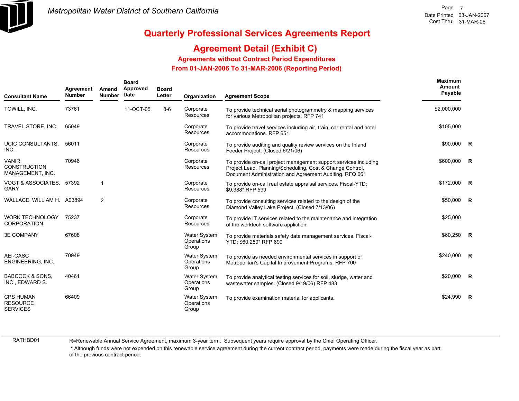

### **Agreement Detail (Exhibit C)**

**Agreements without Contract Period Expenditures**

 **From 01-JAN-2006 To 31-MAR-2006 (Reporting Period)** 

| <b>Consultant Name</b>                                  | Agreement<br><b>Number</b> | Amend<br><b>Number</b> | <b>Board</b><br>Approved<br><b>Date</b> | <b>Board</b><br>Letter | Organization                               | <b>Agreement Scope</b>                                                                                                                                                                   | Maximum<br>Amount<br>Payable |                |
|---------------------------------------------------------|----------------------------|------------------------|-----------------------------------------|------------------------|--------------------------------------------|------------------------------------------------------------------------------------------------------------------------------------------------------------------------------------------|------------------------------|----------------|
| TOWILL, INC.                                            | 73761                      |                        | 11-OCT-05                               | $8-6$                  | Corporate<br><b>Resources</b>              | To provide technical aerial photogrammetry & mapping services<br>for various Metropolitan projects. RFP 741                                                                              | \$2,000,000                  |                |
| TRAVEL STORE, INC.                                      | 65049                      |                        |                                         |                        | Corporate<br><b>Resources</b>              | To provide travel services including air, train, car rental and hotel<br>accommodations. RFP 651                                                                                         | \$105,000                    |                |
| <b>UCIC CONSULTANTS.</b><br>INC.                        | 56011                      |                        |                                         |                        | Corporate<br><b>Resources</b>              | To provide auditing and quality review services on the Inland<br>Feeder Project. (Closed 6/21/06)                                                                                        | \$90,000 R                   |                |
| <b>VANIR</b><br><b>CONSTRUCTION</b><br>MANAGEMENT, INC. | 70946                      |                        |                                         |                        | Corporate<br>Resources                     | To provide on-call project management support services including<br>Project Lead, Planning/Scheduling, Cost & Change Control,<br>Document Administration and Agreement Auditing. RFQ 661 | \$600,000                    | $\overline{R}$ |
| VOGT & ASSOCIATES, 57392<br><b>GARY</b>                 |                            | $\mathbf 1$            |                                         |                        | Corporate<br><b>Resources</b>              | To provide on-call real estate appraisal services. Fiscal-YTD:<br>\$9,388* RFP 599                                                                                                       | \$172,000 R                  |                |
| WALLACE, WILLIAM H. A03894                              |                            | 2                      |                                         |                        | Corporate<br><b>Resources</b>              | To provide consulting services related to the design of the<br>Diamond Valley Lake Project. (Closed 7/13/06)                                                                             | \$50,000 R                   |                |
| <b>WORK TECHNOLOGY</b><br><b>CORPORATION</b>            | 75237                      |                        |                                         |                        | Corporate<br>Resources                     | To provide IT services related to the maintenance and integration<br>of the worktech software appliction.                                                                                | \$25,000                     |                |
| <b>3E COMPANY</b>                                       | 67608                      |                        |                                         |                        | <b>Water System</b><br>Operations<br>Group | To provide materials safety data management services. Fiscal-<br>YTD: \$60,250* RFP 699                                                                                                  | \$60,250 R                   |                |
| <b>AEI-CASC</b><br>ENGINEERING, INC.                    | 70949                      |                        |                                         |                        | <b>Water System</b><br>Operations<br>Group | To provide as needed environmental services in support of<br>Metropolitan's Capital Improvement Programs. RFP 700                                                                        | \$240,000 R                  |                |
| <b>BABCOCK &amp; SONS.</b><br>INC., EDWARD S.           | 40461                      |                        |                                         |                        | <b>Water System</b><br>Operations<br>Group | To provide analytical testing services for soil, sludge, water and<br>wastewater samples. (Closed 9/19/06) RFP 483                                                                       | \$20,000 R                   |                |
| <b>CPS HUMAN</b><br><b>RESOURCE</b><br><b>SERVICES</b>  | 66409                      |                        |                                         |                        | <b>Water System</b><br>Operations<br>Group | To provide examination material for applicants.                                                                                                                                          | \$24,990                     | $\overline{R}$ |

RATHBD01

R=Renewable Annual Service Agreement, maximum 3-year term. Subsequent years require approval by the Chief Operating Officer.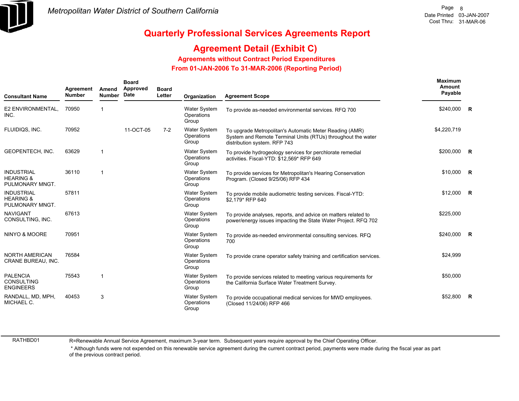

### **Agreement Detail (Exhibit C)**

**Agreements without Contract Period Expenditures**

 **From 01-JAN-2006 To 31-MAR-2006 (Reporting Period)** 

| <b>Consultant Name</b>                                       | Agreement<br><b>Number</b> | Amend<br><b>Number</b> | <b>Board</b><br>Approved<br>Date | <b>Board</b><br>Letter | Organization                               | <b>Agreement Scope</b>                                                                                                                                  | Maximum<br>Amount<br>Payable |          |
|--------------------------------------------------------------|----------------------------|------------------------|----------------------------------|------------------------|--------------------------------------------|---------------------------------------------------------------------------------------------------------------------------------------------------------|------------------------------|----------|
| E2 ENVIRONMENTAL,<br>INC.                                    | 70950                      |                        |                                  |                        | <b>Water System</b><br>Operations<br>Group | To provide as-needed environmental services. RFQ 700                                                                                                    | \$240,000 R                  |          |
| FLUIDIQS, INC.                                               | 70952                      |                        | 11-OCT-05                        | $7-2$                  | <b>Water System</b><br>Operations<br>Group | To upgrade Metropolitan's Automatic Meter Reading (AMR)<br>System and Remote Terminal Units (RTUs) throughout the water<br>distribution system. RFP 743 | \$4,220,719                  |          |
| GEOPENTECH, INC.                                             | 63629                      | 1                      |                                  |                        | <b>Water System</b><br>Operations<br>Group | To provide hydrogeology services for perchlorate remedial<br>activities. Fiscal-YTD: \$12,569* RFP 649                                                  | \$200,000 R                  |          |
| <b>INDUSTRIAL</b><br><b>HEARING &amp;</b><br>PULMONARY MNGT. | 36110                      | -1                     |                                  |                        | Water System<br>Operations<br>Group        | To provide services for Metropolitan's Hearing Conservation<br>Program. (Closed 9/25/06) RFP 434                                                        | $$10,000$ R                  |          |
| <b>INDUSTRIAL</b><br><b>HEARING &amp;</b><br>PULMONARY MNGT. | 57811                      |                        |                                  |                        | <b>Water System</b><br>Operations<br>Group | To provide mobile audiometric testing services. Fiscal-YTD:<br>\$2,179* RFP 640                                                                         | $$12,000$ R                  |          |
| <b>NAVIGANT</b><br>CONSULTING, INC.                          | 67613                      |                        |                                  |                        | <b>Water System</b><br>Operations<br>Group | To provide analyses, reports, and advice on matters related to<br>power/energy issues impacting the State Water Project. RFQ 702                        | \$225,000                    |          |
| NINYO & MOORE                                                | 70951                      |                        |                                  |                        | <b>Water System</b><br>Operations<br>Group | To provide as-needed environmental consulting services. RFQ<br>700                                                                                      | \$240,000 R                  |          |
| NORTH AMERICAN<br>CRANE BUREAU, INC.                         | 76584                      |                        |                                  |                        | <b>Water System</b><br>Operations<br>Group | To provide crane operator safety training and certification services.                                                                                   | \$24,999                     |          |
| <b>PALENCIA</b><br><b>CONSULTING</b><br><b>ENGINEERS</b>     | 75543                      | 1                      |                                  |                        | <b>Water System</b><br>Operations<br>Group | To provide services related to meeting various requirements for<br>the California Surface Water Treatment Survey.                                       | \$50,000                     |          |
| RANDALL, MD, MPH,<br>MICHAEL C.                              | 40453                      | 3                      |                                  |                        | <b>Water System</b><br>Operations<br>Group | To provide occupational medical services for MWD employees.<br>(Closed 11/24/06) RFP 466                                                                | \$52,800                     | <b>R</b> |

RATHBD01

R=Renewable Annual Service Agreement, maximum 3-year term. Subsequent years require approval by the Chief Operating Officer.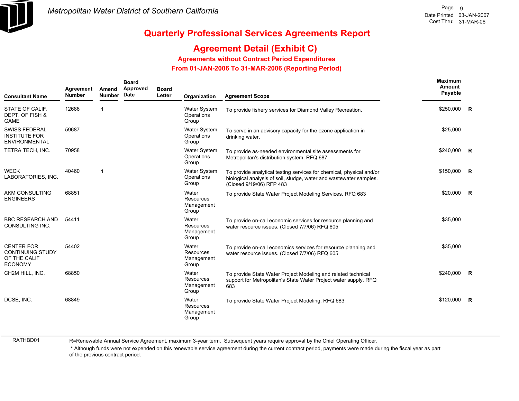

### **Agreement Detail (Exhibit C)**

**Agreements without Contract Period Expenditures**

 **From 01-JAN-2006 To 31-MAR-2006 (Reporting Period)** 

| <b>Consultant Name</b>                                                         | Agreement<br><b>Number</b> | Amend<br><b>Number</b> | <b>Board</b><br>Approved<br>Date | <b>Board</b><br>Letter | Organization                               | <b>Agreement Scope</b>                                                                                                                                                 | <b>Maximum</b><br>Amount<br>Payable |                |
|--------------------------------------------------------------------------------|----------------------------|------------------------|----------------------------------|------------------------|--------------------------------------------|------------------------------------------------------------------------------------------------------------------------------------------------------------------------|-------------------------------------|----------------|
| STATE OF CALIF.<br>DEPT. OF FISH &<br><b>GAME</b>                              | 12686                      |                        |                                  |                        | Water System<br>Operations<br>Group        | To provide fishery services for Diamond Valley Recreation.                                                                                                             | $$250,000$ R                        |                |
| <b>SWISS FEDERAL</b><br><b>INSTITUTE FOR</b><br>ENVIRONMENTAL                  | 59687                      |                        |                                  |                        | <b>Water System</b><br>Operations<br>Group | To serve in an advisory capacity for the ozone application in<br>drinking water.                                                                                       | \$25,000                            |                |
| TETRA TECH, INC.                                                               | 70958                      |                        |                                  |                        | Water System<br>Operations<br>Group        | To provide as-needed environmental site assessments for<br>Metropolitan's distribution system. RFQ 687                                                                 | \$240,000                           | <b>R</b>       |
| <b>WECK</b><br>LABORATORIES, INC.                                              | 40460                      |                        |                                  |                        | <b>Water System</b><br>Operations<br>Group | To provide analytical testing services for chemical, physical and/or<br>biological analysis of soil, sludge, water and wastewater samples.<br>(Closed 9/19/06) RFP 483 | \$150,000                           | R              |
| <b>AKM CONSULTING</b><br><b>ENGINEERS</b>                                      | 68851                      |                        |                                  |                        | Water<br>Resources<br>Management<br>Group  | To provide State Water Project Modeling Services. RFQ 683                                                                                                              | \$20,000                            | $\mathbb{R}$   |
| <b>BBC RESEARCH AND</b><br>CONSULTING INC.                                     | 54411                      |                        |                                  |                        | Water<br>Resources<br>Management<br>Group  | To provide on-call economic services for resource planning and<br>water resource issues. (Closed 7/7/06) RFQ 605                                                       | \$35,000                            |                |
| <b>CENTER FOR</b><br><b>CONTINUING STUDY</b><br>OF THE CALIF<br><b>ECONOMY</b> | 54402                      |                        |                                  |                        | Water<br>Resources<br>Management<br>Group  | To provide on-call economics services for resource planning and<br>water resource issues. (Closed 7/7/06) RFQ 605                                                      | \$35,000                            |                |
| CH2M HILL, INC.                                                                | 68850                      |                        |                                  |                        | Water<br>Resources<br>Management<br>Group  | To provide State Water Project Modeling and related technical<br>support for Metropolitan's State Water Project water supply. RFQ<br>683                               | \$240,000                           | $\overline{R}$ |
| DCSE, INC.                                                                     | 68849                      |                        |                                  |                        | Water<br>Resources<br>Management<br>Group  | To provide State Water Project Modeling. RFQ 683                                                                                                                       | \$120,000                           | R              |

RATHBD01

R=Renewable Annual Service Agreement, maximum 3-year term. Subsequent years require approval by the Chief Operating Officer.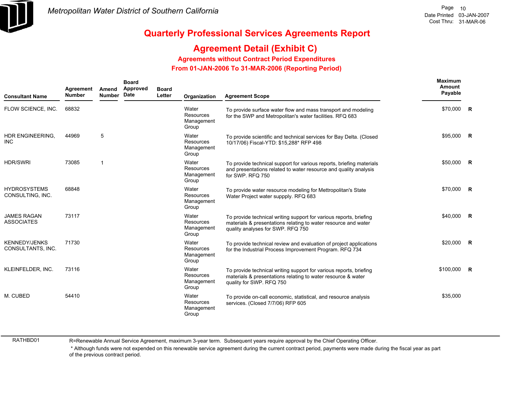

### **Agreement Detail (Exhibit C)**

**Agreements without Contract Period Expenditures**

 **From 01-JAN-2006 To 31-MAR-2006 (Reporting Period)** 

| <b>Consultant Name</b>                    | Agreement<br><b>Number</b> | Amend<br><b>Number</b> | <b>Board</b><br>Approved<br>Date | <b>Board</b><br>Letter | Organization                              | <b>Agreement Scope</b>                                                                                                                                                    | Maximum<br>Amount<br>Payable |  |
|-------------------------------------------|----------------------------|------------------------|----------------------------------|------------------------|-------------------------------------------|---------------------------------------------------------------------------------------------------------------------------------------------------------------------------|------------------------------|--|
| FLOW SCIENCE, INC.                        | 68832                      |                        |                                  |                        | Water<br>Resources<br>Management<br>Group | To provide surface water flow and mass transport and modeling<br>for the SWP and Metropolitan's water facilities. RFQ 683                                                 | \$70,000 R                   |  |
| HDR ENGINEERING,<br><b>INC</b>            | 44969                      | 5                      |                                  |                        | Water<br>Resources<br>Management<br>Group | To provide scientific and technical services for Bay Delta. (Closed<br>10/17/06) Fiscal-YTD: \$15.288* RFP 498                                                            | \$95,000 R                   |  |
| <b>HDR/SWRI</b>                           | 73085                      | -1                     |                                  |                        | Water<br>Resources<br>Management<br>Group | To provide technical support for various reports, briefing materials<br>and presentations related to water resource and quality analysis<br>for SWP. RFQ 750              | $$50,000$ R                  |  |
| <b>HYDROSYSTEMS</b><br>CONSULTING, INC.   | 68848                      |                        |                                  |                        | Water<br>Resources<br>Management<br>Group | To provide water resource modeling for Mettropolitan's State<br>Water Project water suppply. RFQ 683                                                                      | $$70.000$ R                  |  |
| <b>JAMES RAGAN</b><br><b>ASSOCIATES</b>   | 73117                      |                        |                                  |                        | Water<br>Resources<br>Management<br>Group | To provide technical writing support for various reports, briefing<br>materials & presentations relating to water resource and water<br>quality analyses for SWP. RFQ 750 | \$40,000 R                   |  |
| <b>KENNEDY/JENKS</b><br>CONSULTANTS, INC. | 71730                      |                        |                                  |                        | Water<br>Resources<br>Management<br>Group | To provide technical review and evaluation of project applications<br>for the Industrial Process Improvement Program. RFQ 734                                             | $$20,000$ R                  |  |
| KLEINFELDER, INC.                         | 73116                      |                        |                                  |                        | Water<br>Resources<br>Management<br>Group | To provide technical writing support for various reports, briefing<br>materials & presentations relating to water resource & water<br>quality for SWP. RFQ 750            | $$100,000$ R                 |  |
| M. CUBED                                  | 54410                      |                        |                                  |                        | Water<br>Resources<br>Management<br>Group | To provide on-call economic, statistical, and resource analysis<br>services. (Closed 7/7/06) RFP 605                                                                      | \$35,000                     |  |

RATHBD01

R=Renewable Annual Service Agreement, maximum 3-year term. Subsequent years require approval by the Chief Operating Officer.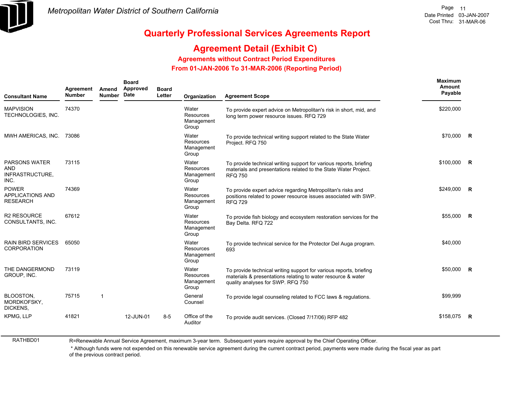

### **Agreement Detail (Exhibit C)**

**Agreements without Contract Period Expenditures**

 **From 01-JAN-2006 To 31-MAR-2006 (Reporting Period)** 

| <b>Consultant Name</b>                                        | Agreement<br><b>Number</b> | Amend<br><b>Number</b> | <b>Board</b><br>Approved<br>Date | <b>Board</b><br>Letter | Organization                              | <b>Agreement Scope</b>                                                                                                                                                  | <b>Maximum</b><br><b>Amount</b><br>Payable |                |
|---------------------------------------------------------------|----------------------------|------------------------|----------------------------------|------------------------|-------------------------------------------|-------------------------------------------------------------------------------------------------------------------------------------------------------------------------|--------------------------------------------|----------------|
| <b>MAPVISION</b><br>TECHNOLOGIES, INC.                        | 74370                      |                        |                                  |                        | Water<br>Resources<br>Management<br>Group | To provide expert advice on Metropolitan's risk in short, mid, and<br>long term power resource issues. RFQ 729                                                          | \$220,000                                  |                |
| MWH AMERICAS, INC.                                            | 73086                      |                        |                                  |                        | Water<br>Resources<br>Management<br>Group | To provide technical writing support related to the State Water<br>Project. RFQ 750                                                                                     | \$70,000                                   | $\overline{R}$ |
| <b>PARSONS WATER</b><br><b>AND</b><br>INFRASTRUCTURE,<br>INC. | 73115                      |                        |                                  |                        | Water<br>Resources<br>Management<br>Group | To provide technical writing support for various reports, briefing<br>materials and presentations related to the State Water Project.<br><b>RFQ 750</b>                 | \$100,000                                  | $\overline{R}$ |
| <b>POWER</b><br><b>APPLICATIONS AND</b><br><b>RESEARCH</b>    | 74369                      |                        |                                  |                        | Water<br>Resources<br>Management<br>Group | To provide expert advice regarding Metropolitan's risks and<br>positions related to power resource issues associated with SWP.<br><b>RFQ 729</b>                        | \$249.000                                  | - R            |
| <b>R2 RESOURCE</b><br>CONSULTANTS, INC.                       | 67612                      |                        |                                  |                        | Water<br>Resources<br>Management<br>Group | To provide fish biology and ecosystem restoration services for the<br>Bay Delta. RFQ 722                                                                                | \$55,000                                   | <b>R</b>       |
| <b>RAIN BIRD SERVICES</b><br><b>CORPORATION</b>               | 65050                      |                        |                                  |                        | Water<br>Resources<br>Management<br>Group | To provide technical service for the Protector Del Auga program.<br>693                                                                                                 | \$40,000                                   |                |
| THE DANGERMOND<br>GROUP, INC.                                 | 73119                      |                        |                                  |                        | Water<br>Resources<br>Management<br>Group | To provide technical writing support for various reports, briefing<br>materials & presentations relating to water resource & water<br>quality analyses for SWP. RFQ 750 | \$50,000                                   | $\mathsf{R}$   |
| <b>BLOOSTON.</b><br>MORDKOFSKY,<br>DICKENS.                   | 75715                      | 1                      |                                  |                        | General<br>Counsel                        | To provide legal counseling related to FCC laws & regulations.                                                                                                          | \$99,999                                   |                |
| <b>KPMG. LLP</b>                                              | 41821                      |                        | 12-JUN-01                        | $8 - 5$                | Office of the<br>Auditor                  | To provide audit services. (Closed 7/17/06) RFP 482                                                                                                                     | \$158,075                                  | <b>R</b>       |

RATHBD01

R=Renewable Annual Service Agreement, maximum 3-year term. Subsequent years require approval by the Chief Operating Officer.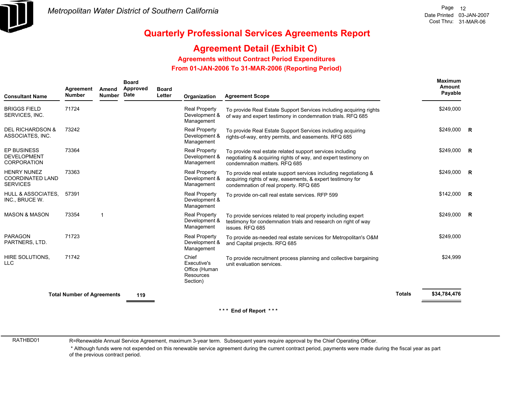

### **Agreement Detail (Exhibit C)**

**Agreements without Contract Period Expenditures**

 **From 01-JAN-2006 To 31-MAR-2006 (Reporting Period)** 

| <b>Consultant Name</b>                                           | Agreement<br><b>Number</b>        | Amend<br><b>Number</b> | <b>Board</b><br>Approved<br>Date | <b>Board</b><br>Letter | Organization                                                   | <b>Agreement Scope</b>                                                                                                                                                   |               | <b>Maximum</b><br>Amount<br>Payable |  |
|------------------------------------------------------------------|-----------------------------------|------------------------|----------------------------------|------------------------|----------------------------------------------------------------|--------------------------------------------------------------------------------------------------------------------------------------------------------------------------|---------------|-------------------------------------|--|
| <b>BRIGGS FIELD</b><br>SERVICES, INC.                            | 71724                             |                        |                                  |                        | Real Property<br>Development &<br>Management                   | To provide Real Estate Support Services including acquiring rights<br>of way and expert testimony in condemnation trials. RFQ 685                                        |               | \$249,000                           |  |
| <b>DEL RICHARDSON &amp;</b><br>ASSOCIATES, INC.                  | 73242                             |                        |                                  |                        | Real Property<br>Development &<br>Management                   | To provide Real Estate Support Services including acquiring<br>rights-of-way, entry permits, and easements. RFQ 685                                                      |               | \$249,000 R                         |  |
| <b>EP BUSINESS</b><br><b>DEVELOPMENT</b><br><b>CORPORATION</b>   | 73364                             |                        |                                  |                        | <b>Real Property</b><br>Development &<br>Management            | To provide real estate related support services including<br>negotiating & acquiring rights of way, and expert testimony on<br>condemnation matters. RFQ 685             |               | $$249,000$ R                        |  |
| <b>HENRY NUNEZ</b><br><b>COORDINATED LAND</b><br><b>SERVICES</b> | 73363                             |                        |                                  |                        | Real Property<br>Development &<br>Management                   | To provide real estate support services including negotiationg &<br>acquiring rights of way, easements, & expert testimony for<br>condemnation of real property. RFQ 685 |               | \$249,000 R                         |  |
| <b>HULL &amp; ASSOCIATES.</b><br>INC., BRUCE W.                  | 57391                             |                        |                                  |                        | <b>Real Property</b><br>Development &<br>Management            | To provide on-call real estate services. RFP 599                                                                                                                         |               | $$142,000$ R                        |  |
| <b>MASON &amp; MASON</b>                                         | 73354                             | 1                      |                                  |                        | <b>Real Property</b><br>Development &<br>Management            | To provide services related to real property including expert<br>testimony for condemnation trials and research on right of way<br>issues. RFQ 685                       |               | \$249,000 R                         |  |
| <b>PARAGON</b><br>PARTNERS, LTD.                                 | 71723                             |                        |                                  |                        | <b>Real Property</b><br>Development &<br>Management            | To provide as-needed real estate services for Metropolitan's O&M<br>and Capital projects. RFQ 685                                                                        |               | \$249,000                           |  |
| HIRE SOLUTIONS,<br><b>LLC</b>                                    | 71742                             |                        |                                  |                        | Chief<br>Executive's<br>Office (Human<br>Resources<br>Section) | To provide recruitment process planning and collective bargaining<br>unit evaluation services.                                                                           |               | \$24,999                            |  |
|                                                                  | <b>Total Number of Agreements</b> |                        | 119                              |                        |                                                                |                                                                                                                                                                          | <b>Totals</b> | \$34,784,476                        |  |
|                                                                  |                                   |                        |                                  |                        |                                                                | *** End of Report ***                                                                                                                                                    |               |                                     |  |

RATHBD01

R=Renewable Annual Service Agreement, maximum 3-year term. Subsequent years require approval by the Chief Operating Officer.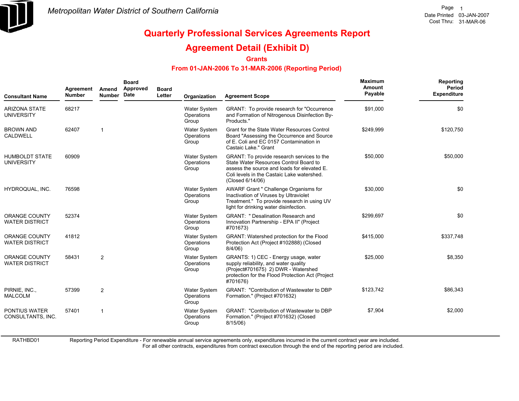

## **Quarterly Professional Services Agreements Report**

### **Agreement Detail (Exhibit D)**

**Grants**

#### **From 01-JAN-2006 To 31-MAR-2006 (Reporting Period)**

| <b>Consultant Name</b>                        | Agreement<br><b>Number</b> | Amend<br><b>Number</b> | <b>Board</b><br>Approved<br>Date | <b>Board</b><br>Letter | Organization                               | <b>Agreement Scope</b>                                                                                                                                                                                | <b>Maximum</b><br>Amount<br>Payable | Reporting<br>Period<br><b>Expenditure</b> |
|-----------------------------------------------|----------------------------|------------------------|----------------------------------|------------------------|--------------------------------------------|-------------------------------------------------------------------------------------------------------------------------------------------------------------------------------------------------------|-------------------------------------|-------------------------------------------|
| <b>ARIZONA STATE</b><br><b>UNIVERSITY</b>     | 68217                      |                        |                                  |                        | <b>Water System</b><br>Operations<br>Group | GRANT: To provide research for "Occurrence"<br>and Formation of Nitrogenous Disinfection By-<br>Products."                                                                                            | \$91,000                            | \$0                                       |
| <b>BROWN AND</b><br>CALDWELL                  | 62407                      |                        |                                  |                        | <b>Water System</b><br>Operations<br>Group | Grant for the State Water Resources Control<br>Board "Assessing the Occurrence and Source<br>of E. Coli and EC 0157 Contamination in<br>Castaic Lake." Grant                                          | \$249,999                           | \$120,750                                 |
| <b>HUMBOLDT STATE</b><br><b>UNIVERSITY</b>    | 60909                      |                        |                                  |                        | Water System<br>Operations<br>Group        | GRANT: To provide research services to the<br>State Water Resources Control Board to<br>assess the source and loads for elevated E.<br>Coli levels in the Castaic Lake watershed.<br>(Closed 6/14/06) | \$50,000                            | \$50,000                                  |
| HYDROQUAL, INC.                               | 76598                      |                        |                                  |                        | <b>Water System</b><br>Operations<br>Group | AWARF Grant " Challenge Organisms for<br>Inactivation of Viruses by Ultraviolet<br>Treatment." To provide research in using UV<br>light for drinking water disinfection.                              | \$30,000                            | \$0                                       |
| <b>ORANGE COUNTY</b><br><b>WATER DISTRICT</b> | 52374                      |                        |                                  |                        | <b>Water System</b><br>Operations<br>Group | <b>GRANT: " Desalination Research and</b><br>Innovation Partnership - EPA II" (Project<br>#701673)                                                                                                    | \$299,697                           | \$0                                       |
| <b>ORANGE COUNTY</b><br><b>WATER DISTRICT</b> | 41812                      |                        |                                  |                        | <b>Water System</b><br>Operations<br>Group | GRANT: Watershed protection for the Flood<br>Protection Act (Project #102888) (Closed<br>$8/4/06$ )                                                                                                   | \$415,000                           | \$337,748                                 |
| <b>ORANGE COUNTY</b><br><b>WATER DISTRICT</b> | 58431                      | $\overline{2}$         |                                  |                        | <b>Water System</b><br>Operations<br>Group | GRANTS: 1) CEC - Energy usage, water<br>supply reliability, and water quality<br>(Project#701675) 2) DWR - Watershed<br>protection for the Flood Protection Act (Project<br>#701676)                  | \$25,000                            | \$8,350                                   |
| PIRNIE, INC.,<br><b>MALCOLM</b>               | 57399                      | $\overline{2}$         |                                  |                        | <b>Water System</b><br>Operations<br>Group | <b>GRANT: "Contribution of Wastewater to DBP</b><br>Formation." (Project #701632)                                                                                                                     | \$123,742                           | \$86,343                                  |
| <b>PONTIUS WATER</b><br>CONSULTANTS, INC.     | 57401                      | $\overline{1}$         |                                  |                        | <b>Water System</b><br>Operations<br>Group | <b>GRANT: "Contribution of Wastewater to DBP</b><br>Formation." (Project #701632) (Closed<br>8/15/06                                                                                                  | \$7,904                             | \$2,000                                   |

Reporting Period Expenditure - For renewable annual service agreements only, expenditures incurred in the current contract year are included.

For all other contracts, expenditures from contract execution through the end of the reporting period are included.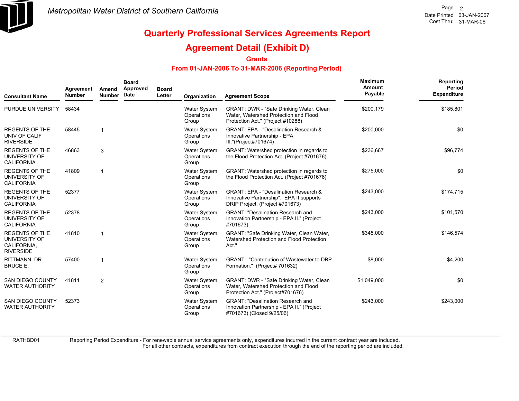

#### **Agreement Detail (Exhibit D)**

**Grants**

#### **From 01-JAN-2006 To 31-MAR-2006 (Reporting Period)**

| <b>Consultant Name</b>                                                    | Agreement<br><b>Number</b> | Amend<br>Number | <b>Board</b><br>Approved<br>Date | <b>Board</b><br>Letter | Organization                               | <b>Agreement Scope</b>                                                                                                          | Maximum<br>Amount<br>Payable | Reporting<br>Period<br><b>Expenditure</b> |
|---------------------------------------------------------------------------|----------------------------|-----------------|----------------------------------|------------------------|--------------------------------------------|---------------------------------------------------------------------------------------------------------------------------------|------------------------------|-------------------------------------------|
| PURDUE UNIVERSITY                                                         | 58434                      |                 |                                  |                        | Water System<br>Operations<br>Group        | GRANT: DWR - "Safe Drinking Water, Clean<br>Water, Watershed Protection and Flood<br>Protection Act." (Project #10288)          | \$200,179                    | \$185,801                                 |
| <b>REGENTS OF THE</b><br>UNIV OF CALIF<br><b>RIVERSIDE</b>                | 58445                      |                 |                                  |                        | <b>Water System</b><br>Operations<br>Group | <b>GRANT: EPA - "Desalination Research &amp;</b><br>Innovative Partnership - EPA<br>III."(Project#701674)                       | \$200,000                    | \$0                                       |
| <b>REGENTS OF THE</b><br>UNIVERSITY OF<br><b>CALIFORNIA</b>               | 46863                      | 3               |                                  |                        | Water System<br>Operations<br>Group        | GRANT: Watershed protection in regards to<br>the Flood Protection Act. (Project #701676)                                        | \$236,667                    | \$96,774                                  |
| <b>REGENTS OF THE</b><br>UNIVERSITY OF<br><b>CALIFORNIA</b>               | 41809                      |                 |                                  |                        | Water System<br>Operations<br>Group        | GRANT: Watershed protection in regards to<br>the Flood Protection Act. (Project #701676)                                        | \$275,000                    | \$0                                       |
| <b>REGENTS OF THE</b><br>UNIVERSITY OF<br><b>CALIFORNIA</b>               | 52377                      |                 |                                  |                        | Water System<br>Operations<br>Group        | <b>GRANT: EPA - "Desalination Research &amp;</b><br>Innovative Partnership". EPA II supports<br>DRIP Project. (Project #701673) | \$243,000                    | \$174,715                                 |
| <b>REGENTS OF THE</b><br>UNIVERSITY OF<br><b>CALIFORNIA</b>               | 52378                      |                 |                                  |                        | Water System<br>Operations<br>Group        | <b>GRANT: "Desalination Research and</b><br>Innovation Partnership - EPA II." (Project<br>#701673)                              | \$243,000                    | \$101,570                                 |
| <b>REGENTS OF THE</b><br>UNIVERSITY OF<br>CALIFORNIA,<br><b>RIVERSIDE</b> | 41810                      |                 |                                  |                        | <b>Water System</b><br>Operations<br>Group | GRANT: "Safe Drinking Water, Clean Water,<br>Watershed Protection and Flood Protection<br>Act."                                 | \$345,000                    | \$146,574                                 |
| RITTMANN, DR.<br><b>BRUCE E.</b>                                          | 57400                      |                 |                                  |                        | <b>Water System</b><br>Operations<br>Group | <b>GRANT: "Contribution of Wastewater to DBP</b><br>Formation." (Project# 701632)                                               | \$8,000                      | \$4,200                                   |
| <b>SAN DIEGO COUNTY</b><br><b>WATER AUTHORITY</b>                         | 41811                      | $\overline{2}$  |                                  |                        | Water System<br>Operations<br>Group        | GRANT: DWR - "Safe Drinking Water, Clean<br>Water, Watershed Protection and Flood<br>Protection Act." (Project#701676)          | \$1,049,000                  | \$0                                       |
| <b>SAN DIEGO COUNTY</b><br><b>WATER AUTHORITY</b>                         | 52373                      |                 |                                  |                        | Water System<br>Operations<br>Group        | <b>GRANT: "Desalination Research and</b><br>Innovation Partnership - EPA II." (Project<br>#701673) (Closed 9/25/06)             | \$243,000                    | \$243,000                                 |

RATHBD01

Reporting Period Expenditure - For renewable annual service agreements only, expenditures incurred in the current contract year are included.

For all other contracts, expenditures from contract execution through the end of the reporting period are included.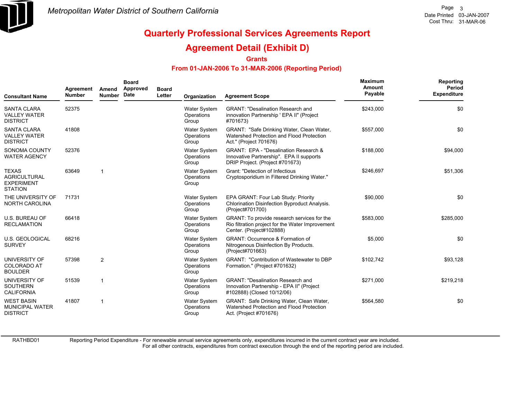

#### **Agreement Detail (Exhibit D)**

#### **Grants**

#### **From 01-JAN-2006 To 31-MAR-2006 (Reporting Period)**

| <b>Consultant Name</b>                                                     | Agreement<br><b>Number</b> | Amend<br><b>Number</b> | <b>Board</b><br>Approved<br><b>Date</b> | <b>Board</b><br>Letter | Organization                               | <b>Agreement Scope</b>                                                                                                      | <b>Maximum</b><br><b>Amount</b><br>Payable | Reporting<br>Period<br><b>Expenditure</b> |
|----------------------------------------------------------------------------|----------------------------|------------------------|-----------------------------------------|------------------------|--------------------------------------------|-----------------------------------------------------------------------------------------------------------------------------|--------------------------------------------|-------------------------------------------|
| <b>SANTA CLARA</b><br><b>VALLEY WATER</b><br><b>DISTRICT</b>               | 52375                      |                        |                                         |                        | Water System<br>Operations<br>Group        | GRANT: "Desalination Research and<br>innovation Partnership ' EPA II" (Project<br>#701673)                                  | \$243,000                                  | \$0                                       |
| <b>SANTA CLARA</b><br><b>VALLEY WATER</b><br><b>DISTRICT</b>               | 41808                      |                        |                                         |                        | Water System<br>Operations<br>Group        | GRANT: "Safe Drinking Water, Clean Water,<br>Watershed Protection and Flood Protection<br>Act." (Project 701676)            | \$557,000                                  | \$0                                       |
| SONOMA COUNTY<br><b>WATER AGENCY</b>                                       | 52376                      |                        |                                         |                        | <b>Water System</b><br>Operations<br>Group | GRANT: EPA - "Desalination Research &<br>Innovative Partnership". EPA II supports<br>DRIP Project. (Project #701673)        | \$188,000                                  | \$94,000                                  |
| <b>TEXAS</b><br><b>AGRICULTURAL</b><br><b>EXPERIMENT</b><br><b>STATION</b> | 63649                      | -1                     |                                         |                        | <b>Water System</b><br>Operations<br>Group | Grant: "Detection of Infectious<br>Cryptosporidium in Filtered Drinking Water."                                             | \$246,697                                  | \$51,306                                  |
| THE UNIVERSITY OF<br><b>NORTH CAROLINA</b>                                 | 71731                      |                        |                                         |                        | <b>Water System</b><br>Operations<br>Group | EPA GRANT: Four Lab Study: Priority<br>Chlorination Disinfection Byproduct Analysis.<br>(Project#701700)                    | \$90,000                                   | \$0                                       |
| <b>U.S. BUREAU OF</b><br><b>RECLAMATION</b>                                | 66418                      |                        |                                         |                        | <b>Water System</b><br>Operations<br>Group | GRANT: To provide research services for the<br>Rio filtration project for the Water Improvement<br>Center. (Project#102888) | \$583,000                                  | \$285,000                                 |
| <b>U.S. GEOLOGICAL</b><br><b>SURVEY</b>                                    | 68216                      |                        |                                         |                        | <b>Water System</b><br>Operations<br>Group | <b>GRANT: Occurrence &amp; Formation of</b><br>Nitrogenous Disinfection By Products.<br>(Project#701663)                    | \$5,000                                    | \$0                                       |
| UNIVERSITY OF<br><b>COLORADO AT</b><br><b>BOULDER</b>                      | 57398                      | $\mathbf{2}$           |                                         |                        | Water System<br>Operations<br>Group        | <b>GRANT: "Contribution of Wastewater to DBP</b><br>Formation." (Project #701632)                                           | \$102,742                                  | \$93,128                                  |
| UNIVERSITY OF<br><b>SOUTHERN</b><br><b>CALIFORNIA</b>                      | 51539                      | 1                      |                                         |                        | Water System<br>Operations<br>Group        | <b>GRANT: "Desalination Research and</b><br>Innovation Partnership - EPA II" (Project<br>#102888) (Closed 10/12/06)         | \$271,000                                  | \$219,218                                 |
| <b>WEST BASIN</b><br><b>MUNICIPAL WATER</b><br><b>DISTRICT</b>             | 41807                      | 1                      |                                         |                        | <b>Water System</b><br>Operations<br>Group | GRANT: Safe Drinking Water, Clean Water,<br>Watershed Protection and Flood Protection<br>Act. (Project #701676)             | \$564,580                                  | \$0                                       |

RATHBD01

Reporting Period Expenditure - For renewable annual service agreements only, expenditures incurred in the current contract year are included.

For all other contracts, expenditures from contract execution through the end of the reporting period are included.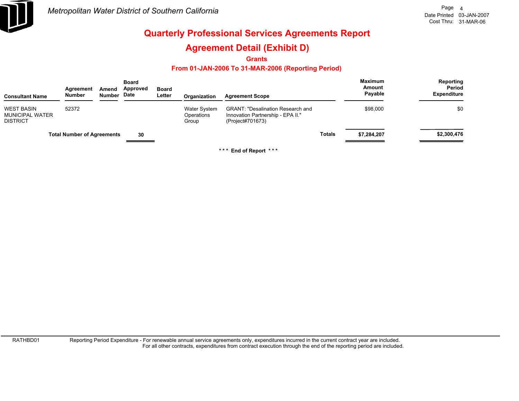

### **Agreement Detail (Exhibit D)**

**Grants**

#### **From 01-JAN-2006 To 31-MAR-2006 (Reporting Period)**

| <b>Consultant Name</b>                                         | Agreement<br>Number               | Amend<br>Number Date | <b>Board</b><br>Approved | <b>Board</b><br>Letter | Organization                               | <b>Agreement Scope</b>                                                                            |               | <b>Maximum</b><br>Amount<br>Payable | Reporting<br>Period<br><b>Expenditure</b> |
|----------------------------------------------------------------|-----------------------------------|----------------------|--------------------------|------------------------|--------------------------------------------|---------------------------------------------------------------------------------------------------|---------------|-------------------------------------|-------------------------------------------|
| <b>WEST BASIN</b><br><b>MUNICIPAL WATER</b><br><b>DISTRICT</b> | 52372                             |                      |                          |                        | <b>Water System</b><br>Operations<br>Group | <b>GRANT: "Desalination Research and</b><br>Innovation Partnership - EPA II."<br>(Project#701673) |               | \$98,000                            | \$0                                       |
|                                                                | <b>Total Number of Agreements</b> |                      | 30                       |                        |                                            |                                                                                                   | <b>Totals</b> | \$7,284,207                         | \$2,300,476                               |

**\* \* \* End of Report \* \* \***

RATHBD01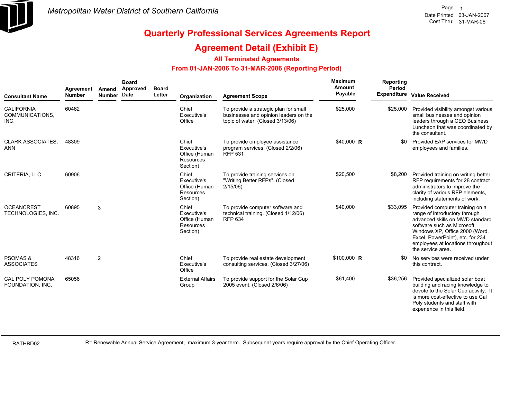

#### **Agreement Detail (Exhibit E)**

#### **All Terminated Agreements**

#### **From 01-JAN-2006 To 31-MAR-2006 (Reporting Period)**

| <b>Consultant Name</b>                       | Agreement<br><b>Number</b> | Amend<br>Number Date | <b>Board</b><br><b>Approved</b> | <b>Board</b><br>Letter | Organization                                                   | <b>Agreement Scope</b>                                                                                             | <b>Maximum</b><br>Amount<br>Payable | Reporting<br><b>Period</b> | Expenditure Value Received                                                                                                                                                                                                                                        |
|----------------------------------------------|----------------------------|----------------------|---------------------------------|------------------------|----------------------------------------------------------------|--------------------------------------------------------------------------------------------------------------------|-------------------------------------|----------------------------|-------------------------------------------------------------------------------------------------------------------------------------------------------------------------------------------------------------------------------------------------------------------|
| <b>CALIFORNIA</b><br>COMMUNICATIONS,<br>INC. | 60462                      |                      |                                 |                        | Chief<br>Executive's<br>Office                                 | To provide a strategic plan for small<br>businesses and opinion leaders on the<br>topic of water. (Closed 3/13/06) | \$25,000                            | \$25,000                   | Provided visibility amongst various<br>small businesses and opinion<br>leaders through a CEO Business<br>Luncheon that was coordinated by<br>the consultant.                                                                                                      |
| <b>CLARK ASSOCIATES.</b><br><b>ANN</b>       | 48309                      |                      |                                 |                        | Chief<br>Executive's<br>Office (Human<br>Resources<br>Section) | To provide employee assistance<br>program services. (Closed 2/2/06)<br><b>RFP 531</b>                              | $$40,000$ R                         | \$0                        | Provided EAP services for MWD<br>employees and families.                                                                                                                                                                                                          |
| CRITERIA, LLC                                | 60906                      |                      |                                 |                        | Chief<br>Executive's<br>Office (Human<br>Resources<br>Section) | To provide training services on<br>"Writing Better RFPs". (Closed<br>2/15/06                                       | \$20,500                            | \$8,200                    | Provided training on writing better<br>RFP requirements for 28 contract<br>administrators to improve the<br>clarity of various RFP elements,<br>including statements of work.                                                                                     |
| <b>OCEANCREST</b><br>TECHNOLOGIES, INC.      | 60895                      | 3                    |                                 |                        | Chief<br>Executive's<br>Office (Human<br>Resources<br>Section) | To provide computer software and<br>technical training. (Closed 1/12/06)<br><b>RFP 634</b>                         | \$40,000                            | \$33,095                   | Provided computer training on a<br>range of introductory through<br>advanced skills on MWD standard<br>software such as Microsoft<br>Windows XP, Office 2000 (Word,<br>Excel, PowerPoint), etc. for 234<br>employees at locations throughout<br>the service area. |
| <b>PSOMAS &amp;</b><br><b>ASSOCIATES</b>     | 48316                      | 2                    |                                 |                        | Chief<br>Executive's<br>Office                                 | To provide real estate development<br>consulting services. (Closed 3/27/06)                                        | $$100,000$ R                        | \$0                        | No services were received under<br>this contract.                                                                                                                                                                                                                 |
| <b>CAL POLY POMONA</b><br>FOUNDATION, INC.   | 65056                      |                      |                                 |                        | <b>External Affairs</b><br>Group                               | To provide support for the Solar Cup<br>2005 event. (Closed 2/6/06)                                                | \$61,400                            | \$36,256                   | Provided specialized solar boat<br>building and racing knowledge to<br>devote to the Solar Cup activity. It<br>is more cost-effective to use Cal<br>Poly students and staff with<br>experience in this field.                                                     |

RATHBD02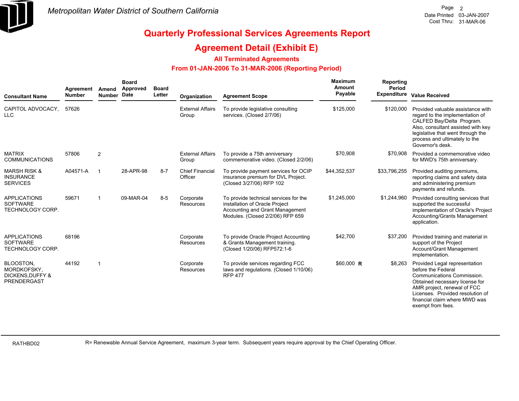

#### **Agreement Detail (Exhibit E)**

#### **All Terminated Agreements**

#### **From 01-JAN-2006 To 31-MAR-2006 (Reporting Period)**

| <b>Consultant Name</b>                                                       | Agreement<br><b>Number</b> | Amend<br>Number Date | <b>Board</b><br>Approved | <b>Board</b><br>Letter | Organization                      | <b>Agreement Scope</b>                                                                                                                         | <b>Maximum</b><br><b>Amount</b><br>Payable | Reporting<br>Period | Expenditure Value Received                                                                                                                                                                                                                   |
|------------------------------------------------------------------------------|----------------------------|----------------------|--------------------------|------------------------|-----------------------------------|------------------------------------------------------------------------------------------------------------------------------------------------|--------------------------------------------|---------------------|----------------------------------------------------------------------------------------------------------------------------------------------------------------------------------------------------------------------------------------------|
| CAPITOL ADVOCACY,<br><b>LLC</b>                                              | 57626                      |                      |                          |                        | <b>External Affairs</b><br>Group  | To provide legislative consulting<br>services. (Closed 2/7/06)                                                                                 | \$125,000                                  | \$120,000           | Provided valuable assistance with<br>regard to the implementation of<br>CALFED Bay/Delta Program.<br>Also, consultant assisted with key<br>legislative that went through the<br>process and ultimately to the<br>Governor's desk.            |
| <b>MATRIX</b><br><b>COMMUNICATIONS</b>                                       | 57806                      | $\overline{2}$       |                          |                        | <b>External Affairs</b><br>Group  | To provide a 75th anniversary<br>commemorative video. (Closed 2/2/06)                                                                          | \$70,908                                   | \$70,908            | Provided a commemorative video<br>for MWD's 75th anniversary.                                                                                                                                                                                |
| <b>MARSH RISK &amp;</b><br><b>INSURANCE</b><br><b>SERVICES</b>               | A04571-A                   | - 1                  | 28-APR-98                | $8 - 7$                | <b>Chief Financial</b><br>Officer | To provide payment services for OCIP<br>insurance premium for DVL Project.<br>(Closed 3/27/06) RFP 102                                         | \$44,352,537                               | \$33,796,255        | Provided auditing premiums,<br>reporting claims and safety data<br>and administering premium<br>payments and refunds.                                                                                                                        |
| <b>APPLICATIONS</b><br><b>SOFTWARE</b><br><b>TECHNOLOGY CORP.</b>            | 59671                      | -1                   | 09-MAR-04                | $8 - 5$                | Corporate<br>Resources            | To provide technical services for the<br>installation of Oracle Project<br>Accounting and Grant Management<br>Modules. (Closed 2/2/06) RFP 659 | \$1,245,000                                | \$1,244,960         | Provided consulting services that<br>supported the successful<br>implementation of Oracle's Project<br>Accounting/Grants Management<br>application.                                                                                          |
| <b>APPLICATIONS</b><br><b>SOFTWARE</b><br><b>TECHNOLOGY CORP.</b>            | 68196                      |                      |                          |                        | Corporate<br>Resources            | To provide Oracle Project Accounting<br>& Grants Management training.<br>(Closed 1/20/06) RFP572:1-6                                           | \$42,700                                   | \$37,200            | Provided training and material in<br>support of the Project<br>Account/Grant Management<br>implementation.                                                                                                                                   |
| BLOOSTON,<br>MORDKOFSKY.<br><b>DICKENS.DUFFY &amp;</b><br><b>PRENDERGAST</b> | 44192                      | -1                   |                          |                        | Corporate<br>Resources            | To provide services regarding FCC<br>laws and regulations. (Closed 1/10/06)<br><b>RFP 477</b>                                                  | $$60,000$ R                                | \$8,263             | Provided Legal representation<br>before the Federal<br>Communications Commission.<br>Obtained necessary license for<br>AMR project, renewal of FCC<br>Licenses. Provided resolution of<br>financial claim where MWD was<br>exempt from fees. |

RATHBD02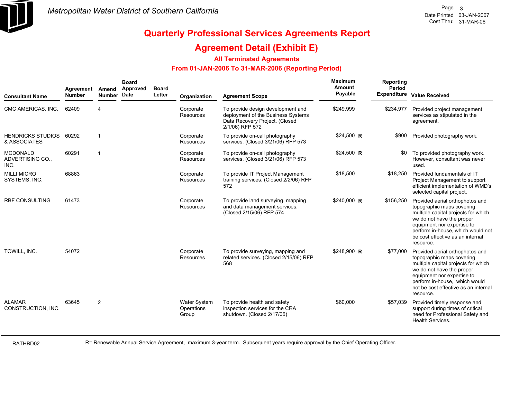

### **Agreement Detail (Exhibit E)**

#### **All Terminated Agreements**

#### **From 01-JAN-2006 To 31-MAR-2006 (Reporting Period)**

| <b>Consultant Name</b>                      | Agreement<br><b>Number</b> | Amend<br>Number Date | <b>Board</b><br>Approved | <b>Board</b><br>Letter | Organization                               | <b>Agreement Scope</b>                                                                                                       | Maximum<br>Amount<br>Payable | Reporting<br>Period<br><b>Expenditure</b> | <b>Value Received</b>                                                                                                                                                                                                                                |
|---------------------------------------------|----------------------------|----------------------|--------------------------|------------------------|--------------------------------------------|------------------------------------------------------------------------------------------------------------------------------|------------------------------|-------------------------------------------|------------------------------------------------------------------------------------------------------------------------------------------------------------------------------------------------------------------------------------------------------|
| CMC AMERICAS, INC.                          | 62409                      | $\overline{4}$       |                          |                        | Corporate<br>Resources                     | To provide design development and<br>deployment of the Business Systems<br>Data Recovery Project. (Closed<br>2/1/06) RFP 572 | \$249,999                    | \$234,977                                 | Provided project management<br>services as stipulated in the<br>agreement.                                                                                                                                                                           |
| <b>HENDRICKS STUDIOS</b><br>& ASSOCIATES    | 60292                      | $\overline{1}$       |                          |                        | Corporate<br>Resources                     | To provide on-call photography<br>services. (Closed 3/21/06) RFP 573                                                         | \$24,500 R                   | \$900                                     | Provided photography work.                                                                                                                                                                                                                           |
| <b>MCDONALD</b><br>ADVERTISING CO.,<br>INC. | 60291                      | -1                   |                          |                        | Corporate<br>Resources                     | To provide on-call photography<br>services. (Closed 3/21/06) RFP 573                                                         | \$24,500 R                   | \$0                                       | To provided photography work.<br>However, consultant was never<br>used.                                                                                                                                                                              |
| <b>MILLI MICRO</b><br>SYSTEMS, INC.         | 68863                      |                      |                          |                        | Corporate<br>Resources                     | To provide IT Project Management<br>training services. (Closed 2/2/06) RFP<br>572                                            | \$18,500                     | \$18.250                                  | Provided fundamentals of IT<br>Project Management to support<br>efficient implementation of WMD's<br>selected capital project.                                                                                                                       |
| <b>RBF CONSULTING</b>                       | 61473                      |                      |                          |                        | Corporate<br>Resources                     | To provide land surveying, mapping<br>and data management services.<br>(Closed 2/15/06) RFP 574                              | $$240,000$ R                 | \$156,250                                 | Provided aerial orthophotos and<br>topographic maps covering<br>multiple capital projects for which<br>we do not have the proper<br>equipment nor expertise to<br>perform in-house, which would not<br>be cost effective as an internal<br>resource. |
| TOWILL. INC.                                | 54072                      |                      |                          |                        | Corporate<br>Resources                     | To provide surveying, mapping and<br>related services. (Closed 2/15/06) RFP<br>568                                           | \$248,900 R                  | \$77,000                                  | Provided aerial orthophotos and<br>topographic maps covering<br>multiple capital projects for which<br>we do not have the proper<br>equipment nor expertise to<br>perform in-house, which would<br>not be cost effective as an internal<br>resource. |
| <b>ALAMAR</b><br>CONSTRUCTION, INC.         | 63645                      | 2                    |                          |                        | <b>Water System</b><br>Operations<br>Group | To provide health and safety<br>inspection services for the CRA<br>shutdown. (Closed 2/17/06)                                | \$60,000                     | \$57,039                                  | Provided timely response and<br>support during times of critical<br>need for Professional Safety and<br><b>Health Services.</b>                                                                                                                      |

RATHBD02